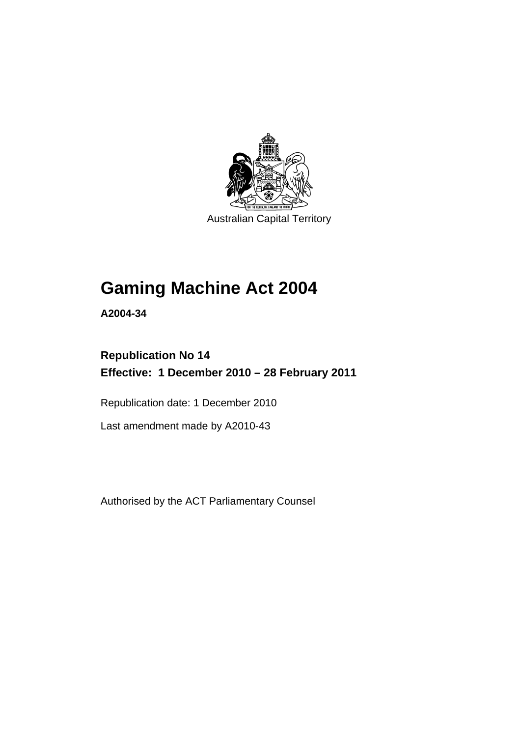

# **[Gaming Machine Act 2004](#page-12-0)**

**A2004-34** 

# **Republication No 14 Effective: 1 December 2010 – 28 February 2011**

Republication date: 1 December 2010

Last amendment made by A2010-43

Authorised by the ACT Parliamentary Counsel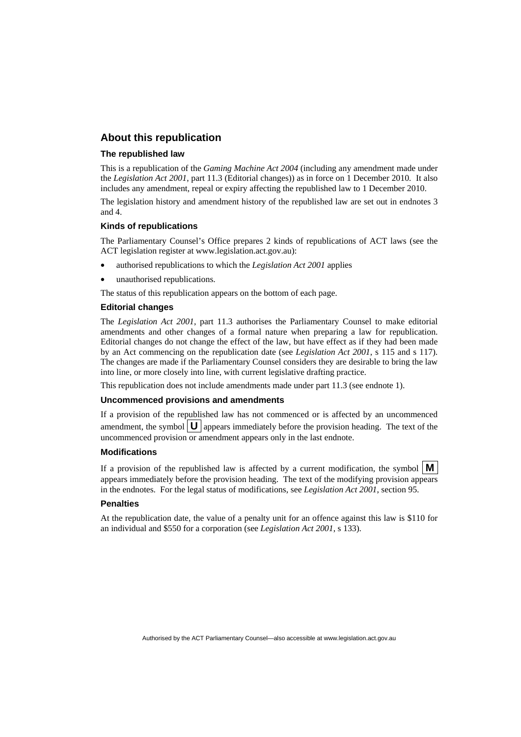# **About this republication**

### **The republished law**

This is a republication of the *Gaming Machine Act 2004* (including any amendment made under the *Legislation Act 2001*, part 11.3 (Editorial changes)) as in force on 1 December 2010*.* It also includes any amendment, repeal or expiry affecting the republished law to 1 December 2010.

The legislation history and amendment history of the republished law are set out in endnotes 3 and 4.

### **Kinds of republications**

The Parliamentary Counsel's Office prepares 2 kinds of republications of ACT laws (see the ACT legislation register at www.legislation.act.gov.au):

- authorised republications to which the *Legislation Act 2001* applies
- unauthorised republications.

The status of this republication appears on the bottom of each page.

#### **Editorial changes**

The *Legislation Act 2001*, part 11.3 authorises the Parliamentary Counsel to make editorial amendments and other changes of a formal nature when preparing a law for republication. Editorial changes do not change the effect of the law, but have effect as if they had been made by an Act commencing on the republication date (see *Legislation Act 2001*, s 115 and s 117). The changes are made if the Parliamentary Counsel considers they are desirable to bring the law into line, or more closely into line, with current legislative drafting practice.

This republication does not include amendments made under part 11.3 (see endnote 1).

#### **Uncommenced provisions and amendments**

If a provision of the republished law has not commenced or is affected by an uncommenced amendment, the symbol  $\mathbf{U}$  appears immediately before the provision heading. The text of the uncommenced provision or amendment appears only in the last endnote.

#### **Modifications**

If a provision of the republished law is affected by a current modification, the symbol  $\mathbf{M}$ appears immediately before the provision heading. The text of the modifying provision appears in the endnotes. For the legal status of modifications, see *Legislation Act 2001*, section 95.

#### **Penalties**

At the republication date, the value of a penalty unit for an offence against this law is \$110 for an individual and \$550 for a corporation (see *Legislation Act 2001*, s 133).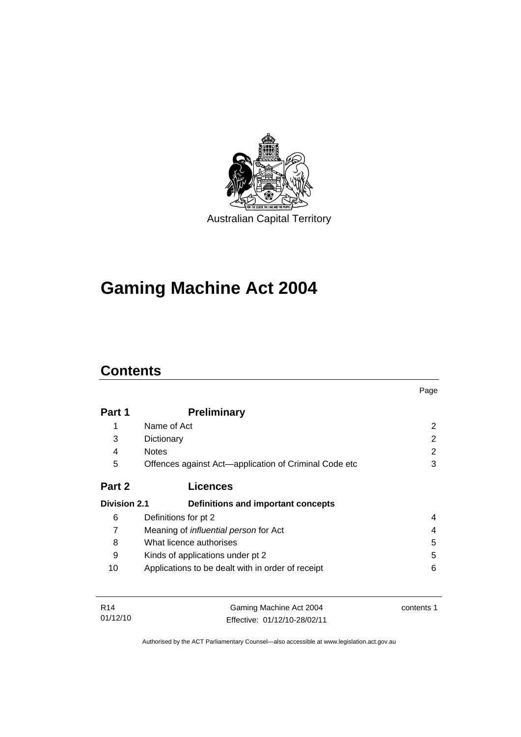

# **[Gaming Machine Act 2004](#page-12-0)**

# **Contents**

01/12/10

|                     |                                                       | Page       |
|---------------------|-------------------------------------------------------|------------|
| Part 1              | <b>Preliminary</b>                                    |            |
| 1                   | Name of Act                                           | 2          |
| 3                   | Dictionary                                            | 2          |
| 4                   | <b>Notes</b>                                          | 2          |
| 5                   | Offences against Act-application of Criminal Code etc | 3          |
| Part 2              | <b>Licences</b>                                       |            |
| <b>Division 2.1</b> | Definitions and important concepts                    |            |
| 6                   | Definitions for pt 2                                  | 4          |
| 7                   | Meaning of influential person for Act                 | 4          |
| 8                   | What licence authorises                               | 5          |
| 9                   | Kinds of applications under pt 2                      | 5          |
| 10                  | Applications to be dealt with in order of receipt     | 6          |
| R <sub>14</sub>     | Gaming Machine Act 2004                               | contents 1 |

Authorised by the ACT Parliamentary Counsel—also accessible at www.legislation.act.gov.au

Effective: 01/12/10-28/02/11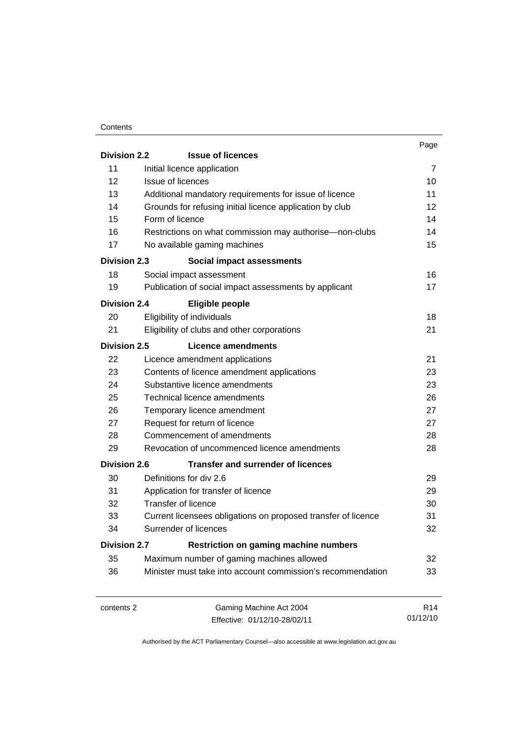#### **Contents**

|                                                                     |                                                               | Page |  |
|---------------------------------------------------------------------|---------------------------------------------------------------|------|--|
| <b>Division 2.2</b>                                                 | <b>Issue of licences</b>                                      |      |  |
| 11                                                                  | Initial licence application                                   | 7    |  |
| 12                                                                  | <b>Issue of licences</b>                                      | 10   |  |
| 13                                                                  | Additional mandatory requirements for issue of licence        | 11   |  |
| 14                                                                  | Grounds for refusing initial licence application by club      | 12   |  |
| 15                                                                  | Form of licence                                               | 14   |  |
| 16                                                                  | Restrictions on what commission may authorise—non-clubs       | 14   |  |
| 17                                                                  | No available gaming machines                                  | 15   |  |
| <b>Division 2.3</b>                                                 | <b>Social impact assessments</b>                              |      |  |
| 18                                                                  | Social impact assessment                                      | 16   |  |
| 19                                                                  | Publication of social impact assessments by applicant         | 17   |  |
| <b>Division 2.4</b>                                                 | <b>Eligible people</b>                                        |      |  |
| 20                                                                  | Eligibility of individuals                                    | 18   |  |
| 21                                                                  | Eligibility of clubs and other corporations                   | 21   |  |
| <b>Division 2.5</b>                                                 | <b>Licence amendments</b>                                     |      |  |
| 22                                                                  | Licence amendment applications                                | 21   |  |
| 23                                                                  | Contents of licence amendment applications                    | 23   |  |
| 24                                                                  | Substantive licence amendments                                | 23   |  |
| 25                                                                  | Technical licence amendments                                  | 26   |  |
| 26                                                                  | Temporary licence amendment                                   | 27   |  |
| 27                                                                  | Request for return of licence                                 | 27   |  |
| 28                                                                  | Commencement of amendments                                    | 28   |  |
| 29                                                                  | Revocation of uncommenced licence amendments                  | 28   |  |
| <b>Division 2.6</b>                                                 | <b>Transfer and surrender of licences</b>                     |      |  |
| 30                                                                  | Definitions for div 2.6                                       | 29   |  |
| 31                                                                  | Application for transfer of licence                           | 29   |  |
| 32                                                                  | Transfer of licence                                           | 30   |  |
| 33                                                                  | Current licensees obligations on proposed transfer of licence | 31   |  |
| 34                                                                  | Surrender of licences                                         | 32   |  |
| <b>Division 2.7</b><br><b>Restriction on gaming machine numbers</b> |                                                               |      |  |
| 35                                                                  | Maximum number of gaming machines allowed                     | 32   |  |
| 36                                                                  | Minister must take into account commission's recommendation   | 33   |  |
|                                                                     |                                                               |      |  |

contents 2 Gaming Machine Act 2004 Effective: 01/12/10-28/02/11

R14 01/12/10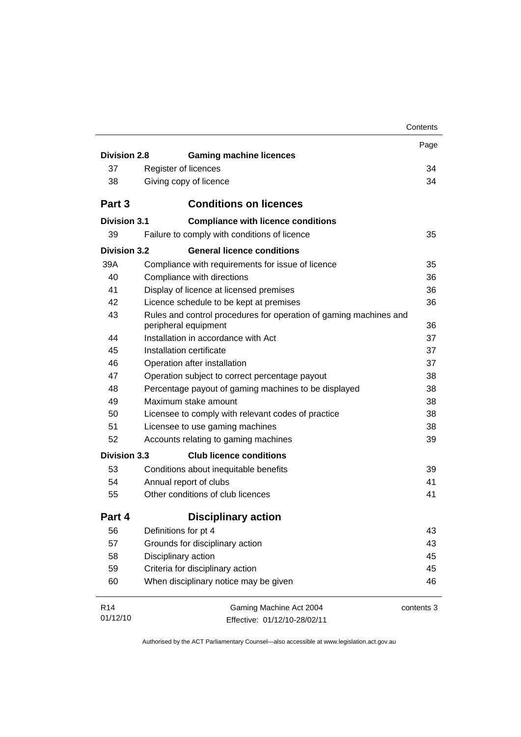|                     |                                                                   | Contents   |
|---------------------|-------------------------------------------------------------------|------------|
|                     |                                                                   | Page       |
| <b>Division 2.8</b> | <b>Gaming machine licences</b>                                    |            |
| 37                  | Register of licences                                              | 34         |
| 38                  | Giving copy of licence                                            | 34         |
| Part 3              | <b>Conditions on licences</b>                                     |            |
| <b>Division 3.1</b> | <b>Compliance with licence conditions</b>                         |            |
| 39                  | Failure to comply with conditions of licence                      | 35         |
| <b>Division 3.2</b> | <b>General licence conditions</b>                                 |            |
| 39A                 | Compliance with requirements for issue of licence                 | 35         |
| 40                  | Compliance with directions                                        | 36         |
| 41                  | Display of licence at licensed premises                           | 36         |
| 42                  | Licence schedule to be kept at premises                           | 36         |
| 43                  | Rules and control procedures for operation of gaming machines and |            |
|                     | peripheral equipment                                              | 36         |
| 44                  | Installation in accordance with Act                               | 37         |
| 45                  | Installation certificate                                          | 37         |
| 46                  | Operation after installation                                      | 37         |
| 47                  | Operation subject to correct percentage payout                    | 38         |
| 48                  | Percentage payout of gaming machines to be displayed              | 38         |
| 49                  | Maximum stake amount                                              | 38         |
| 50                  | Licensee to comply with relevant codes of practice                | 38         |
| 51                  | Licensee to use gaming machines                                   | 38         |
| 52                  | Accounts relating to gaming machines                              | 39         |
| <b>Division 3.3</b> | <b>Club licence conditions</b>                                    |            |
| 53                  | Conditions about inequitable benefits                             | 39         |
| 54                  | Annual report of clubs                                            | 41         |
| 55                  | Other conditions of club licences                                 | 41         |
| Part 4              | <b>Disciplinary action</b>                                        |            |
| 56                  | Definitions for pt 4                                              | 43         |
| 57                  | Grounds for disciplinary action                                   | 43         |
| 58                  | Disciplinary action                                               | 45         |
| 59                  | Criteria for disciplinary action                                  | 45         |
| 60                  | When disciplinary notice may be given                             | 46         |
| R <sub>14</sub>     | Gaming Machine Act 2004                                           | contents 3 |
| 01/12/10            | Effective: 01/12/10-28/02/11                                      |            |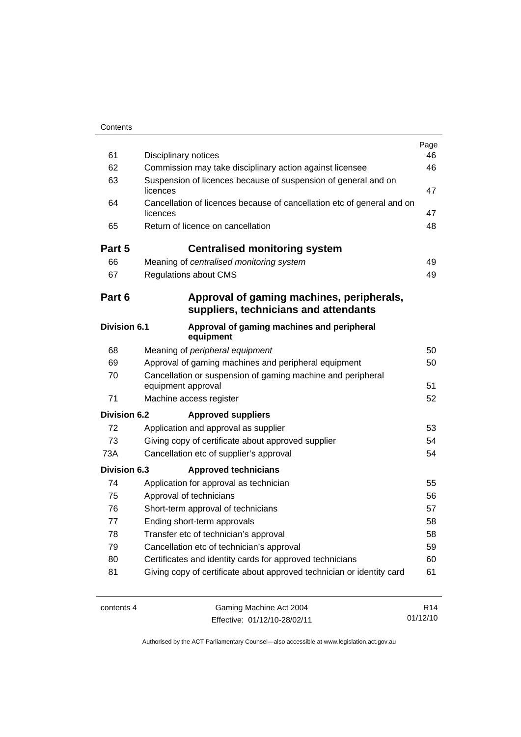| 61                  | <b>Disciplinary notices</b>                                                        | Page<br>46 |
|---------------------|------------------------------------------------------------------------------------|------------|
| 62                  | Commission may take disciplinary action against licensee                           | 46         |
| 63                  | Suspension of licences because of suspension of general and on<br>licences         | 47         |
| 64                  | Cancellation of licences because of cancellation etc of general and on<br>licences | 47         |
| 65                  | Return of licence on cancellation                                                  | 48         |
| Part 5              | <b>Centralised monitoring system</b>                                               |            |
| 66                  | Meaning of centralised monitoring system                                           | 49         |
| 67                  | <b>Regulations about CMS</b>                                                       | 49         |
| Part 6              | Approval of gaming machines, peripherals,<br>suppliers, technicians and attendants |            |
| <b>Division 6.1</b> | Approval of gaming machines and peripheral<br>equipment                            |            |
| 68                  | Meaning of peripheral equipment                                                    | 50         |
| 69                  | Approval of gaming machines and peripheral equipment                               | 50         |
| 70                  | Cancellation or suspension of gaming machine and peripheral<br>equipment approval  |            |
| 71                  | Machine access register                                                            | 52         |
| <b>Division 6.2</b> | <b>Approved suppliers</b>                                                          |            |
| 72                  | Application and approval as supplier                                               | 53         |
| 73                  | Giving copy of certificate about approved supplier                                 | 54         |
| 73A                 | Cancellation etc of supplier's approval                                            | 54         |
| <b>Division 6.3</b> | <b>Approved technicians</b>                                                        |            |
| 74                  | Application for approval as technician                                             | 55         |
| 75                  | Approval of technicians                                                            | 56         |
| 76                  | Short-term approval of technicians                                                 |            |
| 77                  | Ending short-term approvals                                                        |            |
| 78                  | Transfer etc of technician's approval                                              | 58         |
| 79                  | Cancellation etc of technician's approval                                          | 59         |
| 80                  | Certificates and identity cards for approved technicians                           | 60         |
| 81                  | Giving copy of certificate about approved technician or identity card              | 61         |
|                     |                                                                                    |            |

J.

contents 4 Gaming Machine Act 2004 Effective: 01/12/10-28/02/11

R14 01/12/10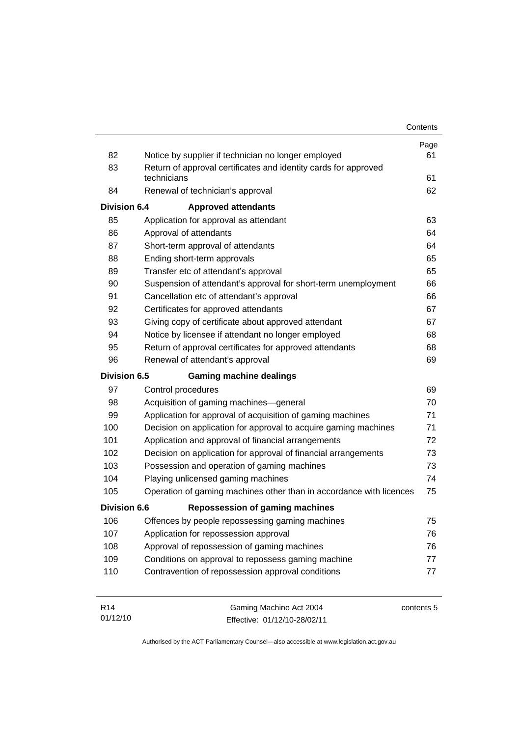|                     |                                                                                | Contents   |
|---------------------|--------------------------------------------------------------------------------|------------|
|                     |                                                                                | Page       |
| 82                  | Notice by supplier if technician no longer employed                            | 61         |
| 83                  | Return of approval certificates and identity cards for approved<br>technicians | 61         |
| 84                  | Renewal of technician's approval                                               | 62         |
| Division 6.4        | <b>Approved attendants</b>                                                     |            |
| 85                  | Application for approval as attendant                                          | 63         |
| 86                  | Approval of attendants                                                         | 64         |
| 87                  | Short-term approval of attendants                                              | 64         |
| 88                  | Ending short-term approvals                                                    | 65         |
| 89                  | Transfer etc of attendant's approval                                           | 65         |
| 90                  | Suspension of attendant's approval for short-term unemployment                 | 66         |
| 91                  | Cancellation etc of attendant's approval                                       | 66         |
| 92                  | Certificates for approved attendants                                           | 67         |
| 93                  | Giving copy of certificate about approved attendant                            | 67         |
| 94                  | Notice by licensee if attendant no longer employed                             | 68         |
| 95                  | Return of approval certificates for approved attendants                        | 68         |
| 96                  | Renewal of attendant's approval                                                | 69         |
| Division 6.5        | <b>Gaming machine dealings</b>                                                 |            |
| 97                  | Control procedures                                                             | 69         |
| 98                  | Acquisition of gaming machines-general                                         | 70         |
| 99                  | Application for approval of acquisition of gaming machines                     | 71         |
| 100                 | Decision on application for approval to acquire gaming machines                | 71         |
| 101                 | Application and approval of financial arrangements                             | 72         |
| 102                 | Decision on application for approval of financial arrangements                 | 73         |
| 103                 | Possession and operation of gaming machines                                    | 73         |
| 104                 | Playing unlicensed gaming machines                                             | 74         |
| 105                 | Operation of gaming machines other than in accordance with licences            | 75         |
| <b>Division 6.6</b> | <b>Repossession of gaming machines</b>                                         |            |
| 106                 | Offences by people repossessing gaming machines                                | 75         |
| 107                 | Application for repossession approval                                          | 76         |
| 108                 | Approval of repossession of gaming machines                                    | 76         |
| 109                 | Conditions on approval to repossess gaming machine                             | 77         |
| 110                 | Contravention of repossession approval conditions                              | 77         |
| R <sub>14</sub>     | Gaming Machine Act 2004                                                        | contents 5 |

Authorised by the ACT Parliamentary Counsel—also accessible at www.legislation.act.gov.au

Effective: 01/12/10-28/02/11

01/12/10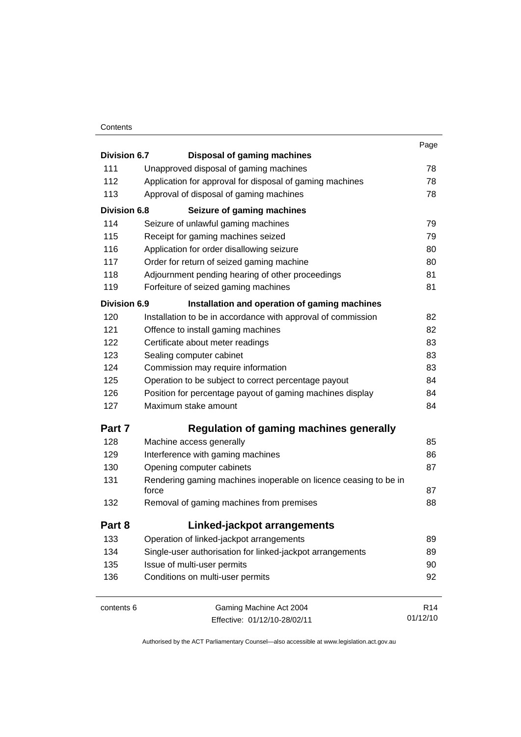### **Contents**

| <b>Division 6.7</b><br>111<br>112<br>113 | <b>Disposal of gaming machines</b><br>Unapproved disposal of gaming machines<br>Application for approval for disposal of gaming machines<br>Approval of disposal of gaming machines<br>Seizure of gaming machines<br>Seizure of unlawful gaming machines | 78<br>78<br>78  |
|------------------------------------------|----------------------------------------------------------------------------------------------------------------------------------------------------------------------------------------------------------------------------------------------------------|-----------------|
|                                          |                                                                                                                                                                                                                                                          |                 |
|                                          |                                                                                                                                                                                                                                                          |                 |
|                                          |                                                                                                                                                                                                                                                          |                 |
|                                          |                                                                                                                                                                                                                                                          |                 |
| <b>Division 6.8</b>                      |                                                                                                                                                                                                                                                          |                 |
| 114                                      |                                                                                                                                                                                                                                                          | 79              |
| 115                                      | Receipt for gaming machines seized                                                                                                                                                                                                                       | 79              |
| 116                                      | Application for order disallowing seizure                                                                                                                                                                                                                | 80              |
| 117                                      | Order for return of seized gaming machine                                                                                                                                                                                                                | 80              |
| 118                                      | Adjournment pending hearing of other proceedings                                                                                                                                                                                                         | 81              |
| 119                                      | Forfeiture of seized gaming machines                                                                                                                                                                                                                     | 81              |
| <b>Division 6.9</b>                      | Installation and operation of gaming machines                                                                                                                                                                                                            |                 |
| 120                                      | Installation to be in accordance with approval of commission                                                                                                                                                                                             | 82              |
| 121                                      | Offence to install gaming machines                                                                                                                                                                                                                       | 82              |
| 122                                      | Certificate about meter readings                                                                                                                                                                                                                         | 83              |
| 123                                      | Sealing computer cabinet                                                                                                                                                                                                                                 | 83              |
| 124                                      | Commission may require information                                                                                                                                                                                                                       | 83              |
| 125                                      | Operation to be subject to correct percentage payout                                                                                                                                                                                                     | 84              |
| 126                                      | Position for percentage payout of gaming machines display                                                                                                                                                                                                | 84              |
| 127                                      | Maximum stake amount                                                                                                                                                                                                                                     | 84              |
| Part 7                                   | <b>Regulation of gaming machines generally</b>                                                                                                                                                                                                           |                 |
| 128                                      | Machine access generally                                                                                                                                                                                                                                 | 85              |
| 129                                      | Interference with gaming machines                                                                                                                                                                                                                        | 86              |
| 130                                      | Opening computer cabinets                                                                                                                                                                                                                                | 87              |
| 131                                      | Rendering gaming machines inoperable on licence ceasing to be in                                                                                                                                                                                         |                 |
|                                          | force                                                                                                                                                                                                                                                    | 87              |
| 132                                      | Removal of gaming machines from premises                                                                                                                                                                                                                 | 88              |
| Part 8                                   | Linked-jackpot arrangements                                                                                                                                                                                                                              |                 |
| 133                                      | Operation of linked-jackpot arrangements                                                                                                                                                                                                                 | 89              |
| 134                                      | Single-user authorisation for linked-jackpot arrangements                                                                                                                                                                                                | 89              |
| 135                                      | Issue of multi-user permits                                                                                                                                                                                                                              | 90              |
| 136                                      | Conditions on multi-user permits                                                                                                                                                                                                                         | 92              |
| contents 6                               | Gaming Machine Act 2004                                                                                                                                                                                                                                  | R <sub>14</sub> |

Effective: 01/12/10-28/02/11

01/12/10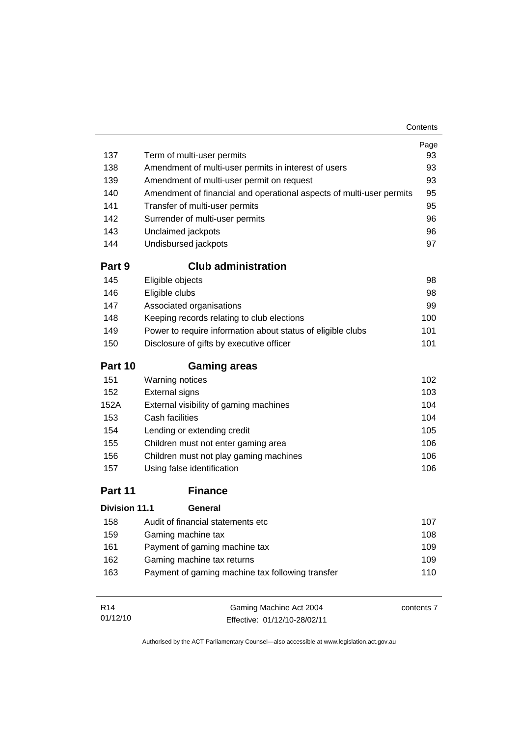| 137                  | Term of multi-user permits                                           | Page<br>93 |  |
|----------------------|----------------------------------------------------------------------|------------|--|
| 138                  | Amendment of multi-user permits in interest of users                 |            |  |
| 139                  | Amendment of multi-user permit on request                            | 93         |  |
| 140                  | Amendment of financial and operational aspects of multi-user permits | 95         |  |
| 141                  | Transfer of multi-user permits                                       | 95         |  |
| 142                  | Surrender of multi-user permits                                      | 96         |  |
| 143                  | Unclaimed jackpots                                                   | 96         |  |
| 144                  | Undisbursed jackpots                                                 | 97         |  |
| Part 9               | <b>Club administration</b>                                           |            |  |
| 145                  | Eligible objects                                                     | 98         |  |
| 146                  | Eligible clubs                                                       | 98         |  |
| 147                  | Associated organisations                                             | 99         |  |
| 148                  | Keeping records relating to club elections                           | 100        |  |
| 149                  | Power to require information about status of eligible clubs          | 101        |  |
| 150                  | Disclosure of gifts by executive officer                             | 101        |  |
| Part 10              | <b>Gaming areas</b>                                                  |            |  |
| 151                  | <b>Warning notices</b>                                               | 102        |  |
| 152                  | <b>External signs</b>                                                | 103        |  |
| 152A                 | External visibility of gaming machines                               | 104        |  |
| 153                  | Cash facilities                                                      | 104        |  |
| 154                  | Lending or extending credit                                          | 105        |  |
| 155                  | Children must not enter gaming area                                  | 106        |  |
| 156                  | Children must not play gaming machines                               | 106        |  |
| 157                  | Using false identification                                           | 106        |  |
| Part 11              | <b>Finance</b>                                                       |            |  |
| <b>Division 11.1</b> | General                                                              |            |  |
| 158                  | Audit of financial statements etc                                    | 107        |  |
| 159                  | Gaming machine tax                                                   | 108        |  |
| 161                  | Payment of gaming machine tax                                        | 109        |  |
| 162                  | Gaming machine tax returns                                           | 109        |  |
| 163                  | Payment of gaming machine tax following transfer                     | 110        |  |
| R <sub>14</sub>      | Gaming Machine Act 2004                                              | contents 7 |  |

Effective: 01/12/10-28/02/11

01/12/10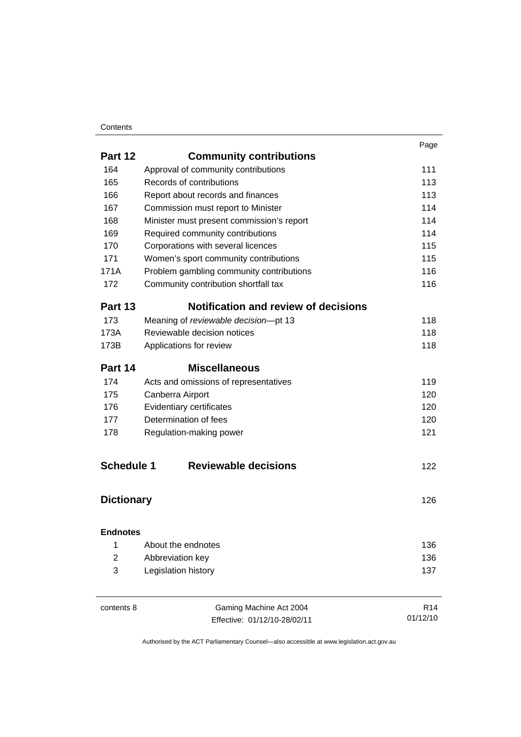### **Contents**

|                   |                                             | Page |
|-------------------|---------------------------------------------|------|
| Part 12           | <b>Community contributions</b>              |      |
| 164               | Approval of community contributions         | 111  |
| 165               | Records of contributions                    | 113  |
| 166               | Report about records and finances           | 113  |
| 167               | Commission must report to Minister          | 114  |
| 168               | Minister must present commission's report   | 114  |
| 169               | Required community contributions            | 114  |
| 170               | Corporations with several licences          | 115  |
| 171               | Women's sport community contributions       | 115  |
| 171A              | Problem gambling community contributions    | 116  |
| 172               | Community contribution shortfall tax        | 116  |
| Part 13           | <b>Notification and review of decisions</b> |      |
| 173               | Meaning of reviewable decision-pt 13        | 118  |
| 173A              | Reviewable decision notices                 | 118  |
| 173B              | Applications for review                     | 118  |
| Part 14           | <b>Miscellaneous</b>                        |      |
| 174               | Acts and omissions of representatives       | 119  |
| 175               | Canberra Airport                            | 120  |
| 176               | Evidentiary certificates                    | 120  |
| 177               | Determination of fees                       | 120  |
| 178               | Regulation-making power                     | 121  |
| <b>Schedule 1</b> | <b>Reviewable decisions</b>                 | 122  |
|                   |                                             |      |
| <b>Dictionary</b> |                                             | 126  |
| <b>Endnotes</b>   |                                             |      |
| 1                 | About the endnotes                          | 136  |
| $\overline{2}$    | Abbreviation key                            | 136  |
| 3                 | Legislation history                         | 137  |
|                   |                                             |      |
|                   |                                             |      |

| contents 8 |  |
|------------|--|
|------------|--|

Gaming Machine Act 2004 Effective: 01/12/10-28/02/11

R14 01/12/10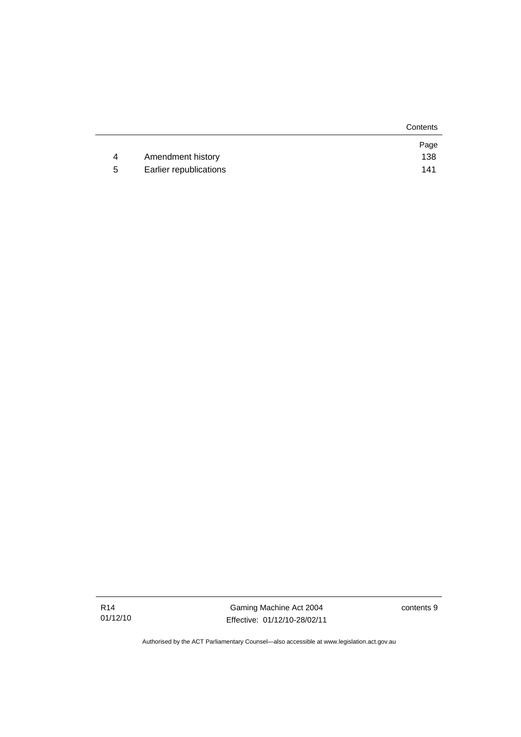|   |                        | Contents |
|---|------------------------|----------|
|   |                        | Page     |
| 4 | Amendment history      | 138      |
| 5 | Earlier republications | 141      |

contents 9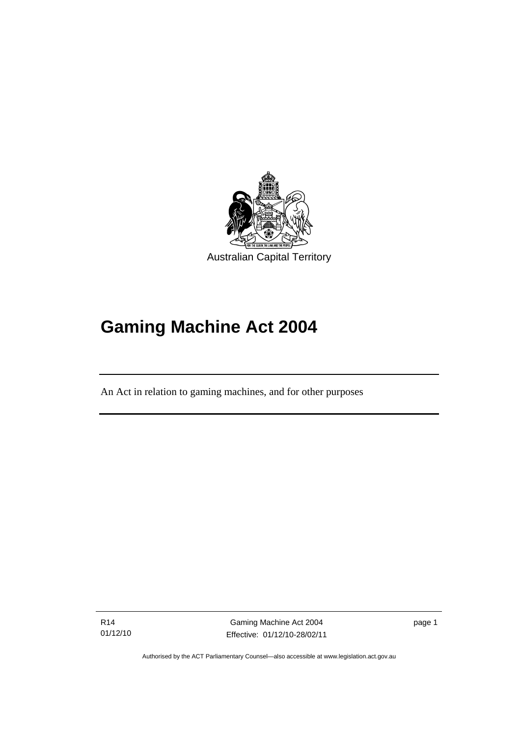<span id="page-12-0"></span>

# **Gaming Machine Act 2004**

An Act in relation to gaming machines, and for other purposes

R14 01/12/10

l

Gaming Machine Act 2004 Effective: 01/12/10-28/02/11 page 1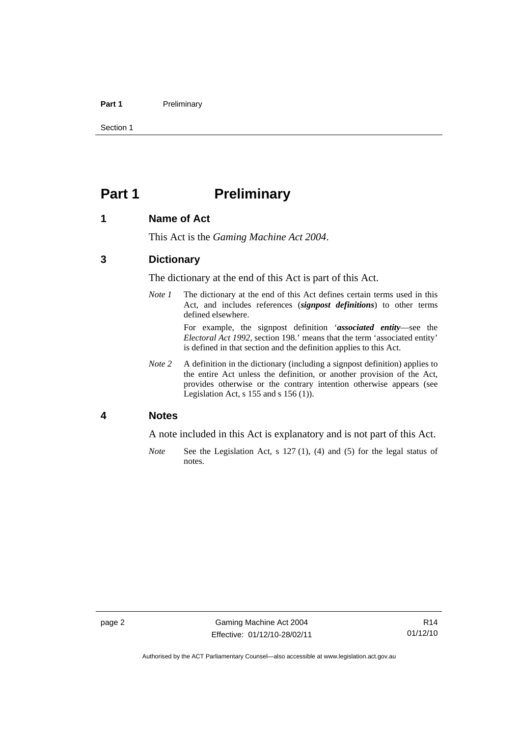### <span id="page-13-0"></span>Part 1 **Preliminary**

Section 1

# **Part 1** Preliminary

### **1 Name of Act**

This Act is the *Gaming Machine Act 2004*.

### **3 Dictionary**

The dictionary at the end of this Act is part of this Act.

*Note 1* The dictionary at the end of this Act defines certain terms used in this Act, and includes references (*signpost definitions*) to other terms defined elsewhere.

> For example, the signpost definition '*associated entity*—see the *Electoral Act 1992*, section 198.' means that the term 'associated entity' is defined in that section and the definition applies to this Act.

*Note 2* A definition in the dictionary (including a signpost definition) applies to the entire Act unless the definition, or another provision of the Act, provides otherwise or the contrary intention otherwise appears (see Legislation Act, s 155 and s 156 (1)).

### **4 Notes**

A note included in this Act is explanatory and is not part of this Act.

*Note* See the Legislation Act, s 127 (1), (4) and (5) for the legal status of notes.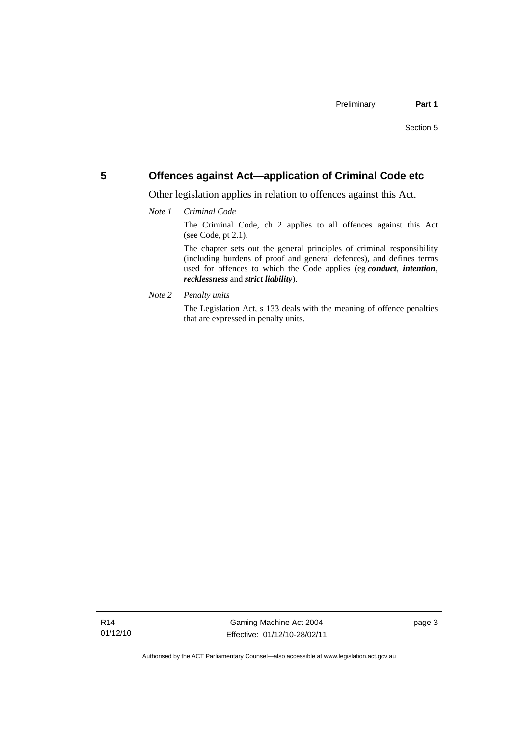# <span id="page-14-0"></span>**5 Offences against Act—application of Criminal Code etc**

Other legislation applies in relation to offences against this Act.

*Note 1 Criminal Code*

The Criminal Code, ch 2 applies to all offences against this Act (see Code, pt 2.1).

The chapter sets out the general principles of criminal responsibility (including burdens of proof and general defences), and defines terms used for offences to which the Code applies (eg *conduct*, *intention*, *recklessness* and *strict liability*).

*Note 2 Penalty units* 

The Legislation Act, s 133 deals with the meaning of offence penalties that are expressed in penalty units.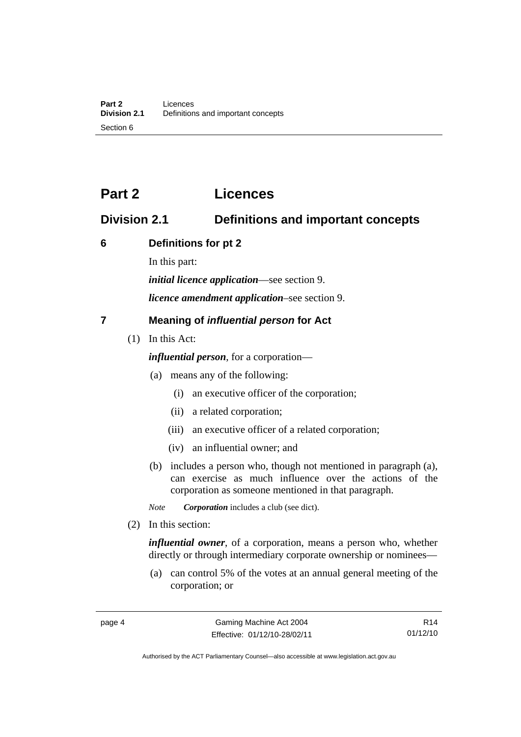# <span id="page-15-0"></span>**Part 2 Licences**

# **Division 2.1 Definitions and important concepts**

# **6 Definitions for pt 2**

In this part:

*initial licence application*—see section 9.

*licence amendment application*–see section 9.

# **7 Meaning of** *influential person* **for Act**

(1) In this Act:

*influential person*, for a corporation—

- (a) means any of the following:
	- (i) an executive officer of the corporation;
	- (ii) a related corporation;
	- (iii) an executive officer of a related corporation;
	- (iv) an influential owner; and
- (b) includes a person who, though not mentioned in paragraph (a), can exercise as much influence over the actions of the corporation as someone mentioned in that paragraph.
- *Note Corporation* includes a club (see dict).
- (2) In this section:

*influential owner*, of a corporation, means a person who, whether directly or through intermediary corporate ownership or nominees—

 (a) can control 5% of the votes at an annual general meeting of the corporation; or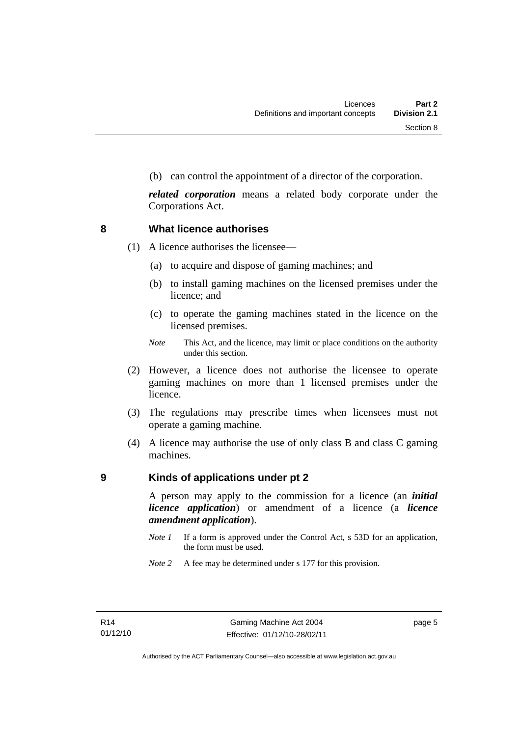<span id="page-16-0"></span>(b) can control the appointment of a director of the corporation.

*related corporation* means a related body corporate under the Corporations Act.

### **8 What licence authorises**

(1) A licence authorises the licensee—

- (a) to acquire and dispose of gaming machines; and
- (b) to install gaming machines on the licensed premises under the licence; and
- (c) to operate the gaming machines stated in the licence on the licensed premises.
- *Note* This Act, and the licence, may limit or place conditions on the authority under this section.
- (2) However, a licence does not authorise the licensee to operate gaming machines on more than 1 licensed premises under the licence.
- (3) The regulations may prescribe times when licensees must not operate a gaming machine.
- (4) A licence may authorise the use of only class B and class C gaming machines.

# **9 Kinds of applications under pt 2**

A person may apply to the commission for a licence (an *initial licence application*) or amendment of a licence (a *licence amendment application*).

- *Note 1* If a form is approved under the Control Act, s 53D for an application, the form must be used.
- *Note* 2 A fee may be determined under s 177 for this provision.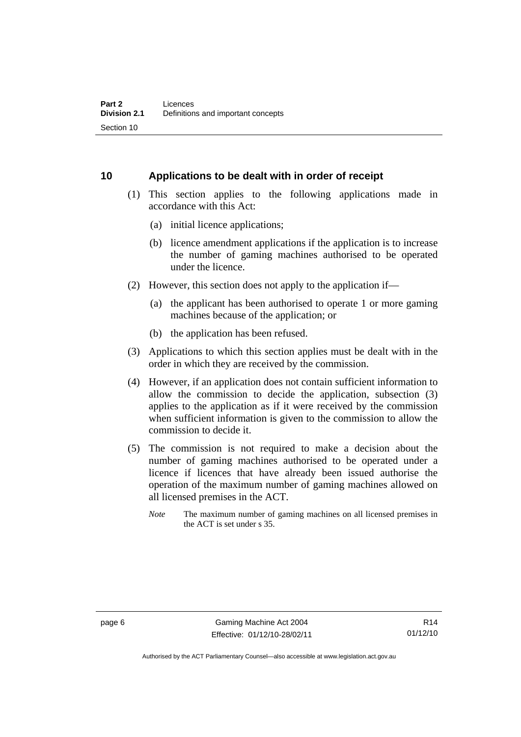# <span id="page-17-0"></span>**10 Applications to be dealt with in order of receipt**

- (1) This section applies to the following applications made in accordance with this Act:
	- (a) initial licence applications;
	- (b) licence amendment applications if the application is to increase the number of gaming machines authorised to be operated under the licence.
- (2) However, this section does not apply to the application if—
	- (a) the applicant has been authorised to operate 1 or more gaming machines because of the application; or
	- (b) the application has been refused.
- (3) Applications to which this section applies must be dealt with in the order in which they are received by the commission.
- (4) However, if an application does not contain sufficient information to allow the commission to decide the application, subsection (3) applies to the application as if it were received by the commission when sufficient information is given to the commission to allow the commission to decide it.
- (5) The commission is not required to make a decision about the number of gaming machines authorised to be operated under a licence if licences that have already been issued authorise the operation of the maximum number of gaming machines allowed on all licensed premises in the ACT.
	- *Note* The maximum number of gaming machines on all licensed premises in the ACT is set under s 35.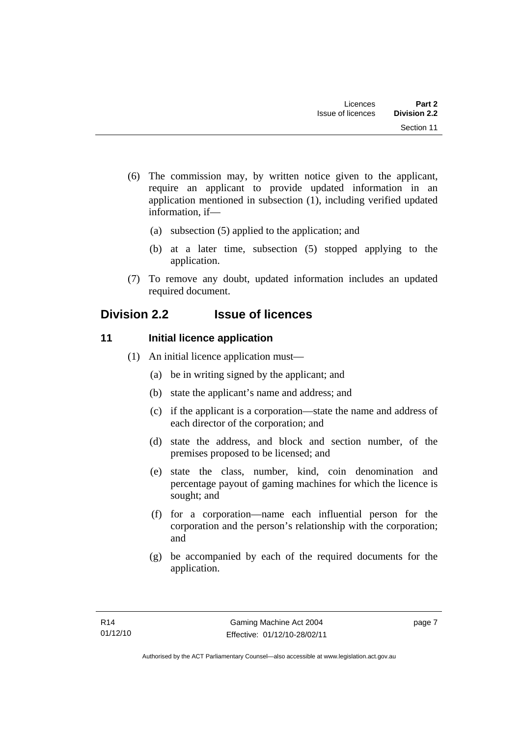- <span id="page-18-0"></span> (6) The commission may, by written notice given to the applicant, require an applicant to provide updated information in an application mentioned in subsection (1), including verified updated information, if—
	- (a) subsection (5) applied to the application; and
	- (b) at a later time, subsection (5) stopped applying to the application.
- (7) To remove any doubt, updated information includes an updated required document.

# **Division 2.2 Issue of licences**

# **11** Initial licence application

- (1) An initial licence application must—
	- (a) be in writing signed by the applicant; and
	- (b) state the applicant's name and address; and
	- (c) if the applicant is a corporation—state the name and address of each director of the corporation; and
	- (d) state the address, and block and section number, of the premises proposed to be licensed; and
	- (e) state the class, number, kind, coin denomination and percentage payout of gaming machines for which the licence is sought; and
	- (f) for a corporation—name each influential person for the corporation and the person's relationship with the corporation; and
	- (g) be accompanied by each of the required documents for the application.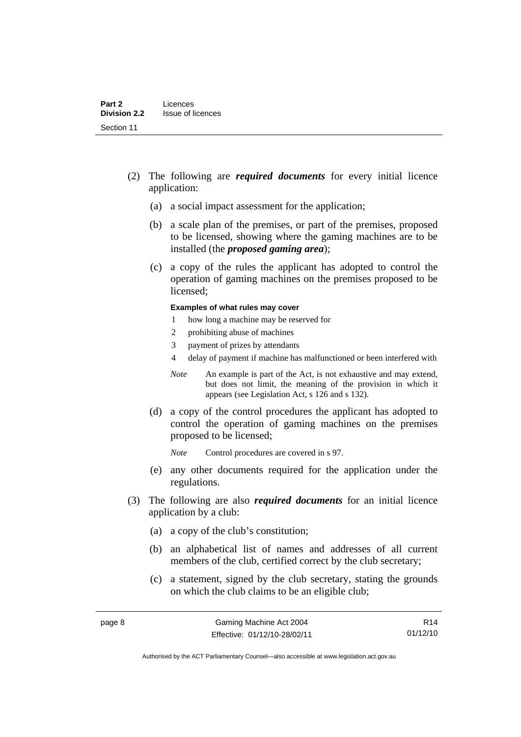- (2) The following are *required documents* for every initial licence application:
	- (a) a social impact assessment for the application;
	- (b) a scale plan of the premises, or part of the premises, proposed to be licensed, showing where the gaming machines are to be installed (the *proposed gaming area*);
	- (c) a copy of the rules the applicant has adopted to control the operation of gaming machines on the premises proposed to be licensed;

### **Examples of what rules may cover**

- 1 how long a machine may be reserved for
- 2 prohibiting abuse of machines
- 3 payment of prizes by attendants
- 4 delay of payment if machine has malfunctioned or been interfered with
- *Note* An example is part of the Act, is not exhaustive and may extend, but does not limit, the meaning of the provision in which it appears (see Legislation Act, s 126 and s 132).
- (d) a copy of the control procedures the applicant has adopted to control the operation of gaming machines on the premises proposed to be licensed;
	- *Note* Control procedures are covered in s 97.
- (e) any other documents required for the application under the regulations.
- (3) The following are also *required documents* for an initial licence application by a club:
	- (a) a copy of the club's constitution;
	- (b) an alphabetical list of names and addresses of all current members of the club, certified correct by the club secretary;
	- (c) a statement, signed by the club secretary, stating the grounds on which the club claims to be an eligible club;

R14 01/12/10

Authorised by the ACT Parliamentary Counsel—also accessible at www.legislation.act.gov.au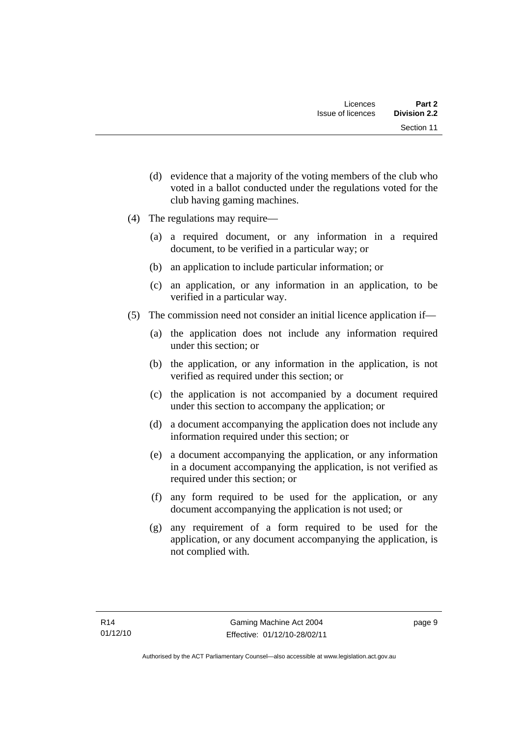- (d) evidence that a majority of the voting members of the club who voted in a ballot conducted under the regulations voted for the club having gaming machines.
- (4) The regulations may require—
	- (a) a required document, or any information in a required document, to be verified in a particular way; or
	- (b) an application to include particular information; or
	- (c) an application, or any information in an application, to be verified in a particular way.
- (5) The commission need not consider an initial licence application if—
	- (a) the application does not include any information required under this section; or
	- (b) the application, or any information in the application, is not verified as required under this section; or
	- (c) the application is not accompanied by a document required under this section to accompany the application; or
	- (d) a document accompanying the application does not include any information required under this section; or
	- (e) a document accompanying the application, or any information in a document accompanying the application, is not verified as required under this section; or
	- (f) any form required to be used for the application, or any document accompanying the application is not used; or
	- (g) any requirement of a form required to be used for the application, or any document accompanying the application, is not complied with.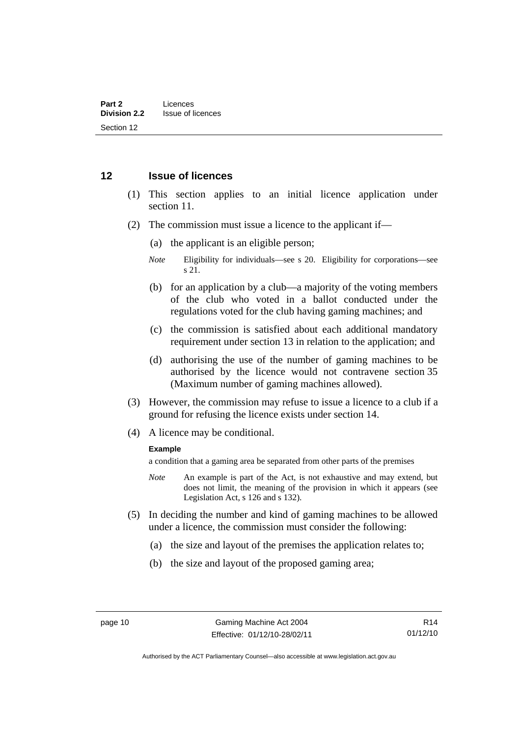# <span id="page-21-0"></span>**12 Issue of licences**

- (1) This section applies to an initial licence application under section 11.
- (2) The commission must issue a licence to the applicant if—
	- (a) the applicant is an eligible person;
	- *Note* Eligibility for individuals—see s 20. Eligibility for corporations—see s 21.
	- (b) for an application by a club—a majority of the voting members of the club who voted in a ballot conducted under the regulations voted for the club having gaming machines; and
	- (c) the commission is satisfied about each additional mandatory requirement under section 13 in relation to the application; and
	- (d) authorising the use of the number of gaming machines to be authorised by the licence would not contravene section 35 (Maximum number of gaming machines allowed).
- (3) However, the commission may refuse to issue a licence to a club if a ground for refusing the licence exists under section 14.
- (4) A licence may be conditional.

### **Example**

a condition that a gaming area be separated from other parts of the premises

- *Note* An example is part of the Act, is not exhaustive and may extend, but does not limit, the meaning of the provision in which it appears (see Legislation Act, s 126 and s 132).
- (5) In deciding the number and kind of gaming machines to be allowed under a licence, the commission must consider the following:
	- (a) the size and layout of the premises the application relates to;
	- (b) the size and layout of the proposed gaming area;

Authorised by the ACT Parliamentary Counsel—also accessible at www.legislation.act.gov.au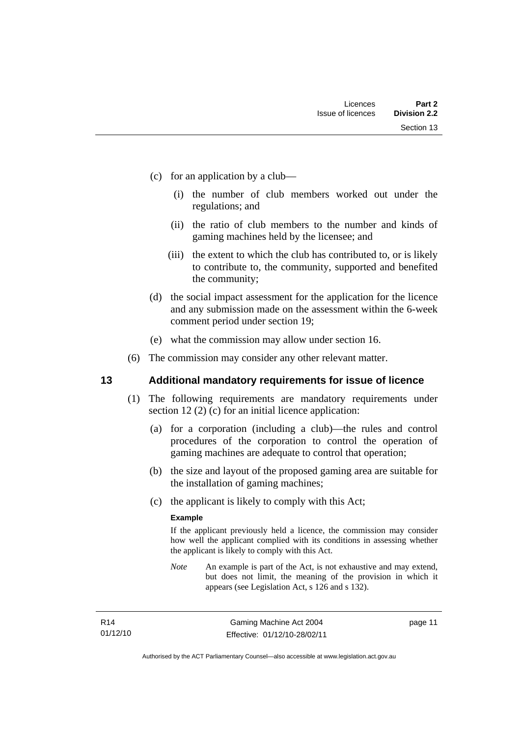- <span id="page-22-0"></span> (c) for an application by a club—
	- (i) the number of club members worked out under the regulations; and
	- (ii) the ratio of club members to the number and kinds of gaming machines held by the licensee; and
	- (iii) the extent to which the club has contributed to, or is likely to contribute to, the community, supported and benefited the community;
- (d) the social impact assessment for the application for the licence and any submission made on the assessment within the 6-week comment period under section 19;
- (e) what the commission may allow under section 16.
- (6) The commission may consider any other relevant matter.

# **13 Additional mandatory requirements for issue of licence**

- (1) The following requirements are mandatory requirements under section 12 (2) (c) for an initial licence application:
	- (a) for a corporation (including a club)—the rules and control procedures of the corporation to control the operation of gaming machines are adequate to control that operation;
	- (b) the size and layout of the proposed gaming area are suitable for the installation of gaming machines;
	- (c) the applicant is likely to comply with this Act;

### **Example**

If the applicant previously held a licence, the commission may consider how well the applicant complied with its conditions in assessing whether the applicant is likely to comply with this Act.

*Note* An example is part of the Act, is not exhaustive and may extend, but does not limit, the meaning of the provision in which it appears (see Legislation Act, s 126 and s 132).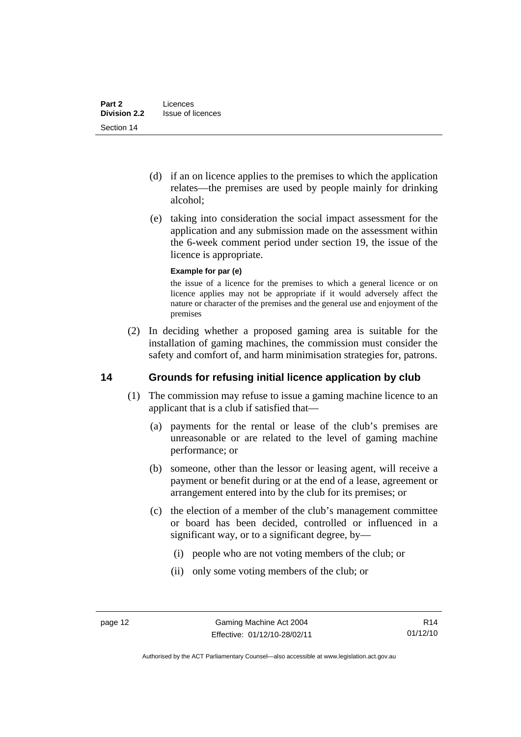- <span id="page-23-0"></span> (d) if an on licence applies to the premises to which the application relates—the premises are used by people mainly for drinking alcohol;
- (e) taking into consideration the social impact assessment for the application and any submission made on the assessment within the 6-week comment period under section 19, the issue of the licence is appropriate.

### **Example for par (e)**

the issue of a licence for the premises to which a general licence or on licence applies may not be appropriate if it would adversely affect the nature or character of the premises and the general use and enjoyment of the premises

 (2) In deciding whether a proposed gaming area is suitable for the installation of gaming machines, the commission must consider the safety and comfort of, and harm minimisation strategies for, patrons.

# **14 Grounds for refusing initial licence application by club**

- (1) The commission may refuse to issue a gaming machine licence to an applicant that is a club if satisfied that—
	- (a) payments for the rental or lease of the club's premises are unreasonable or are related to the level of gaming machine performance; or
	- (b) someone, other than the lessor or leasing agent, will receive a payment or benefit during or at the end of a lease, agreement or arrangement entered into by the club for its premises; or
	- (c) the election of a member of the club's management committee or board has been decided, controlled or influenced in a significant way, or to a significant degree, by—
		- (i) people who are not voting members of the club; or
		- (ii) only some voting members of the club; or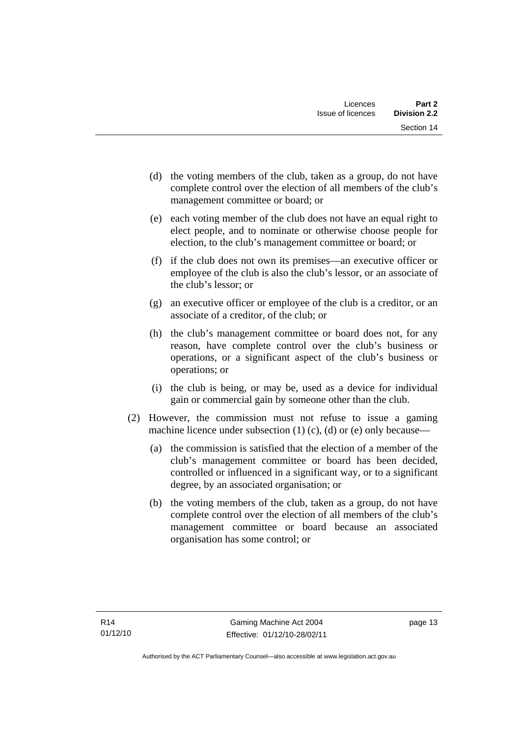- (d) the voting members of the club, taken as a group, do not have complete control over the election of all members of the club's management committee or board; or
- (e) each voting member of the club does not have an equal right to elect people, and to nominate or otherwise choose people for election, to the club's management committee or board; or
- (f) if the club does not own its premises—an executive officer or employee of the club is also the club's lessor, or an associate of the club's lessor; or
- (g) an executive officer or employee of the club is a creditor, or an associate of a creditor, of the club; or
- (h) the club's management committee or board does not, for any reason, have complete control over the club's business or operations, or a significant aspect of the club's business or operations; or
- (i) the club is being, or may be, used as a device for individual gain or commercial gain by someone other than the club.
- (2) However, the commission must not refuse to issue a gaming machine licence under subsection  $(1)$   $(c)$ ,  $(d)$  or  $(e)$  only because-
	- (a) the commission is satisfied that the election of a member of the club's management committee or board has been decided, controlled or influenced in a significant way, or to a significant degree, by an associated organisation; or
	- (b) the voting members of the club, taken as a group, do not have complete control over the election of all members of the club's management committee or board because an associated organisation has some control; or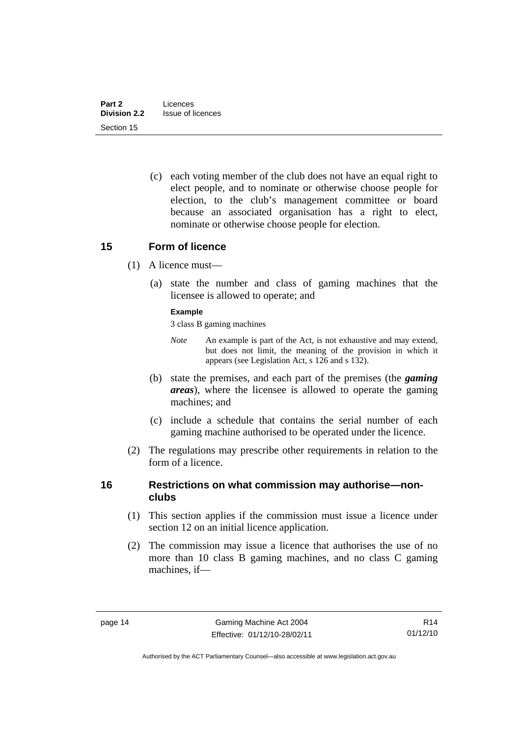<span id="page-25-0"></span> (c) each voting member of the club does not have an equal right to elect people, and to nominate or otherwise choose people for election, to the club's management committee or board because an associated organisation has a right to elect, nominate or otherwise choose people for election.

# **15 Form of licence**

- (1) A licence must—
	- (a) state the number and class of gaming machines that the licensee is allowed to operate; and

### **Example**

3 class B gaming machines

- *Note* An example is part of the Act, is not exhaustive and may extend, but does not limit, the meaning of the provision in which it appears (see Legislation Act, s 126 and s 132).
- (b) state the premises, and each part of the premises (the *gaming areas*), where the licensee is allowed to operate the gaming machines; and
- (c) include a schedule that contains the serial number of each gaming machine authorised to be operated under the licence.
- (2) The regulations may prescribe other requirements in relation to the form of a licence.

# **16 Restrictions on what commission may authorise—nonclubs**

- (1) This section applies if the commission must issue a licence under section 12 on an initial licence application.
- (2) The commission may issue a licence that authorises the use of no more than 10 class B gaming machines, and no class C gaming machines, if—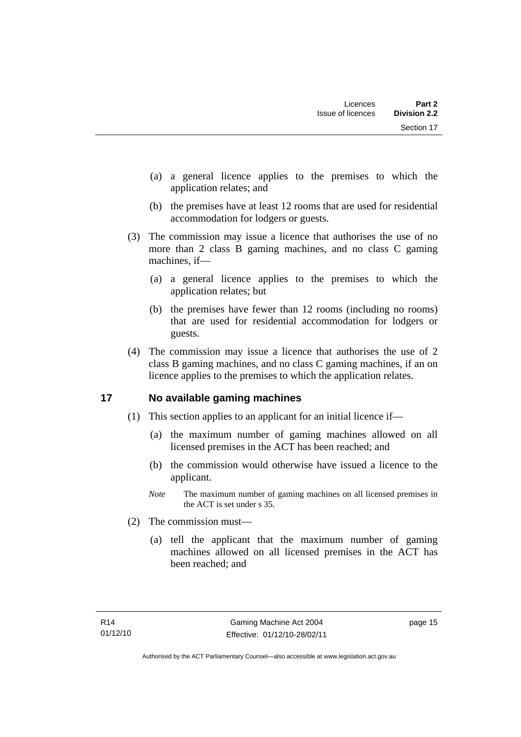- <span id="page-26-0"></span> (a) a general licence applies to the premises to which the application relates; and
- (b) the premises have at least 12 rooms that are used for residential accommodation for lodgers or guests.
- (3) The commission may issue a licence that authorises the use of no more than 2 class B gaming machines, and no class C gaming machines, if—
	- (a) a general licence applies to the premises to which the application relates; but
	- (b) the premises have fewer than 12 rooms (including no rooms) that are used for residential accommodation for lodgers or guests.
- (4) The commission may issue a licence that authorises the use of 2 class B gaming machines, and no class C gaming machines, if an on licence applies to the premises to which the application relates.

# **17 No available gaming machines**

- (1) This section applies to an applicant for an initial licence if—
	- (a) the maximum number of gaming machines allowed on all licensed premises in the ACT has been reached; and
	- (b) the commission would otherwise have issued a licence to the applicant.
	- *Note* The maximum number of gaming machines on all licensed premises in the ACT is set under s 35.
- (2) The commission must—
	- (a) tell the applicant that the maximum number of gaming machines allowed on all licensed premises in the ACT has been reached; and

page 15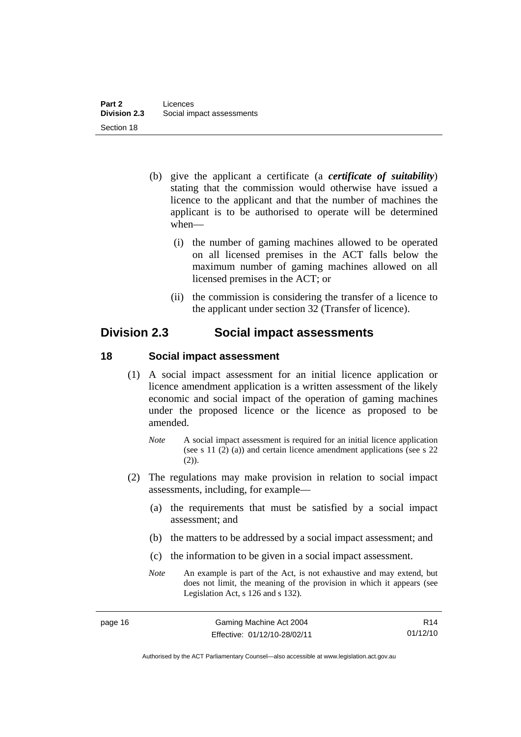- <span id="page-27-0"></span> (b) give the applicant a certificate (a *certificate of suitability*) stating that the commission would otherwise have issued a licence to the applicant and that the number of machines the applicant is to be authorised to operate will be determined when—
	- (i) the number of gaming machines allowed to be operated on all licensed premises in the ACT falls below the maximum number of gaming machines allowed on all licensed premises in the ACT; or
	- (ii) the commission is considering the transfer of a licence to the applicant under section 32 (Transfer of licence).

# **Division 2.3 Social impact assessments**

# **18 Social impact assessment**

- (1) A social impact assessment for an initial licence application or licence amendment application is a written assessment of the likely economic and social impact of the operation of gaming machines under the proposed licence or the licence as proposed to be amended.
	- *Note* A social impact assessment is required for an initial licence application (see s 11 (2) (a)) and certain licence amendment applications (see s 22 (2)).
- (2) The regulations may make provision in relation to social impact assessments, including, for example—
	- (a) the requirements that must be satisfied by a social impact assessment; and
	- (b) the matters to be addressed by a social impact assessment; and
	- (c) the information to be given in a social impact assessment.
	- *Note* An example is part of the Act, is not exhaustive and may extend, but does not limit, the meaning of the provision in which it appears (see Legislation Act, s 126 and s 132).

R14 01/12/10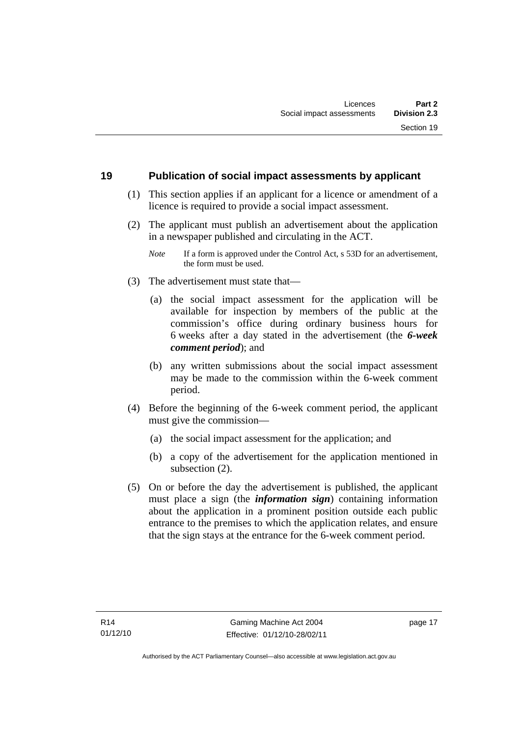### <span id="page-28-0"></span>**19 Publication of social impact assessments by applicant**

- (1) This section applies if an applicant for a licence or amendment of a licence is required to provide a social impact assessment.
- (2) The applicant must publish an advertisement about the application in a newspaper published and circulating in the ACT.
	- *Note* If a form is approved under the Control Act, s 53D for an advertisement, the form must be used.
- (3) The advertisement must state that—
	- (a) the social impact assessment for the application will be available for inspection by members of the public at the commission's office during ordinary business hours for 6 weeks after a day stated in the advertisement (the *6-week comment period*); and
	- (b) any written submissions about the social impact assessment may be made to the commission within the 6-week comment period.
- (4) Before the beginning of the 6-week comment period, the applicant must give the commission—
	- (a) the social impact assessment for the application; and
	- (b) a copy of the advertisement for the application mentioned in subsection (2).
- (5) On or before the day the advertisement is published, the applicant must place a sign (the *information sign*) containing information about the application in a prominent position outside each public entrance to the premises to which the application relates, and ensure that the sign stays at the entrance for the 6-week comment period.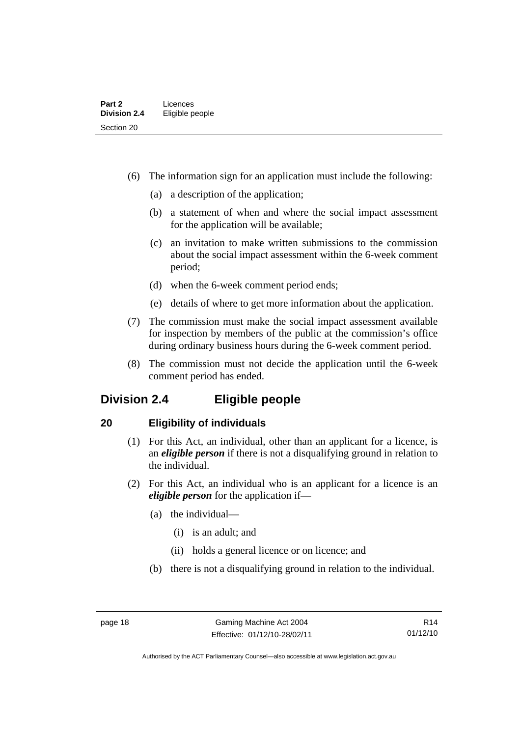- <span id="page-29-0"></span> (6) The information sign for an application must include the following:
	- (a) a description of the application;
	- (b) a statement of when and where the social impact assessment for the application will be available;
	- (c) an invitation to make written submissions to the commission about the social impact assessment within the 6-week comment period;
	- (d) when the 6-week comment period ends;
	- (e) details of where to get more information about the application.
- (7) The commission must make the social impact assessment available for inspection by members of the public at the commission's office during ordinary business hours during the 6-week comment period.
- (8) The commission must not decide the application until the 6-week comment period has ended.

# **Division 2.4 Eligible people**

# **20 Eligibility of individuals**

- (1) For this Act, an individual, other than an applicant for a licence, is an *eligible person* if there is not a disqualifying ground in relation to the individual.
- (2) For this Act, an individual who is an applicant for a licence is an *eligible person* for the application if—
	- (a) the individual—
		- (i) is an adult; and
		- (ii) holds a general licence or on licence; and
	- (b) there is not a disqualifying ground in relation to the individual.

Authorised by the ACT Parliamentary Counsel—also accessible at www.legislation.act.gov.au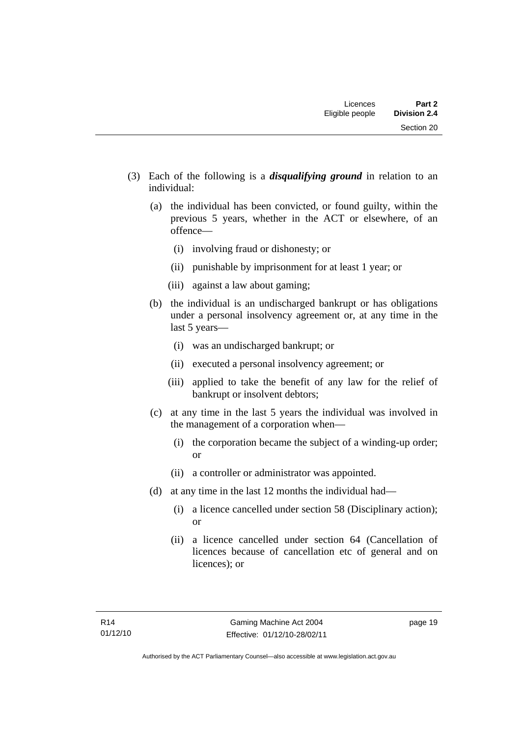- (3) Each of the following is a *disqualifying ground* in relation to an individual:
	- (a) the individual has been convicted, or found guilty, within the previous 5 years, whether in the ACT or elsewhere, of an offence—
		- (i) involving fraud or dishonesty; or
		- (ii) punishable by imprisonment for at least 1 year; or
		- (iii) against a law about gaming;
	- (b) the individual is an undischarged bankrupt or has obligations under a personal insolvency agreement or, at any time in the last 5 years—
		- (i) was an undischarged bankrupt; or
		- (ii) executed a personal insolvency agreement; or
		- (iii) applied to take the benefit of any law for the relief of bankrupt or insolvent debtors;
	- (c) at any time in the last 5 years the individual was involved in the management of a corporation when—
		- (i) the corporation became the subject of a winding-up order; or
		- (ii) a controller or administrator was appointed.
	- (d) at any time in the last 12 months the individual had—
		- (i) a licence cancelled under section 58 (Disciplinary action); or
		- (ii) a licence cancelled under section 64 (Cancellation of licences because of cancellation etc of general and on licences); or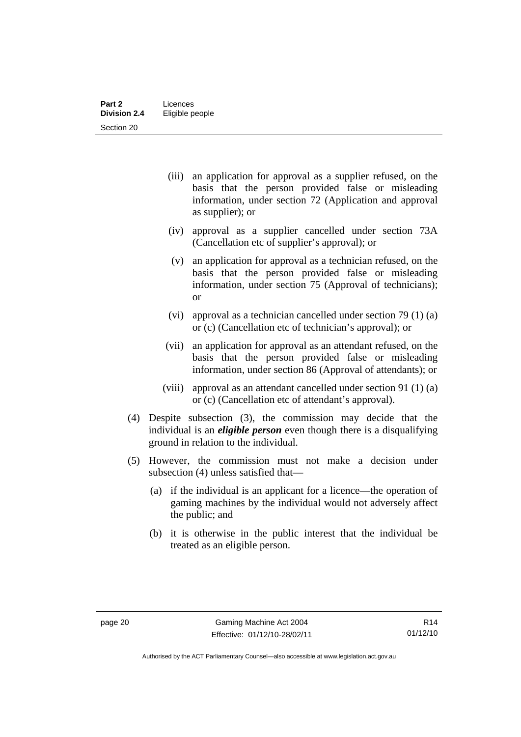- (iii) an application for approval as a supplier refused, on the basis that the person provided false or misleading information, under section 72 (Application and approval as supplier); or
- (iv) approval as a supplier cancelled under section 73A (Cancellation etc of supplier's approval); or
- (v) an application for approval as a technician refused, on the basis that the person provided false or misleading information, under section 75 (Approval of technicians); or
- (vi) approval as a technician cancelled under section 79 (1) (a) or (c) (Cancellation etc of technician's approval); or
- (vii) an application for approval as an attendant refused, on the basis that the person provided false or misleading information, under section 86 (Approval of attendants); or
- (viii) approval as an attendant cancelled under section 91 (1) (a) or (c) (Cancellation etc of attendant's approval).
- (4) Despite subsection (3), the commission may decide that the individual is an *eligible person* even though there is a disqualifying ground in relation to the individual.
- (5) However, the commission must not make a decision under subsection (4) unless satisfied that—
	- (a) if the individual is an applicant for a licence—the operation of gaming machines by the individual would not adversely affect the public; and
	- (b) it is otherwise in the public interest that the individual be treated as an eligible person.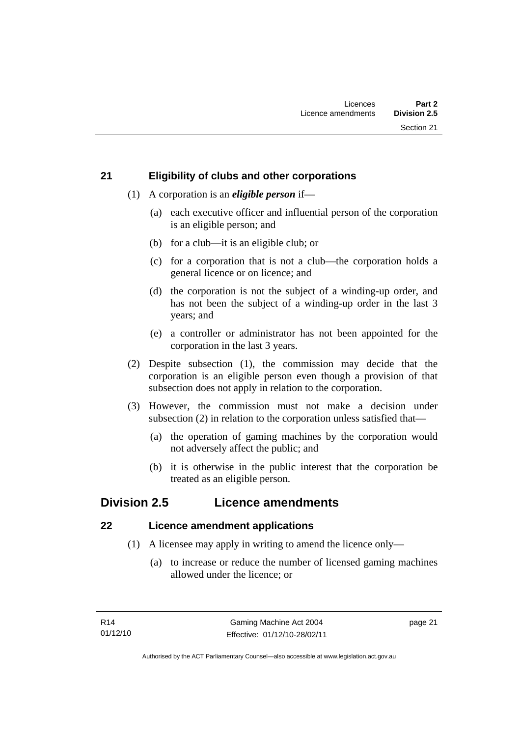# <span id="page-32-0"></span>**21 Eligibility of clubs and other corporations**

- (1) A corporation is an *eligible person* if—
	- (a) each executive officer and influential person of the corporation is an eligible person; and
	- (b) for a club—it is an eligible club; or
	- (c) for a corporation that is not a club—the corporation holds a general licence or on licence; and
	- (d) the corporation is not the subject of a winding-up order, and has not been the subject of a winding-up order in the last 3 years; and
	- (e) a controller or administrator has not been appointed for the corporation in the last 3 years.
- (2) Despite subsection (1), the commission may decide that the corporation is an eligible person even though a provision of that subsection does not apply in relation to the corporation.
- (3) However, the commission must not make a decision under subsection (2) in relation to the corporation unless satisfied that—
	- (a) the operation of gaming machines by the corporation would not adversely affect the public; and
	- (b) it is otherwise in the public interest that the corporation be treated as an eligible person.

# **Division 2.5 Licence amendments**

# **22 Licence amendment applications**

- (1) A licensee may apply in writing to amend the licence only—
	- (a) to increase or reduce the number of licensed gaming machines allowed under the licence; or

page 21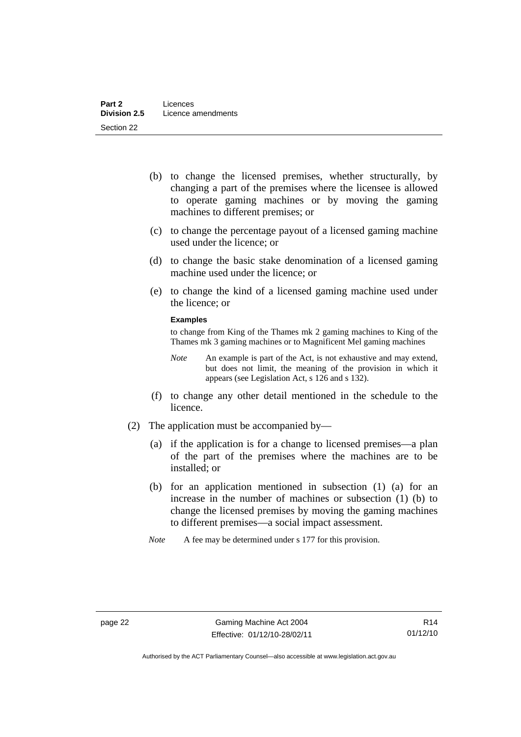- (b) to change the licensed premises, whether structurally, by changing a part of the premises where the licensee is allowed to operate gaming machines or by moving the gaming machines to different premises; or
- (c) to change the percentage payout of a licensed gaming machine used under the licence; or
- (d) to change the basic stake denomination of a licensed gaming machine used under the licence; or
- (e) to change the kind of a licensed gaming machine used under the licence; or

### **Examples**

to change from King of the Thames mk 2 gaming machines to King of the Thames mk 3 gaming machines or to Magnificent Mel gaming machines

- *Note* An example is part of the Act, is not exhaustive and may extend, but does not limit, the meaning of the provision in which it appears (see Legislation Act, s 126 and s 132).
- (f) to change any other detail mentioned in the schedule to the licence.
- (2) The application must be accompanied by—
	- (a) if the application is for a change to licensed premises—a plan of the part of the premises where the machines are to be installed; or
	- (b) for an application mentioned in subsection (1) (a) for an increase in the number of machines or subsection (1) (b) to change the licensed premises by moving the gaming machines to different premises—a social impact assessment.
	- *Note* A fee may be determined under s 177 for this provision.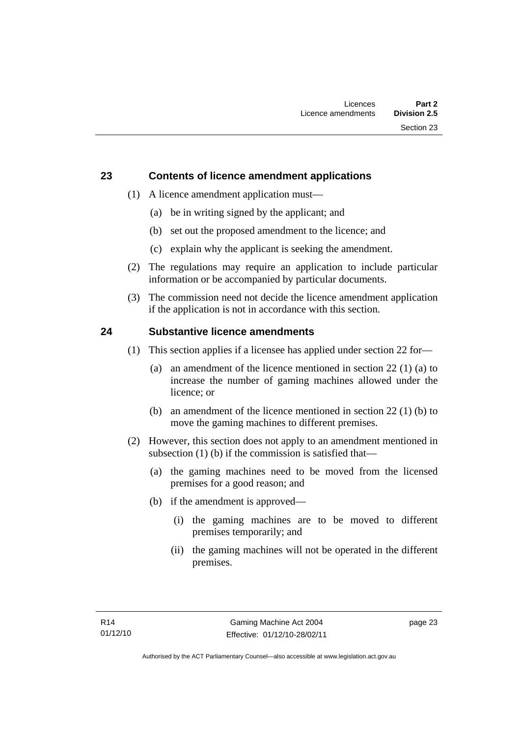# <span id="page-34-0"></span>**23 Contents of licence amendment applications**

- (1) A licence amendment application must—
	- (a) be in writing signed by the applicant; and
	- (b) set out the proposed amendment to the licence; and
	- (c) explain why the applicant is seeking the amendment.
- (2) The regulations may require an application to include particular information or be accompanied by particular documents.
- (3) The commission need not decide the licence amendment application if the application is not in accordance with this section.

# **24 Substantive licence amendments**

- (1) This section applies if a licensee has applied under section 22 for—
	- (a) an amendment of the licence mentioned in section 22 (1) (a) to increase the number of gaming machines allowed under the licence; or
	- (b) an amendment of the licence mentioned in section 22 (1) (b) to move the gaming machines to different premises.
- (2) However, this section does not apply to an amendment mentioned in subsection (1) (b) if the commission is satisfied that—
	- (a) the gaming machines need to be moved from the licensed premises for a good reason; and
	- (b) if the amendment is approved—
		- (i) the gaming machines are to be moved to different premises temporarily; and
		- (ii) the gaming machines will not be operated in the different premises.

page 23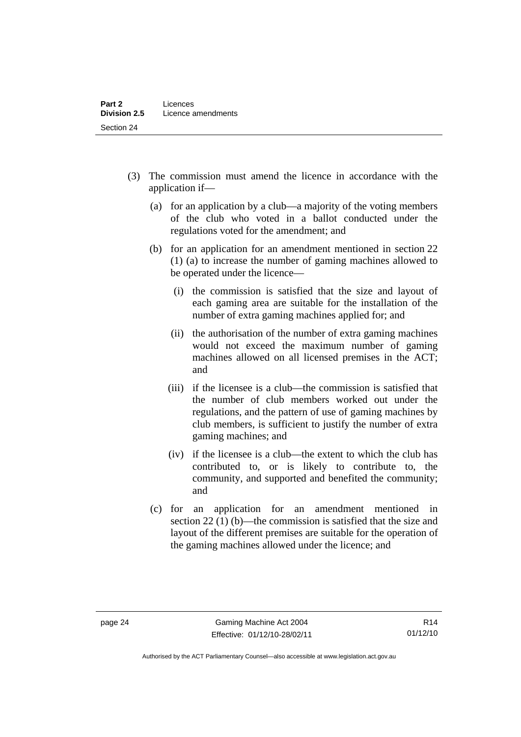- (3) The commission must amend the licence in accordance with the application if—
	- (a) for an application by a club—a majority of the voting members of the club who voted in a ballot conducted under the regulations voted for the amendment; and
	- (b) for an application for an amendment mentioned in section 22 (1) (a) to increase the number of gaming machines allowed to be operated under the licence—
		- (i) the commission is satisfied that the size and layout of each gaming area are suitable for the installation of the number of extra gaming machines applied for; and
		- (ii) the authorisation of the number of extra gaming machines would not exceed the maximum number of gaming machines allowed on all licensed premises in the ACT; and
		- (iii) if the licensee is a club—the commission is satisfied that the number of club members worked out under the regulations, and the pattern of use of gaming machines by club members, is sufficient to justify the number of extra gaming machines; and
		- (iv) if the licensee is a club—the extent to which the club has contributed to, or is likely to contribute to, the community, and supported and benefited the community; and
	- (c) for an application for an amendment mentioned in section 22 (1) (b)—the commission is satisfied that the size and layout of the different premises are suitable for the operation of the gaming machines allowed under the licence; and

Authorised by the ACT Parliamentary Counsel—also accessible at www.legislation.act.gov.au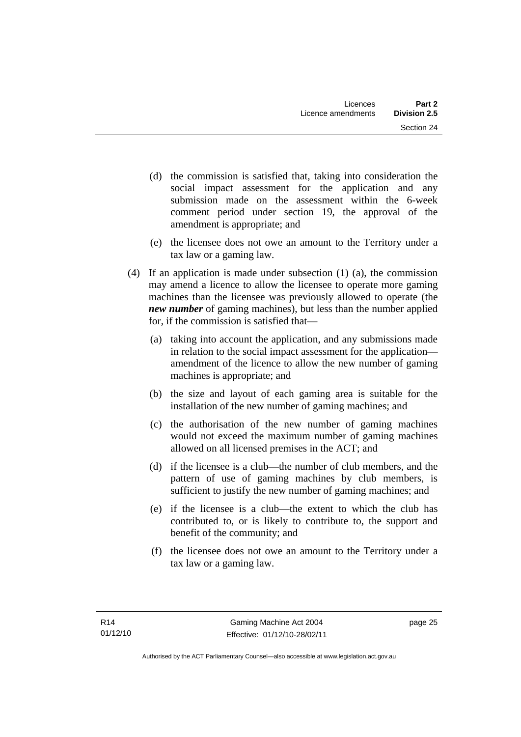- (d) the commission is satisfied that, taking into consideration the social impact assessment for the application and any submission made on the assessment within the 6-week comment period under section 19, the approval of the amendment is appropriate; and
- (e) the licensee does not owe an amount to the Territory under a tax law or a gaming law.
- (4) If an application is made under subsection (1) (a), the commission may amend a licence to allow the licensee to operate more gaming machines than the licensee was previously allowed to operate (the *new number* of gaming machines), but less than the number applied for, if the commission is satisfied that—
	- (a) taking into account the application, and any submissions made in relation to the social impact assessment for the application amendment of the licence to allow the new number of gaming machines is appropriate; and
	- (b) the size and layout of each gaming area is suitable for the installation of the new number of gaming machines; and
	- (c) the authorisation of the new number of gaming machines would not exceed the maximum number of gaming machines allowed on all licensed premises in the ACT; and
	- (d) if the licensee is a club—the number of club members, and the pattern of use of gaming machines by club members, is sufficient to justify the new number of gaming machines; and
	- (e) if the licensee is a club—the extent to which the club has contributed to, or is likely to contribute to, the support and benefit of the community; and
	- (f) the licensee does not owe an amount to the Territory under a tax law or a gaming law.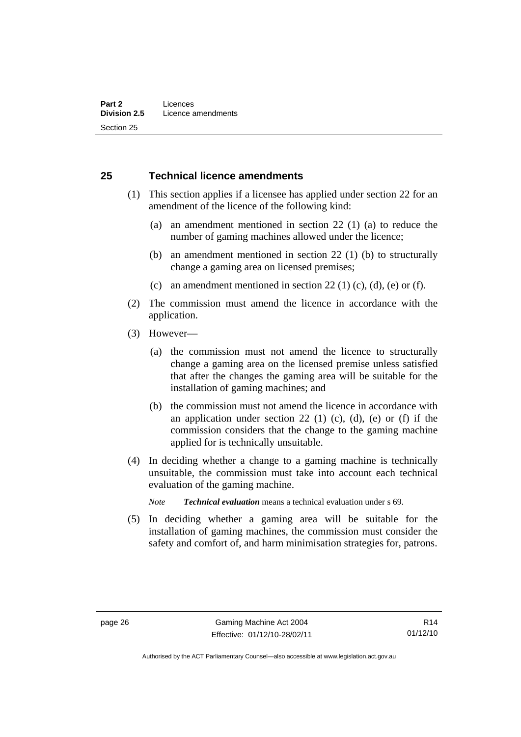#### **25 Technical licence amendments**

- (1) This section applies if a licensee has applied under section 22 for an amendment of the licence of the following kind:
	- (a) an amendment mentioned in section 22 (1) (a) to reduce the number of gaming machines allowed under the licence;
	- (b) an amendment mentioned in section 22 (1) (b) to structurally change a gaming area on licensed premises;
	- (c) an amendment mentioned in section 22 (1) (c), (d), (e) or (f).
- (2) The commission must amend the licence in accordance with the application.
- (3) However—
	- (a) the commission must not amend the licence to structurally change a gaming area on the licensed premise unless satisfied that after the changes the gaming area will be suitable for the installation of gaming machines; and
	- (b) the commission must not amend the licence in accordance with an application under section 22 (1) (c), (d), (e) or (f) if the commission considers that the change to the gaming machine applied for is technically unsuitable.
- (4) In deciding whether a change to a gaming machine is technically unsuitable, the commission must take into account each technical evaluation of the gaming machine.

*Note Technical evaluation* means a technical evaluation under s 69.

 (5) In deciding whether a gaming area will be suitable for the installation of gaming machines, the commission must consider the safety and comfort of, and harm minimisation strategies for, patrons.

Authorised by the ACT Parliamentary Counsel—also accessible at www.legislation.act.gov.au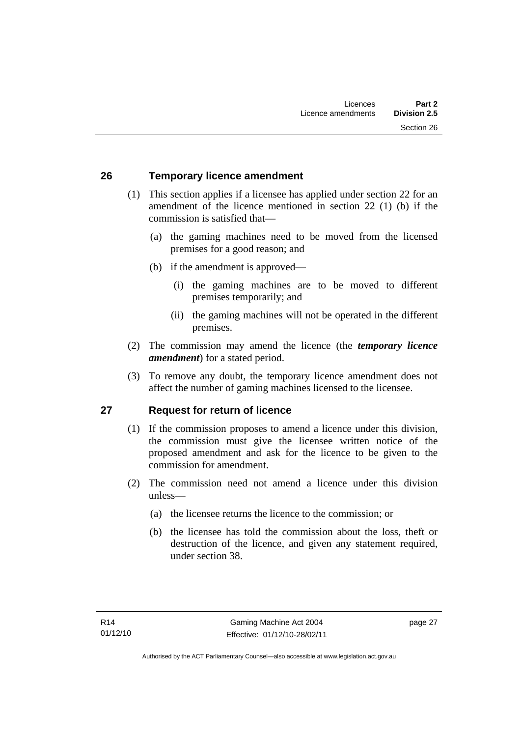#### **26 Temporary licence amendment**

- (1) This section applies if a licensee has applied under section 22 for an amendment of the licence mentioned in section 22 (1) (b) if the commission is satisfied that—
	- (a) the gaming machines need to be moved from the licensed premises for a good reason; and
	- (b) if the amendment is approved—
		- (i) the gaming machines are to be moved to different premises temporarily; and
		- (ii) the gaming machines will not be operated in the different premises.
- (2) The commission may amend the licence (the *temporary licence amendment*) for a stated period.
- (3) To remove any doubt, the temporary licence amendment does not affect the number of gaming machines licensed to the licensee.

### **27 Request for return of licence**

- (1) If the commission proposes to amend a licence under this division, the commission must give the licensee written notice of the proposed amendment and ask for the licence to be given to the commission for amendment.
- (2) The commission need not amend a licence under this division unless—
	- (a) the licensee returns the licence to the commission; or
	- (b) the licensee has told the commission about the loss, theft or destruction of the licence, and given any statement required, under section 38.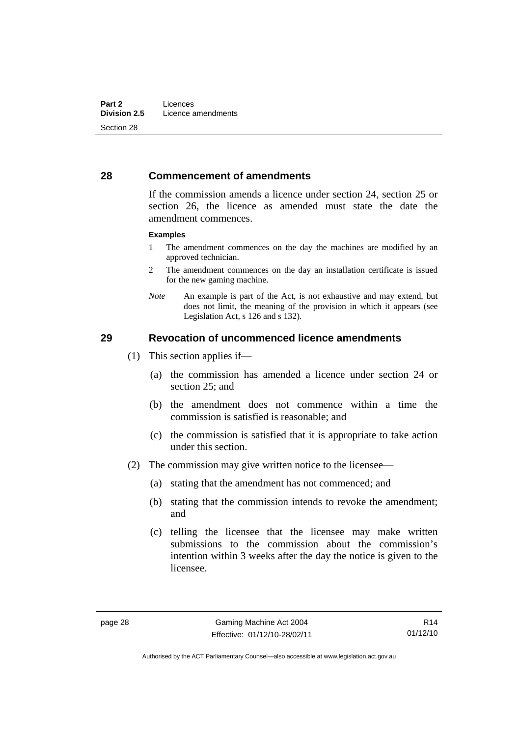#### **28 Commencement of amendments**

If the commission amends a licence under section 24, section 25 or section 26, the licence as amended must state the date the amendment commences.

#### **Examples**

- 1 The amendment commences on the day the machines are modified by an approved technician.
- 2 The amendment commences on the day an installation certificate is issued for the new gaming machine.
- *Note* An example is part of the Act, is not exhaustive and may extend, but does not limit, the meaning of the provision in which it appears (see Legislation Act, s 126 and s 132).

#### **29 Revocation of uncommenced licence amendments**

- (1) This section applies if—
	- (a) the commission has amended a licence under section 24 or section 25; and
	- (b) the amendment does not commence within a time the commission is satisfied is reasonable; and
	- (c) the commission is satisfied that it is appropriate to take action under this section.
- (2) The commission may give written notice to the licensee—
	- (a) stating that the amendment has not commenced; and
	- (b) stating that the commission intends to revoke the amendment; and
	- (c) telling the licensee that the licensee may make written submissions to the commission about the commission's intention within 3 weeks after the day the notice is given to the licensee.

Authorised by the ACT Parliamentary Counsel—also accessible at www.legislation.act.gov.au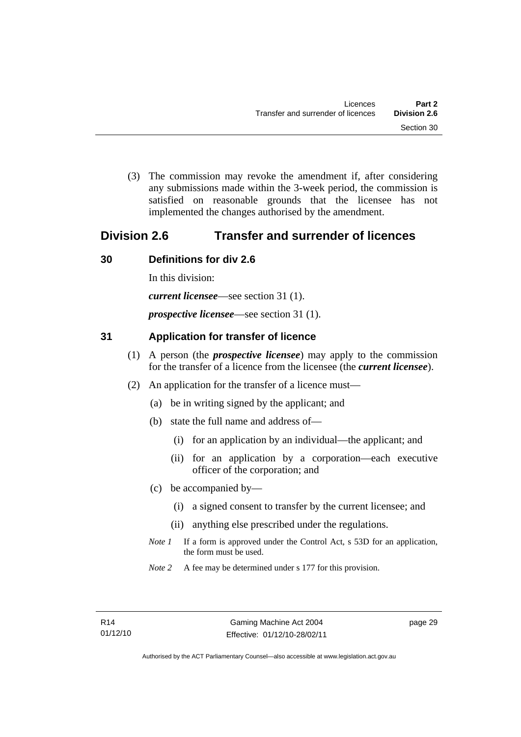(3) The commission may revoke the amendment if, after considering any submissions made within the 3-week period, the commission is satisfied on reasonable grounds that the licensee has not implemented the changes authorised by the amendment.

# **Division 2.6 Transfer and surrender of licences**

## **30 Definitions for div 2.6**

In this division:

*current licensee*—see section 31 (1).

*prospective licensee*—see section 31 (1).

## **31 Application for transfer of licence**

- (1) A person (the *prospective licensee*) may apply to the commission for the transfer of a licence from the licensee (the *current licensee*).
- (2) An application for the transfer of a licence must—
	- (a) be in writing signed by the applicant; and
	- (b) state the full name and address of—
		- (i) for an application by an individual—the applicant; and
		- (ii) for an application by a corporation—each executive officer of the corporation; and
	- (c) be accompanied by—
		- (i) a signed consent to transfer by the current licensee; and
		- (ii) anything else prescribed under the regulations.
	- *Note 1* If a form is approved under the Control Act, s 53D for an application, the form must be used.
	- *Note* 2 A fee may be determined under s 177 for this provision.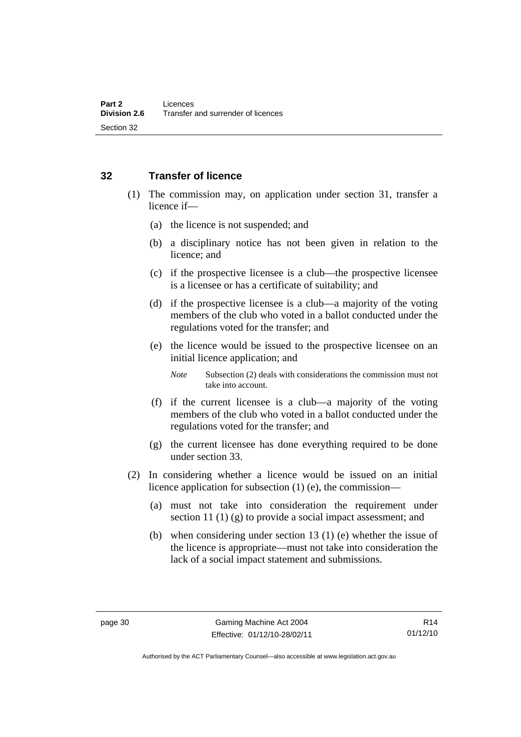#### **32 Transfer of licence**

- (1) The commission may, on application under section 31, transfer a licence if—
	- (a) the licence is not suspended; and
	- (b) a disciplinary notice has not been given in relation to the licence; and
	- (c) if the prospective licensee is a club—the prospective licensee is a licensee or has a certificate of suitability; and
	- (d) if the prospective licensee is a club—a majority of the voting members of the club who voted in a ballot conducted under the regulations voted for the transfer; and
	- (e) the licence would be issued to the prospective licensee on an initial licence application; and

*Note* Subsection (2) deals with considerations the commission must not take into account.

- (f) if the current licensee is a club—a majority of the voting members of the club who voted in a ballot conducted under the regulations voted for the transfer; and
- (g) the current licensee has done everything required to be done under section 33.
- (2) In considering whether a licence would be issued on an initial licence application for subsection (1) (e), the commission—
	- (a) must not take into consideration the requirement under section 11 (1) (g) to provide a social impact assessment; and
	- (b) when considering under section 13 (1) (e) whether the issue of the licence is appropriate—must not take into consideration the lack of a social impact statement and submissions.

R14 01/12/10

Authorised by the ACT Parliamentary Counsel—also accessible at www.legislation.act.gov.au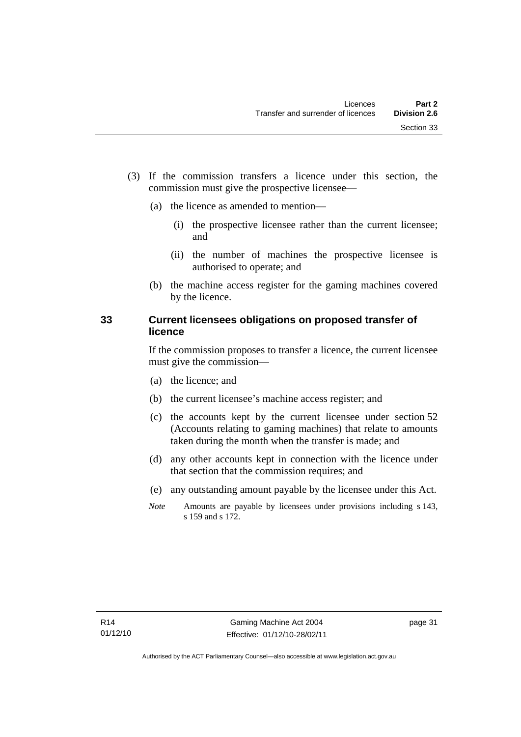- (3) If the commission transfers a licence under this section, the commission must give the prospective licensee—
	- (a) the licence as amended to mention—
		- (i) the prospective licensee rather than the current licensee; and
		- (ii) the number of machines the prospective licensee is authorised to operate; and
	- (b) the machine access register for the gaming machines covered by the licence.

#### **33 Current licensees obligations on proposed transfer of licence**

If the commission proposes to transfer a licence, the current licensee must give the commission—

- (a) the licence; and
- (b) the current licensee's machine access register; and
- (c) the accounts kept by the current licensee under section 52 (Accounts relating to gaming machines) that relate to amounts taken during the month when the transfer is made; and
- (d) any other accounts kept in connection with the licence under that section that the commission requires; and
- (e) any outstanding amount payable by the licensee under this Act.
- *Note* Amounts are payable by licensees under provisions including s 143, s 159 and s 172.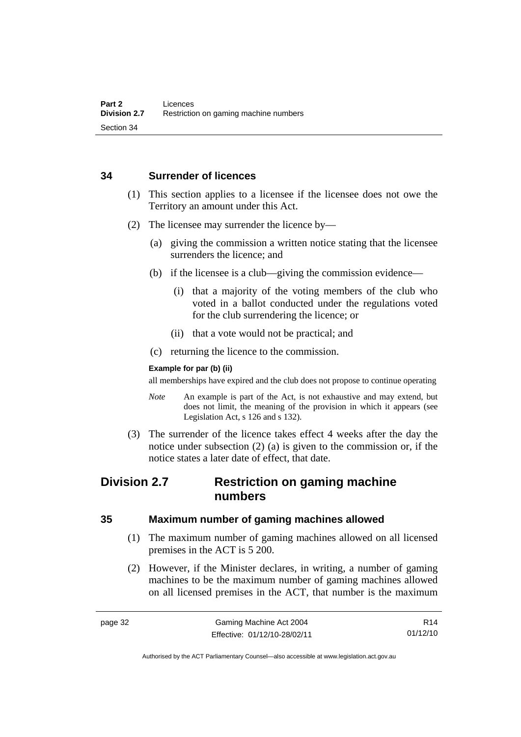#### **34 Surrender of licences**

- (1) This section applies to a licensee if the licensee does not owe the Territory an amount under this Act.
- (2) The licensee may surrender the licence by—
	- (a) giving the commission a written notice stating that the licensee surrenders the licence; and
	- (b) if the licensee is a club—giving the commission evidence—
		- (i) that a majority of the voting members of the club who voted in a ballot conducted under the regulations voted for the club surrendering the licence; or
		- (ii) that a vote would not be practical; and
	- (c) returning the licence to the commission.

#### **Example for par (b) (ii)**

all memberships have expired and the club does not propose to continue operating

- *Note* An example is part of the Act, is not exhaustive and may extend, but does not limit, the meaning of the provision in which it appears (see Legislation Act, s 126 and s 132).
- (3) The surrender of the licence takes effect 4 weeks after the day the notice under subsection (2) (a) is given to the commission or, if the notice states a later date of effect, that date.

## **Division 2.7 Restriction on gaming machine numbers**

#### **35 Maximum number of gaming machines allowed**

- (1) The maximum number of gaming machines allowed on all licensed premises in the ACT is 5 200.
- (2) However, if the Minister declares, in writing, a number of gaming machines to be the maximum number of gaming machines allowed on all licensed premises in the ACT, that number is the maximum

Authorised by the ACT Parliamentary Counsel—also accessible at www.legislation.act.gov.au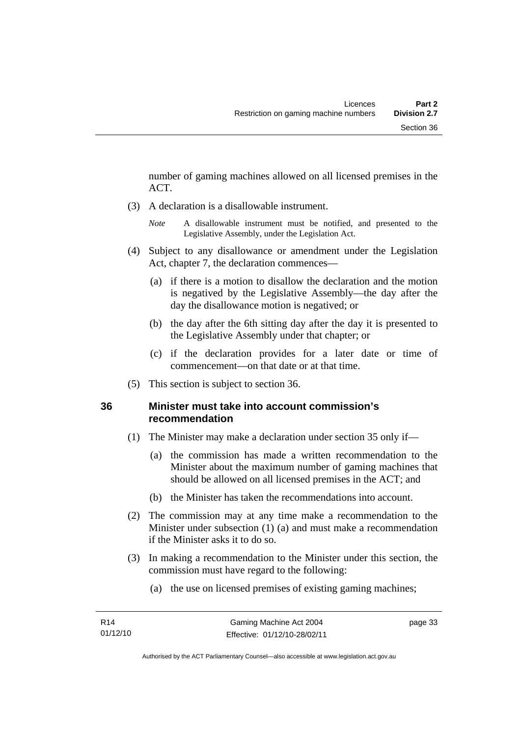number of gaming machines allowed on all licensed premises in the ACT.

- (3) A declaration is a disallowable instrument.
	- *Note* A disallowable instrument must be notified, and presented to the Legislative Assembly, under the Legislation Act.
- (4) Subject to any disallowance or amendment under the Legislation Act, chapter 7, the declaration commences—
	- (a) if there is a motion to disallow the declaration and the motion is negatived by the Legislative Assembly—the day after the day the disallowance motion is negatived; or
	- (b) the day after the 6th sitting day after the day it is presented to the Legislative Assembly under that chapter; or
	- (c) if the declaration provides for a later date or time of commencement—on that date or at that time.
- (5) This section is subject to section 36.

### **36 Minister must take into account commission's recommendation**

- (1) The Minister may make a declaration under section 35 only if—
	- (a) the commission has made a written recommendation to the Minister about the maximum number of gaming machines that should be allowed on all licensed premises in the ACT; and
	- (b) the Minister has taken the recommendations into account.
- (2) The commission may at any time make a recommendation to the Minister under subsection (1) (a) and must make a recommendation if the Minister asks it to do so.
- (3) In making a recommendation to the Minister under this section, the commission must have regard to the following:
	- (a) the use on licensed premises of existing gaming machines;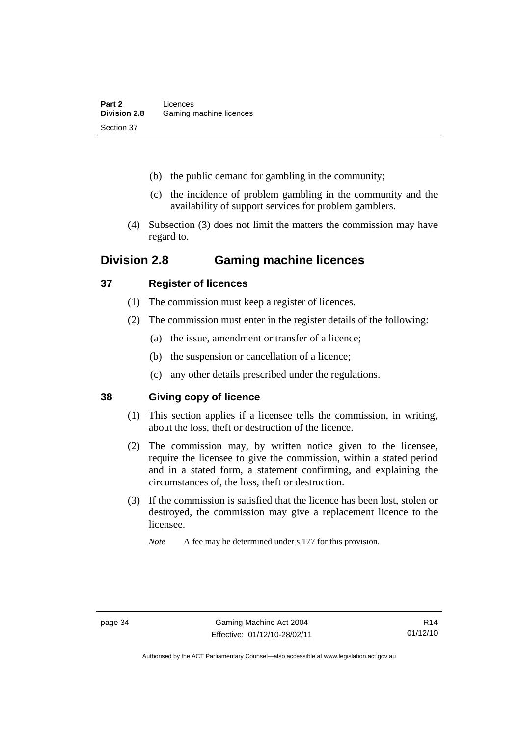- (b) the public demand for gambling in the community;
- (c) the incidence of problem gambling in the community and the availability of support services for problem gamblers.
- (4) Subsection (3) does not limit the matters the commission may have regard to.

# **Division 2.8 Gaming machine licences**

### **37 Register of licences**

- (1) The commission must keep a register of licences.
- (2) The commission must enter in the register details of the following:
	- (a) the issue, amendment or transfer of a licence;
	- (b) the suspension or cancellation of a licence;
	- (c) any other details prescribed under the regulations.

### **38 Giving copy of licence**

- (1) This section applies if a licensee tells the commission, in writing, about the loss, theft or destruction of the licence.
- (2) The commission may, by written notice given to the licensee, require the licensee to give the commission, within a stated period and in a stated form, a statement confirming, and explaining the circumstances of, the loss, theft or destruction.
- (3) If the commission is satisfied that the licence has been lost, stolen or destroyed, the commission may give a replacement licence to the licensee.

*Note* A fee may be determined under s 177 for this provision.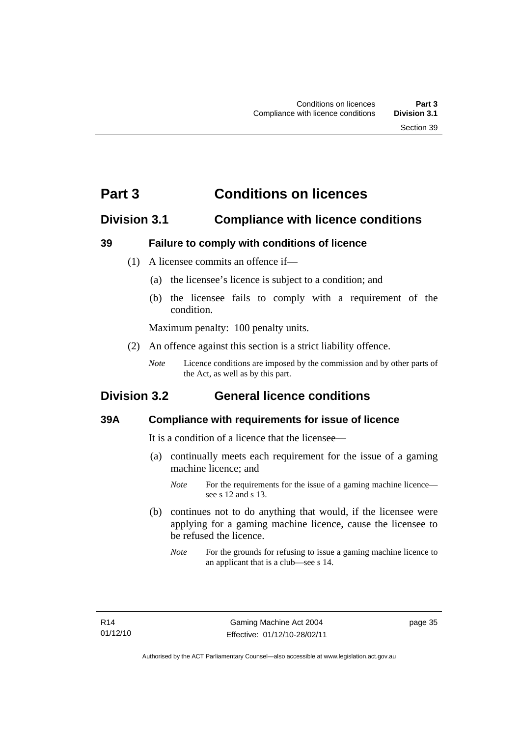# **Part 3 Conditions on licences**

## **Division 3.1 Compliance with licence conditions**

### **39 Failure to comply with conditions of licence**

- (1) A licensee commits an offence if—
	- (a) the licensee's licence is subject to a condition; and
	- (b) the licensee fails to comply with a requirement of the condition.

Maximum penalty: 100 penalty units.

- (2) An offence against this section is a strict liability offence.
	- *Note* Licence conditions are imposed by the commission and by other parts of the Act, as well as by this part.

# **Division 3.2 General licence conditions**

### **39A Compliance with requirements for issue of licence**

It is a condition of a licence that the licensee—

- (a) continually meets each requirement for the issue of a gaming machine licence; and
	- *Note* For the requirements for the issue of a gaming machine licence see s 12 and s 13.
- (b) continues not to do anything that would, if the licensee were applying for a gaming machine licence, cause the licensee to be refused the licence.
	- *Note* For the grounds for refusing to issue a gaming machine licence to an applicant that is a club—see s 14.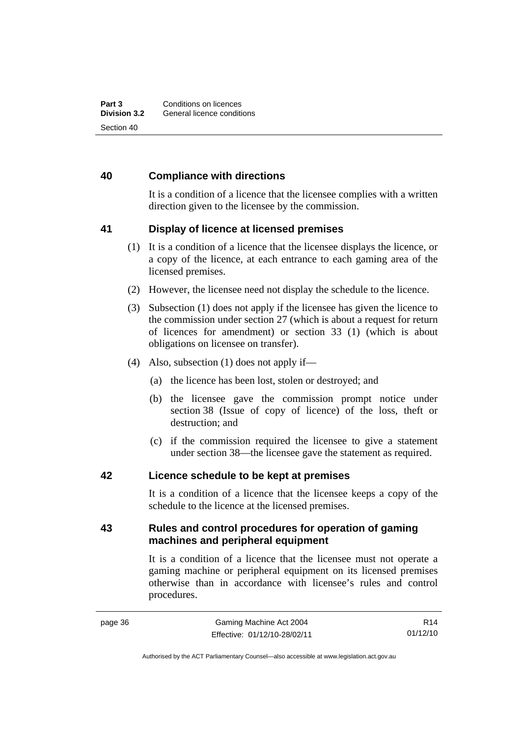#### **40 Compliance with directions**

It is a condition of a licence that the licensee complies with a written direction given to the licensee by the commission.

#### **41 Display of licence at licensed premises**

- (1) It is a condition of a licence that the licensee displays the licence, or a copy of the licence, at each entrance to each gaming area of the licensed premises.
- (2) However, the licensee need not display the schedule to the licence.
- (3) Subsection (1) does not apply if the licensee has given the licence to the commission under section 27 (which is about a request for return of licences for amendment) or section 33 (1) (which is about obligations on licensee on transfer).
- (4) Also, subsection (1) does not apply if—
	- (a) the licence has been lost, stolen or destroyed; and
	- (b) the licensee gave the commission prompt notice under section 38 (Issue of copy of licence) of the loss, theft or destruction; and
	- (c) if the commission required the licensee to give a statement under section 38—the licensee gave the statement as required.

#### **42 Licence schedule to be kept at premises**

It is a condition of a licence that the licensee keeps a copy of the schedule to the licence at the licensed premises.

#### **43 Rules and control procedures for operation of gaming machines and peripheral equipment**

It is a condition of a licence that the licensee must not operate a gaming machine or peripheral equipment on its licensed premises otherwise than in accordance with licensee's rules and control procedures.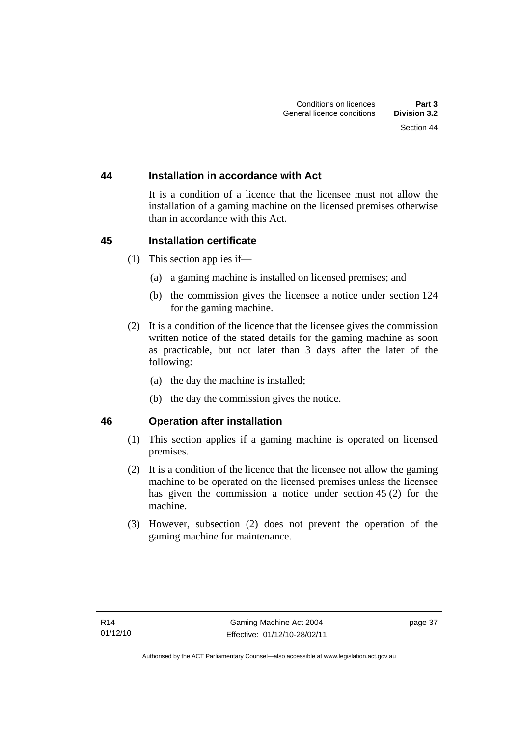#### **44 Installation in accordance with Act**

It is a condition of a licence that the licensee must not allow the installation of a gaming machine on the licensed premises otherwise than in accordance with this Act.

#### **45 Installation certificate**

- (1) This section applies if—
	- (a) a gaming machine is installed on licensed premises; and
	- (b) the commission gives the licensee a notice under section 124 for the gaming machine.
- (2) It is a condition of the licence that the licensee gives the commission written notice of the stated details for the gaming machine as soon as practicable, but not later than 3 days after the later of the following:
	- (a) the day the machine is installed;
	- (b) the day the commission gives the notice.

#### **46 Operation after installation**

- (1) This section applies if a gaming machine is operated on licensed premises.
- (2) It is a condition of the licence that the licensee not allow the gaming machine to be operated on the licensed premises unless the licensee has given the commission a notice under section 45 (2) for the machine.
- (3) However, subsection (2) does not prevent the operation of the gaming machine for maintenance.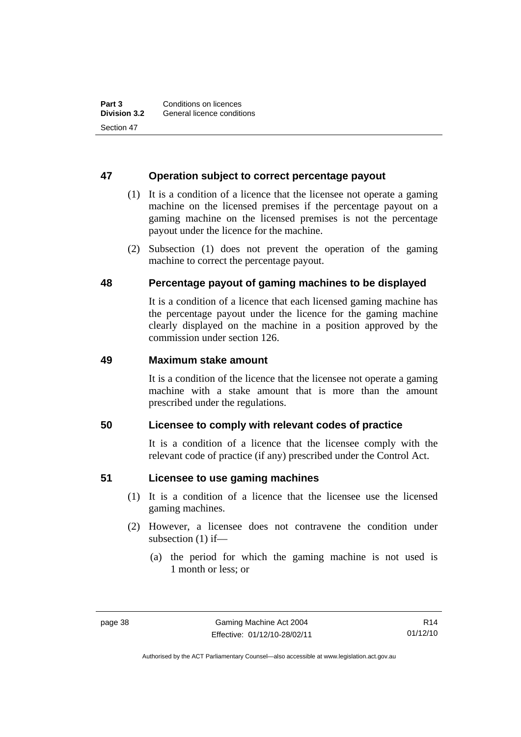#### **47 Operation subject to correct percentage payout**

- (1) It is a condition of a licence that the licensee not operate a gaming machine on the licensed premises if the percentage payout on a gaming machine on the licensed premises is not the percentage payout under the licence for the machine.
- (2) Subsection (1) does not prevent the operation of the gaming machine to correct the percentage payout.

#### **48 Percentage payout of gaming machines to be displayed**

It is a condition of a licence that each licensed gaming machine has the percentage payout under the licence for the gaming machine clearly displayed on the machine in a position approved by the commission under section 126.

#### **49 Maximum stake amount**

It is a condition of the licence that the licensee not operate a gaming machine with a stake amount that is more than the amount prescribed under the regulations.

#### **50 Licensee to comply with relevant codes of practice**

It is a condition of a licence that the licensee comply with the relevant code of practice (if any) prescribed under the Control Act.

#### **51 Licensee to use gaming machines**

- (1) It is a condition of a licence that the licensee use the licensed gaming machines.
- (2) However, a licensee does not contravene the condition under subsection (1) if—
	- (a) the period for which the gaming machine is not used is 1 month or less; or

Authorised by the ACT Parliamentary Counsel—also accessible at www.legislation.act.gov.au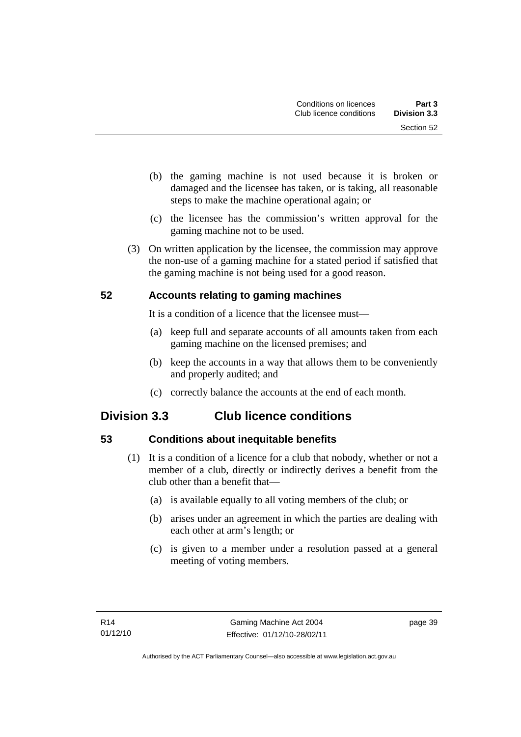- (b) the gaming machine is not used because it is broken or damaged and the licensee has taken, or is taking, all reasonable steps to make the machine operational again; or
- (c) the licensee has the commission's written approval for the gaming machine not to be used.
- (3) On written application by the licensee, the commission may approve the non-use of a gaming machine for a stated period if satisfied that the gaming machine is not being used for a good reason.

## **52 Accounts relating to gaming machines**

It is a condition of a licence that the licensee must—

- (a) keep full and separate accounts of all amounts taken from each gaming machine on the licensed premises; and
- (b) keep the accounts in a way that allows them to be conveniently and properly audited; and
- (c) correctly balance the accounts at the end of each month.

# **Division 3.3 Club licence conditions**

## **53 Conditions about inequitable benefits**

- (1) It is a condition of a licence for a club that nobody, whether or not a member of a club, directly or indirectly derives a benefit from the club other than a benefit that—
	- (a) is available equally to all voting members of the club; or
	- (b) arises under an agreement in which the parties are dealing with each other at arm's length; or
	- (c) is given to a member under a resolution passed at a general meeting of voting members.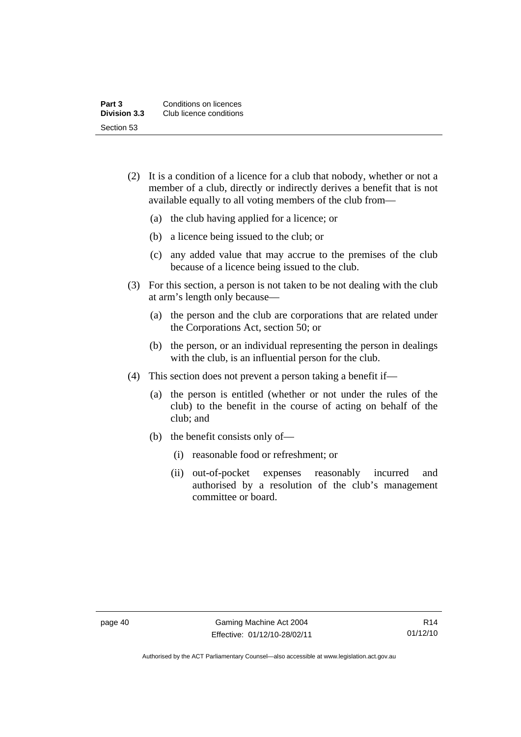| Part 3              | Conditions on licences  |
|---------------------|-------------------------|
| <b>Division 3.3</b> | Club licence conditions |
| Section 53          |                         |

- (2) It is a condition of a licence for a club that nobody, whether or not a member of a club, directly or indirectly derives a benefit that is not available equally to all voting members of the club from—
	- (a) the club having applied for a licence; or
	- (b) a licence being issued to the club; or
	- (c) any added value that may accrue to the premises of the club because of a licence being issued to the club.
- (3) For this section, a person is not taken to be not dealing with the club at arm's length only because—
	- (a) the person and the club are corporations that are related under the Corporations Act, section 50; or
	- (b) the person, or an individual representing the person in dealings with the club, is an influential person for the club.
- (4) This section does not prevent a person taking a benefit if—
	- (a) the person is entitled (whether or not under the rules of the club) to the benefit in the course of acting on behalf of the club; and
	- (b) the benefit consists only of—
		- (i) reasonable food or refreshment; or
		- (ii) out-of-pocket expenses reasonably incurred and authorised by a resolution of the club's management committee or board.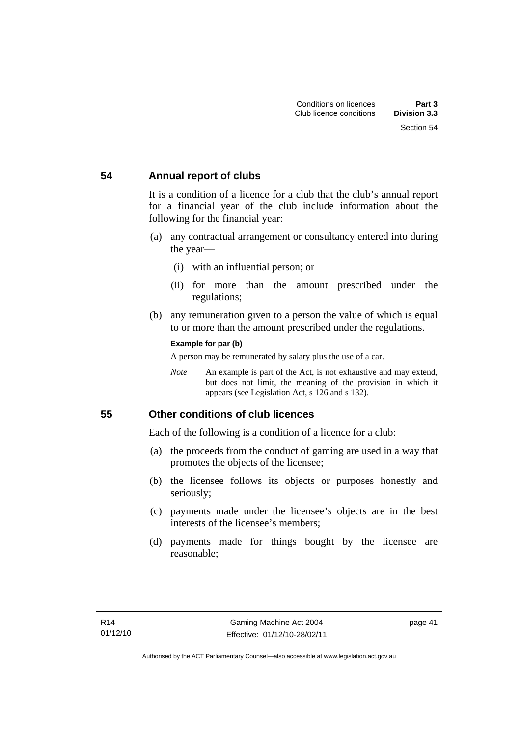#### **54 Annual report of clubs**

It is a condition of a licence for a club that the club's annual report for a financial year of the club include information about the following for the financial year:

- (a) any contractual arrangement or consultancy entered into during the year—
	- (i) with an influential person; or
	- (ii) for more than the amount prescribed under the regulations;
- (b) any remuneration given to a person the value of which is equal to or more than the amount prescribed under the regulations.

#### **Example for par (b)**

A person may be remunerated by salary plus the use of a car.

*Note* An example is part of the Act, is not exhaustive and may extend, but does not limit, the meaning of the provision in which it appears (see Legislation Act, s 126 and s 132).

#### **55 Other conditions of club licences**

Each of the following is a condition of a licence for a club:

- (a) the proceeds from the conduct of gaming are used in a way that promotes the objects of the licensee;
- (b) the licensee follows its objects or purposes honestly and seriously;
- (c) payments made under the licensee's objects are in the best interests of the licensee's members;
- (d) payments made for things bought by the licensee are reasonable;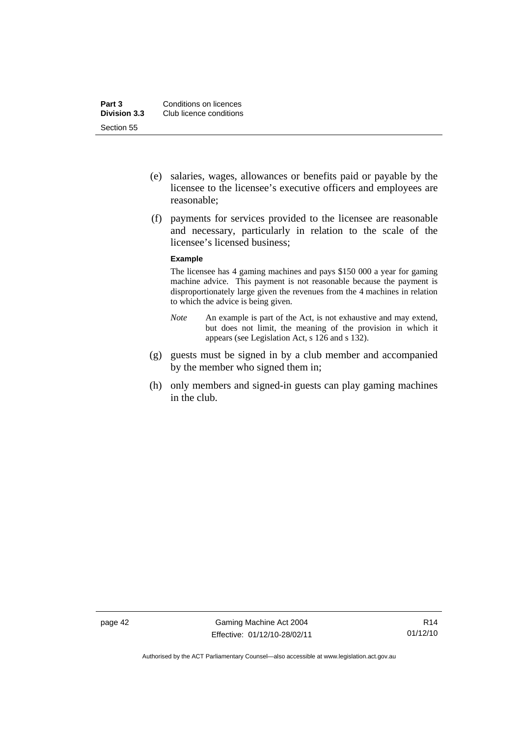- (e) salaries, wages, allowances or benefits paid or payable by the licensee to the licensee's executive officers and employees are reasonable;
- (f) payments for services provided to the licensee are reasonable and necessary, particularly in relation to the scale of the licensee's licensed business;

#### **Example**

The licensee has 4 gaming machines and pays \$150 000 a year for gaming machine advice. This payment is not reasonable because the payment is disproportionately large given the revenues from the 4 machines in relation to which the advice is being given.

- *Note* An example is part of the Act, is not exhaustive and may extend, but does not limit, the meaning of the provision in which it appears (see Legislation Act, s 126 and s 132).
- (g) guests must be signed in by a club member and accompanied by the member who signed them in;
- (h) only members and signed-in guests can play gaming machines in the club.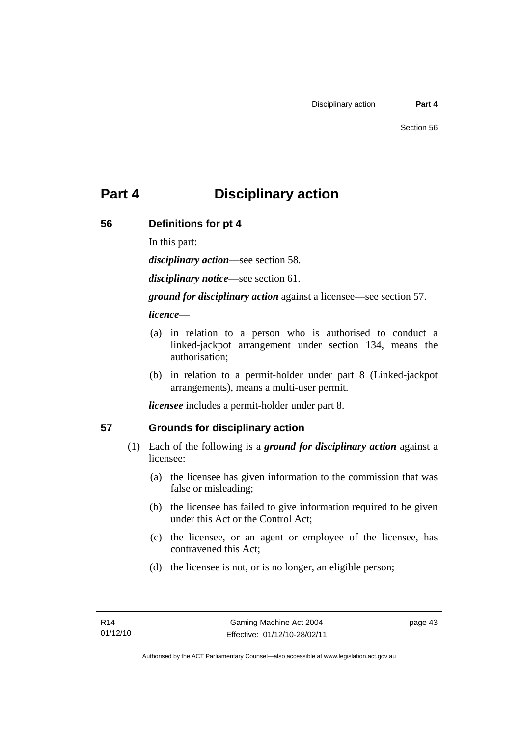# **Part 4 Disciplinary action**

### **56 Definitions for pt 4**

In this part:

*disciplinary action*—see section 58.

*disciplinary notice*—see section 61.

*ground for disciplinary action* against a licensee—see section 57.

### *licence*—

- (a) in relation to a person who is authorised to conduct a linked-jackpot arrangement under section 134, means the authorisation;
- (b) in relation to a permit-holder under part 8 (Linked-jackpot arrangements), means a multi-user permit.

*licensee* includes a permit-holder under part 8.

## **57 Grounds for disciplinary action**

- (1) Each of the following is a *ground for disciplinary action* against a licensee:
	- (a) the licensee has given information to the commission that was false or misleading;
	- (b) the licensee has failed to give information required to be given under this Act or the Control Act;
	- (c) the licensee, or an agent or employee of the licensee, has contravened this Act;
	- (d) the licensee is not, or is no longer, an eligible person;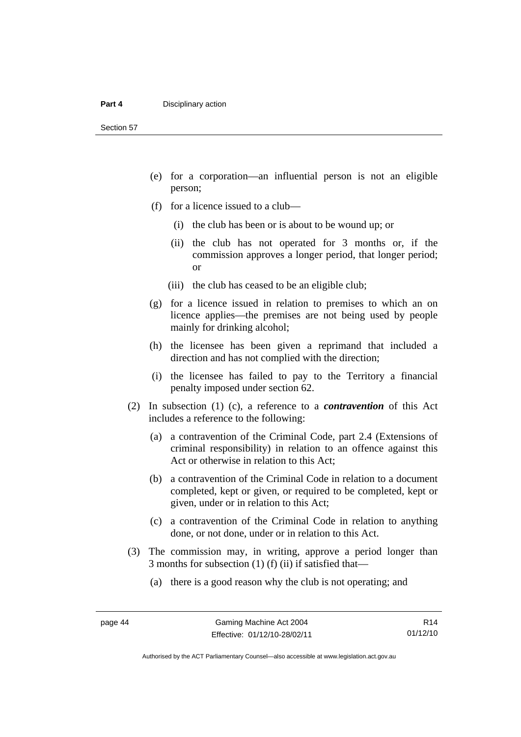- (e) for a corporation—an influential person is not an eligible person;
- (f) for a licence issued to a club—
	- (i) the club has been or is about to be wound up; or
	- (ii) the club has not operated for 3 months or, if the commission approves a longer period, that longer period; or
	- (iii) the club has ceased to be an eligible club;
- (g) for a licence issued in relation to premises to which an on licence applies—the premises are not being used by people mainly for drinking alcohol;
- (h) the licensee has been given a reprimand that included a direction and has not complied with the direction;
- (i) the licensee has failed to pay to the Territory a financial penalty imposed under section 62.
- (2) In subsection (1) (c), a reference to a *contravention* of this Act includes a reference to the following:
	- (a) a contravention of the Criminal Code, part 2.4 (Extensions of criminal responsibility) in relation to an offence against this Act or otherwise in relation to this Act;
	- (b) a contravention of the Criminal Code in relation to a document completed, kept or given, or required to be completed, kept or given, under or in relation to this Act;
	- (c) a contravention of the Criminal Code in relation to anything done, or not done, under or in relation to this Act.
- (3) The commission may, in writing, approve a period longer than 3 months for subsection (1) (f) (ii) if satisfied that—
	- (a) there is a good reason why the club is not operating; and

Authorised by the ACT Parliamentary Counsel—also accessible at www.legislation.act.gov.au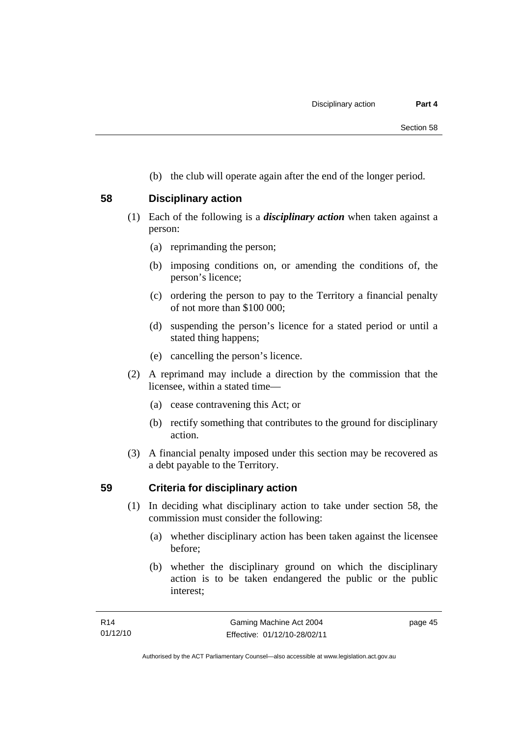(b) the club will operate again after the end of the longer period.

#### **58 Disciplinary action**

- (1) Each of the following is a *disciplinary action* when taken against a person:
	- (a) reprimanding the person;
	- (b) imposing conditions on, or amending the conditions of, the person's licence;
	- (c) ordering the person to pay to the Territory a financial penalty of not more than \$100 000;
	- (d) suspending the person's licence for a stated period or until a stated thing happens;
	- (e) cancelling the person's licence.
- (2) A reprimand may include a direction by the commission that the licensee, within a stated time—
	- (a) cease contravening this Act; or
	- (b) rectify something that contributes to the ground for disciplinary action.
- (3) A financial penalty imposed under this section may be recovered as a debt payable to the Territory.

### **59 Criteria for disciplinary action**

- (1) In deciding what disciplinary action to take under section 58, the commission must consider the following:
	- (a) whether disciplinary action has been taken against the licensee before;
	- (b) whether the disciplinary ground on which the disciplinary action is to be taken endangered the public or the public interest;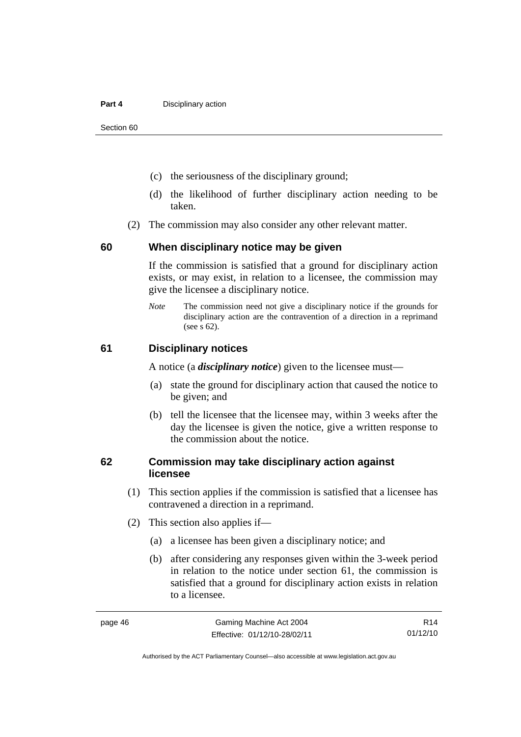#### **Part 4 Disciplinary action**

Section 60

- (c) the seriousness of the disciplinary ground;
- (d) the likelihood of further disciplinary action needing to be taken.
- (2) The commission may also consider any other relevant matter.

#### **60 When disciplinary notice may be given**

If the commission is satisfied that a ground for disciplinary action exists, or may exist, in relation to a licensee, the commission may give the licensee a disciplinary notice.

*Note* The commission need not give a disciplinary notice if the grounds for disciplinary action are the contravention of a direction in a reprimand (see s 62).

#### **61 Disciplinary notices**

A notice (a *disciplinary notice*) given to the licensee must—

- (a) state the ground for disciplinary action that caused the notice to be given; and
- (b) tell the licensee that the licensee may, within 3 weeks after the day the licensee is given the notice, give a written response to the commission about the notice.

#### **62 Commission may take disciplinary action against licensee**

- (1) This section applies if the commission is satisfied that a licensee has contravened a direction in a reprimand.
- (2) This section also applies if—
	- (a) a licensee has been given a disciplinary notice; and
	- (b) after considering any responses given within the 3-week period in relation to the notice under section 61, the commission is satisfied that a ground for disciplinary action exists in relation to a licensee.

R14 01/12/10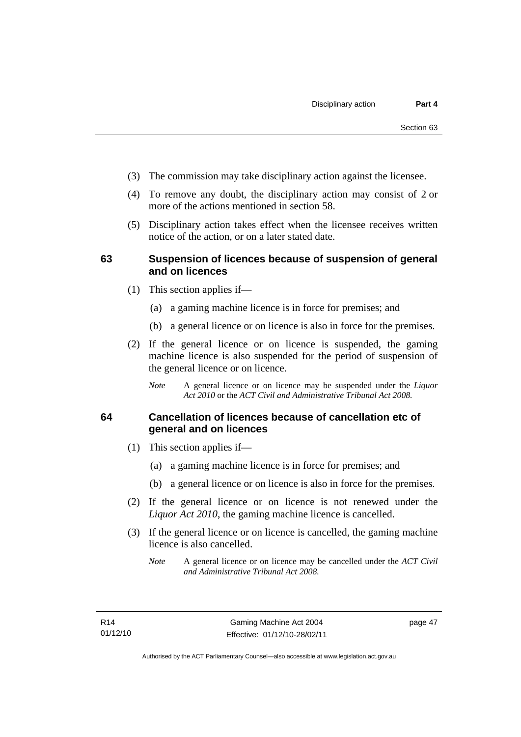- (3) The commission may take disciplinary action against the licensee.
- (4) To remove any doubt, the disciplinary action may consist of 2 or more of the actions mentioned in section 58.
- (5) Disciplinary action takes effect when the licensee receives written notice of the action, or on a later stated date.

#### **63 Suspension of licences because of suspension of general and on licences**

- (1) This section applies if—
	- (a) a gaming machine licence is in force for premises; and
	- (b) a general licence or on licence is also in force for the premises.
- (2) If the general licence or on licence is suspended, the gaming machine licence is also suspended for the period of suspension of the general licence or on licence.
	- *Note* A general licence or on licence may be suspended under the *Liquor Act 2010* or the *ACT Civil and Administrative Tribunal Act 2008.*

#### **64 Cancellation of licences because of cancellation etc of general and on licences**

- (1) This section applies if—
	- (a) a gaming machine licence is in force for premises; and
	- (b) a general licence or on licence is also in force for the premises.
- (2) If the general licence or on licence is not renewed under the *Liquor Act 2010*, the gaming machine licence is cancelled.
- (3) If the general licence or on licence is cancelled, the gaming machine licence is also cancelled.
	- *Note* A general licence or on licence may be cancelled under the *ACT Civil and Administrative Tribunal Act 2008.*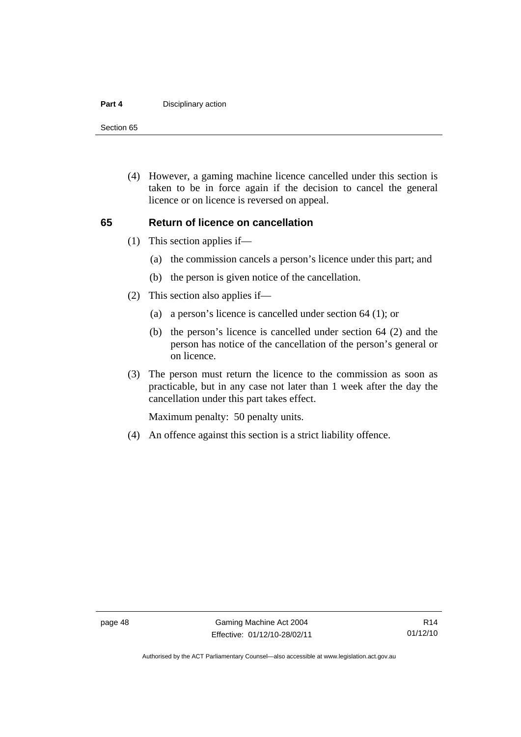#### **Part 4 Disciplinary action**

Section 65

 (4) However, a gaming machine licence cancelled under this section is taken to be in force again if the decision to cancel the general licence or on licence is reversed on appeal.

#### **65 Return of licence on cancellation**

- (1) This section applies if—
	- (a) the commission cancels a person's licence under this part; and
	- (b) the person is given notice of the cancellation.
- (2) This section also applies if—
	- (a) a person's licence is cancelled under section 64 (1); or
	- (b) the person's licence is cancelled under section 64 (2) and the person has notice of the cancellation of the person's general or on licence.
- (3) The person must return the licence to the commission as soon as practicable, but in any case not later than 1 week after the day the cancellation under this part takes effect.

Maximum penalty: 50 penalty units.

(4) An offence against this section is a strict liability offence.

Authorised by the ACT Parliamentary Counsel—also accessible at www.legislation.act.gov.au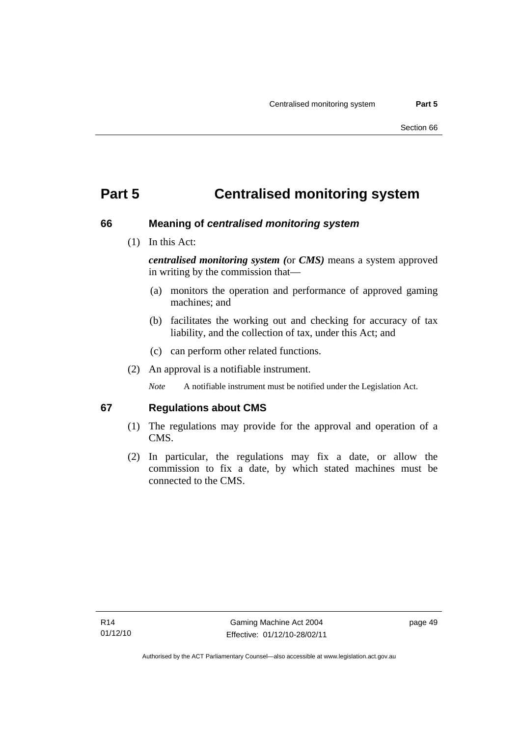# **Part 5 Centralised monitoring system**

#### **66 Meaning of** *centralised monitoring system*

(1) In this Act:

*centralised monitoring system (*or *CMS)* means a system approved in writing by the commission that—

- (a) monitors the operation and performance of approved gaming machines; and
- (b) facilitates the working out and checking for accuracy of tax liability, and the collection of tax, under this Act; and
- (c) can perform other related functions.
- (2) An approval is a notifiable instrument.

*Note* A notifiable instrument must be notified under the Legislation Act.

#### **67 Regulations about CMS**

- (1) The regulations may provide for the approval and operation of a CMS.
- (2) In particular, the regulations may fix a date, or allow the commission to fix a date, by which stated machines must be connected to the CMS.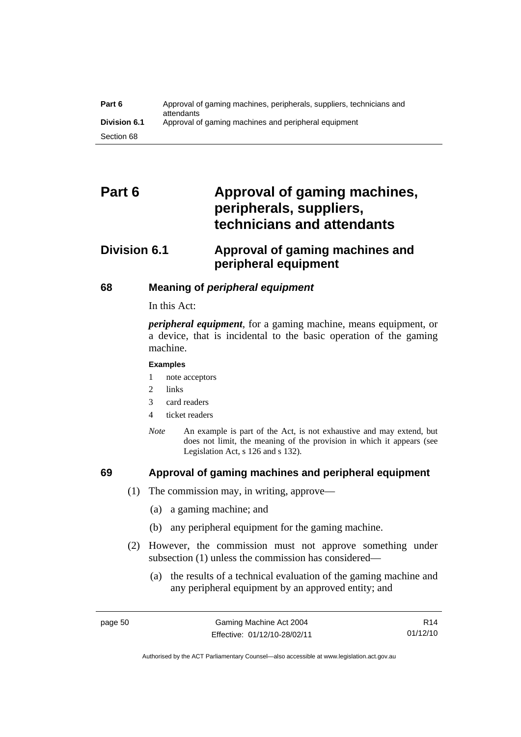| Part 6              | Approval of gaming machines, peripherals, suppliers, technicians and<br>attendants |
|---------------------|------------------------------------------------------------------------------------|
| <b>Division 6.1</b> | Approval of gaming machines and peripheral equipment                               |
| Section 68          |                                                                                    |

# Part 6 **Approval of gaming machines, peripherals, suppliers, technicians and attendants**

# **Division 6.1 Approval of gaming machines and peripheral equipment**

#### **68 Meaning of** *peripheral equipment*

In this Act:

*peripheral equipment*, for a gaming machine, means equipment, or a device, that is incidental to the basic operation of the gaming machine.

#### **Examples**

- 1 note acceptors
- 2 links
- 3 card readers
- 4 ticket readers
- *Note* An example is part of the Act, is not exhaustive and may extend, but does not limit, the meaning of the provision in which it appears (see Legislation Act, s 126 and s 132).

### **69 Approval of gaming machines and peripheral equipment**

- (1) The commission may, in writing, approve—
	- (a) a gaming machine; and
	- (b) any peripheral equipment for the gaming machine.
- (2) However, the commission must not approve something under subsection (1) unless the commission has considered—
	- (a) the results of a technical evaluation of the gaming machine and any peripheral equipment by an approved entity; and

Authorised by the ACT Parliamentary Counsel—also accessible at www.legislation.act.gov.au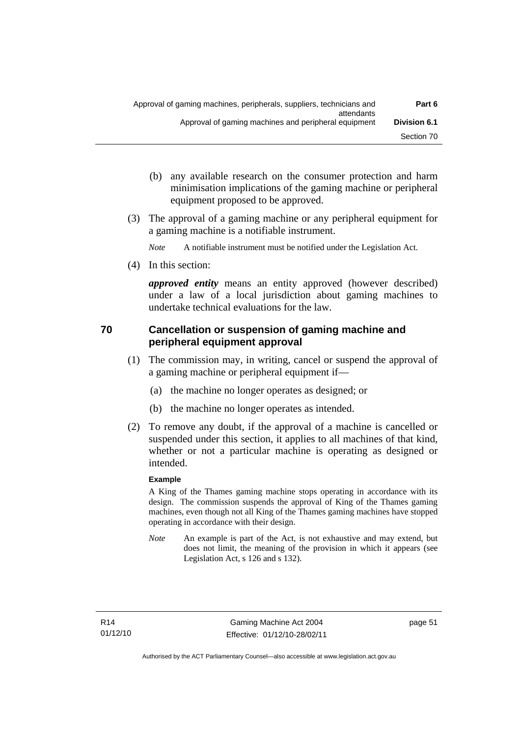- (b) any available research on the consumer protection and harm minimisation implications of the gaming machine or peripheral equipment proposed to be approved.
- (3) The approval of a gaming machine or any peripheral equipment for a gaming machine is a notifiable instrument.

*Note* A notifiable instrument must be notified under the Legislation Act.

(4) In this section:

*approved entity* means an entity approved (however described) under a law of a local jurisdiction about gaming machines to undertake technical evaluations for the law.

## **70 Cancellation or suspension of gaming machine and peripheral equipment approval**

- (1) The commission may, in writing, cancel or suspend the approval of a gaming machine or peripheral equipment if—
	- (a) the machine no longer operates as designed; or
	- (b) the machine no longer operates as intended.
- (2) To remove any doubt, if the approval of a machine is cancelled or suspended under this section, it applies to all machines of that kind, whether or not a particular machine is operating as designed or intended.

#### **Example**

A King of the Thames gaming machine stops operating in accordance with its design. The commission suspends the approval of King of the Thames gaming machines, even though not all King of the Thames gaming machines have stopped operating in accordance with their design.

*Note* An example is part of the Act, is not exhaustive and may extend, but does not limit, the meaning of the provision in which it appears (see Legislation Act, s 126 and s 132).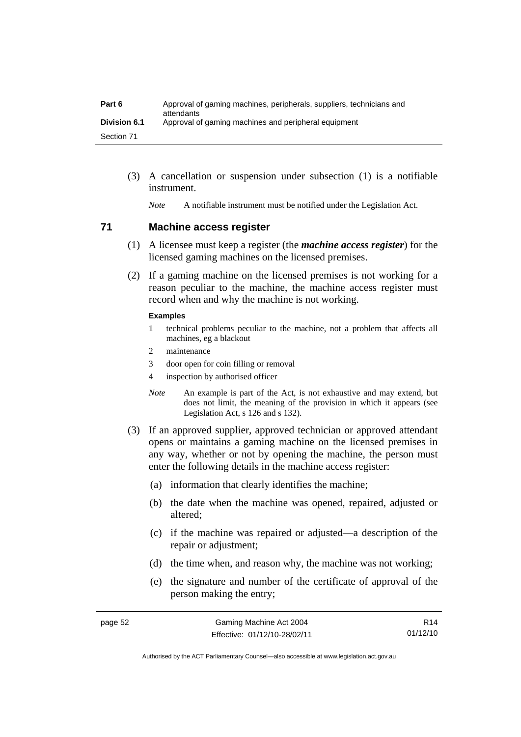| Part 6              | Approval of gaming machines, peripherals, suppliers, technicians and<br>attendants |
|---------------------|------------------------------------------------------------------------------------|
| <b>Division 6.1</b> | Approval of gaming machines and peripheral equipment                               |
| Section 71          |                                                                                    |

 (3) A cancellation or suspension under subsection (1) is a notifiable instrument.

*Note* A notifiable instrument must be notified under the Legislation Act.

#### **71 Machine access register**

- (1) A licensee must keep a register (the *machine access register*) for the licensed gaming machines on the licensed premises.
- (2) If a gaming machine on the licensed premises is not working for a reason peculiar to the machine, the machine access register must record when and why the machine is not working.

#### **Examples**

- 1 technical problems peculiar to the machine, not a problem that affects all machines, eg a blackout
- 2 maintenance
- 3 door open for coin filling or removal
- 4 inspection by authorised officer
- *Note* An example is part of the Act, is not exhaustive and may extend, but does not limit, the meaning of the provision in which it appears (see Legislation Act, s 126 and s 132).
- (3) If an approved supplier, approved technician or approved attendant opens or maintains a gaming machine on the licensed premises in any way, whether or not by opening the machine, the person must enter the following details in the machine access register:
	- (a) information that clearly identifies the machine;
	- (b) the date when the machine was opened, repaired, adjusted or altered;
	- (c) if the machine was repaired or adjusted—a description of the repair or adjustment;
	- (d) the time when, and reason why, the machine was not working;
	- (e) the signature and number of the certificate of approval of the person making the entry;

R14 01/12/10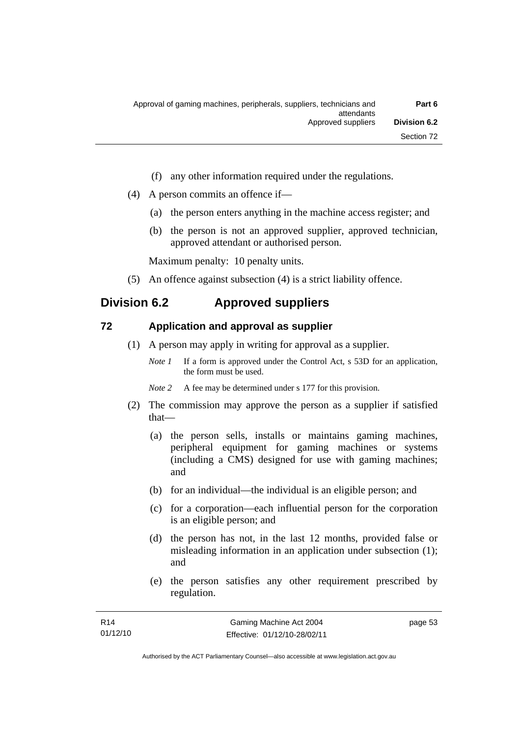- (f) any other information required under the regulations.
- (4) A person commits an offence if—
	- (a) the person enters anything in the machine access register; and
	- (b) the person is not an approved supplier, approved technician, approved attendant or authorised person.

Maximum penalty: 10 penalty units.

(5) An offence against subsection (4) is a strict liability offence.

# **Division 6.2 Approved suppliers**

#### **72 Application and approval as supplier**

- (1) A person may apply in writing for approval as a supplier.
	- *Note 1* If a form is approved under the Control Act, s 53D for an application, the form must be used.
	- *Note* 2 A fee may be determined under s 177 for this provision.
- (2) The commission may approve the person as a supplier if satisfied that—
	- (a) the person sells, installs or maintains gaming machines, peripheral equipment for gaming machines or systems (including a CMS) designed for use with gaming machines; and
	- (b) for an individual—the individual is an eligible person; and
	- (c) for a corporation—each influential person for the corporation is an eligible person; and
	- (d) the person has not, in the last 12 months, provided false or misleading information in an application under subsection (1); and
	- (e) the person satisfies any other requirement prescribed by regulation.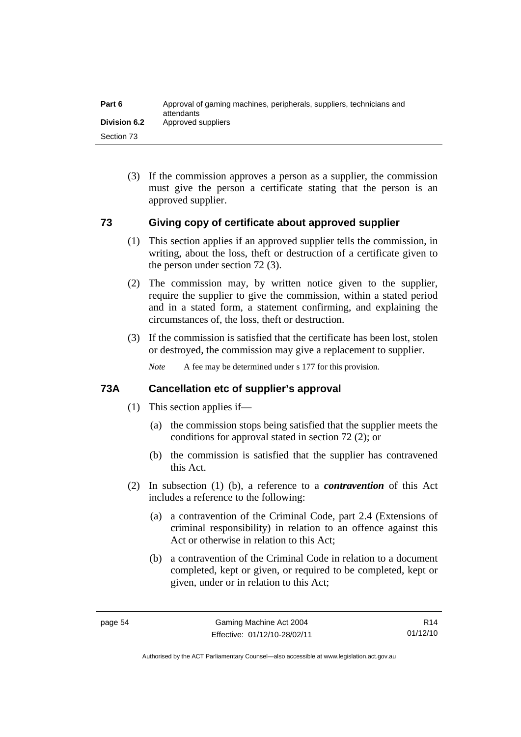| Part 6              | Approval of gaming machines, peripherals, suppliers, technicians and<br>attendants |
|---------------------|------------------------------------------------------------------------------------|
| <b>Division 6.2</b> | Approved suppliers                                                                 |
| Section 73          |                                                                                    |

 (3) If the commission approves a person as a supplier, the commission must give the person a certificate stating that the person is an approved supplier.

#### **73 Giving copy of certificate about approved supplier**

- (1) This section applies if an approved supplier tells the commission, in writing, about the loss, theft or destruction of a certificate given to the person under section 72 (3).
- (2) The commission may, by written notice given to the supplier, require the supplier to give the commission, within a stated period and in a stated form, a statement confirming, and explaining the circumstances of, the loss, theft or destruction.
- (3) If the commission is satisfied that the certificate has been lost, stolen or destroyed, the commission may give a replacement to supplier.

*Note* A fee may be determined under s 177 for this provision.

#### **73A Cancellation etc of supplier's approval**

- (1) This section applies if—
	- (a) the commission stops being satisfied that the supplier meets the conditions for approval stated in section 72 (2); or
	- (b) the commission is satisfied that the supplier has contravened this Act.
- (2) In subsection (1) (b), a reference to a *contravention* of this Act includes a reference to the following:
	- (a) a contravention of the Criminal Code, part 2.4 (Extensions of criminal responsibility) in relation to an offence against this Act or otherwise in relation to this Act;
	- (b) a contravention of the Criminal Code in relation to a document completed, kept or given, or required to be completed, kept or given, under or in relation to this Act;

R14 01/12/10

Authorised by the ACT Parliamentary Counsel—also accessible at www.legislation.act.gov.au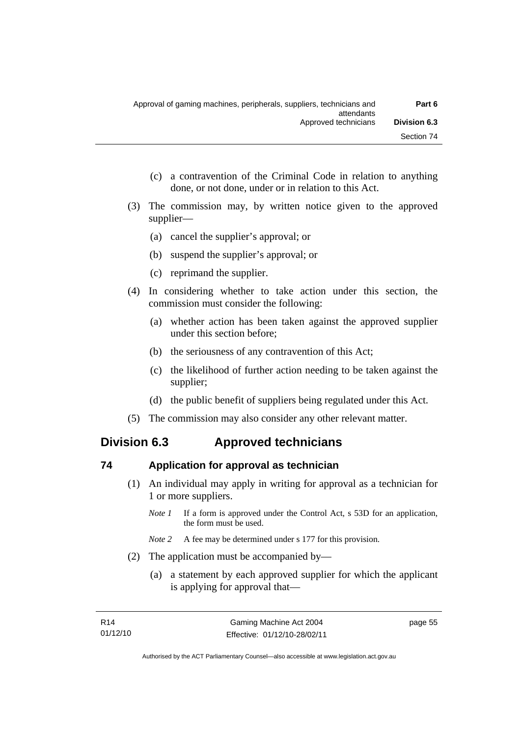- (c) a contravention of the Criminal Code in relation to anything done, or not done, under or in relation to this Act.
- (3) The commission may, by written notice given to the approved supplier—
	- (a) cancel the supplier's approval; or
	- (b) suspend the supplier's approval; or
	- (c) reprimand the supplier.
- (4) In considering whether to take action under this section, the commission must consider the following:
	- (a) whether action has been taken against the approved supplier under this section before;
	- (b) the seriousness of any contravention of this Act;
	- (c) the likelihood of further action needing to be taken against the supplier;
	- (d) the public benefit of suppliers being regulated under this Act.
- (5) The commission may also consider any other relevant matter.

## **Division 6.3 Approved technicians**

#### **74 Application for approval as technician**

- (1) An individual may apply in writing for approval as a technician for 1 or more suppliers.
	- *Note 1* If a form is approved under the Control Act, s 53D for an application, the form must be used.
	- *Note 2* A fee may be determined under s 177 for this provision.
- (2) The application must be accompanied by—
	- (a) a statement by each approved supplier for which the applicant is applying for approval that—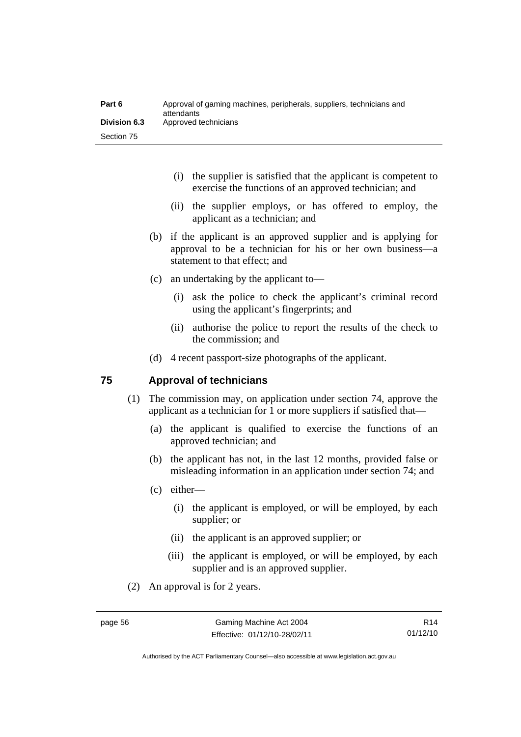| Part 6              | Approval of gaming machines, peripherals, suppliers, technicians and<br>attendants |
|---------------------|------------------------------------------------------------------------------------|
| <b>Division 6.3</b> | Approved technicians                                                               |
| Section 75          |                                                                                    |

- (i) the supplier is satisfied that the applicant is competent to exercise the functions of an approved technician; and
- (ii) the supplier employs, or has offered to employ, the applicant as a technician; and
- (b) if the applicant is an approved supplier and is applying for approval to be a technician for his or her own business—a statement to that effect; and
- (c) an undertaking by the applicant to—
	- (i) ask the police to check the applicant's criminal record using the applicant's fingerprints; and
	- (ii) authorise the police to report the results of the check to the commission; and
- (d) 4 recent passport-size photographs of the applicant.

#### **75 Approval of technicians**

- (1) The commission may, on application under section 74, approve the applicant as a technician for 1 or more suppliers if satisfied that—
	- (a) the applicant is qualified to exercise the functions of an approved technician; and
	- (b) the applicant has not, in the last 12 months, provided false or misleading information in an application under section 74; and
	- (c) either—
		- (i) the applicant is employed, or will be employed, by each supplier; or
		- (ii) the applicant is an approved supplier; or
		- (iii) the applicant is employed, or will be employed, by each supplier and is an approved supplier.
- (2) An approval is for 2 years.

R14 01/12/10

Authorised by the ACT Parliamentary Counsel—also accessible at www.legislation.act.gov.au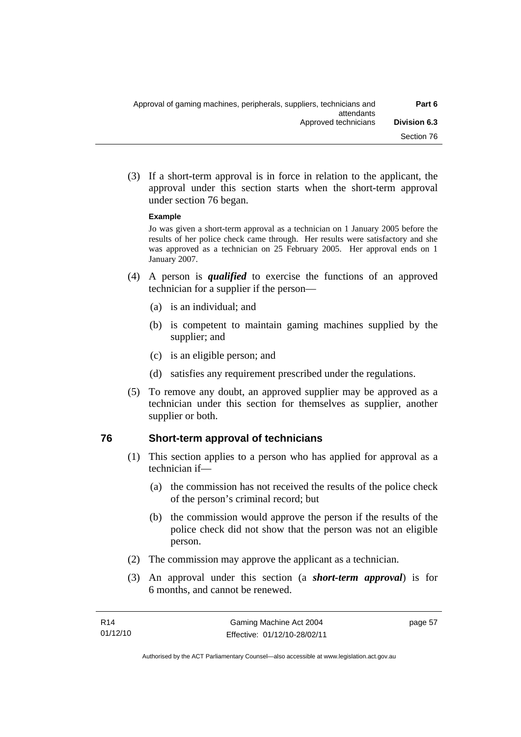(3) If a short-term approval is in force in relation to the applicant, the approval under this section starts when the short-term approval under section 76 began.

#### **Example**

Jo was given a short-term approval as a technician on 1 January 2005 before the results of her police check came through. Her results were satisfactory and she was approved as a technician on 25 February 2005. Her approval ends on 1 January 2007.

- (4) A person is *qualified* to exercise the functions of an approved technician for a supplier if the person—
	- (a) is an individual; and
	- (b) is competent to maintain gaming machines supplied by the supplier; and
	- (c) is an eligible person; and
	- (d) satisfies any requirement prescribed under the regulations.
- (5) To remove any doubt, an approved supplier may be approved as a technician under this section for themselves as supplier, another supplier or both.

#### **76 Short-term approval of technicians**

- (1) This section applies to a person who has applied for approval as a technician if—
	- (a) the commission has not received the results of the police check of the person's criminal record; but
	- (b) the commission would approve the person if the results of the police check did not show that the person was not an eligible person.
- (2) The commission may approve the applicant as a technician.
- (3) An approval under this section (a *short-term approval*) is for 6 months, and cannot be renewed.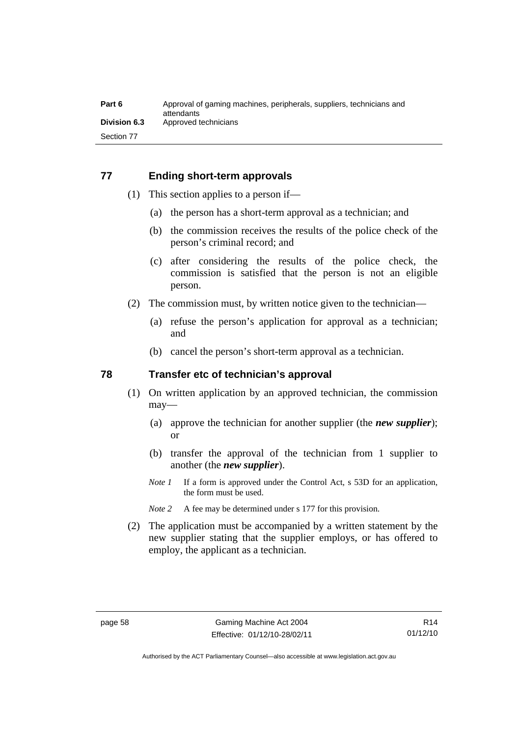#### **77 Ending short-term approvals**

- (1) This section applies to a person if—
	- (a) the person has a short-term approval as a technician; and
	- (b) the commission receives the results of the police check of the person's criminal record; and
	- (c) after considering the results of the police check, the commission is satisfied that the person is not an eligible person.
- (2) The commission must, by written notice given to the technician—
	- (a) refuse the person's application for approval as a technician; and
	- (b) cancel the person's short-term approval as a technician.

#### **78 Transfer etc of technician's approval**

- (1) On written application by an approved technician, the commission may—
	- (a) approve the technician for another supplier (the *new supplier*); or
	- (b) transfer the approval of the technician from 1 supplier to another (the *new supplier*).
	- *Note 1* If a form is approved under the Control Act, s 53D for an application, the form must be used.
	- *Note 2* A fee may be determined under s 177 for this provision.
- (2) The application must be accompanied by a written statement by the new supplier stating that the supplier employs, or has offered to employ, the applicant as a technician.

Authorised by the ACT Parliamentary Counsel—also accessible at www.legislation.act.gov.au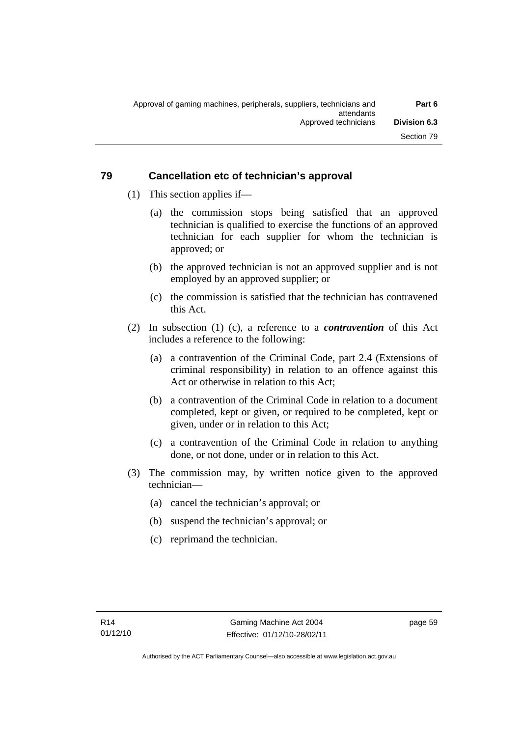## **79 Cancellation etc of technician's approval**

- (1) This section applies if—
	- (a) the commission stops being satisfied that an approved technician is qualified to exercise the functions of an approved technician for each supplier for whom the technician is approved; or
	- (b) the approved technician is not an approved supplier and is not employed by an approved supplier; or
	- (c) the commission is satisfied that the technician has contravened this Act.
- (2) In subsection (1) (c), a reference to a *contravention* of this Act includes a reference to the following:
	- (a) a contravention of the Criminal Code, part 2.4 (Extensions of criminal responsibility) in relation to an offence against this Act or otherwise in relation to this Act;
	- (b) a contravention of the Criminal Code in relation to a document completed, kept or given, or required to be completed, kept or given, under or in relation to this Act;
	- (c) a contravention of the Criminal Code in relation to anything done, or not done, under or in relation to this Act.
- (3) The commission may, by written notice given to the approved technician—
	- (a) cancel the technician's approval; or
	- (b) suspend the technician's approval; or
	- (c) reprimand the technician.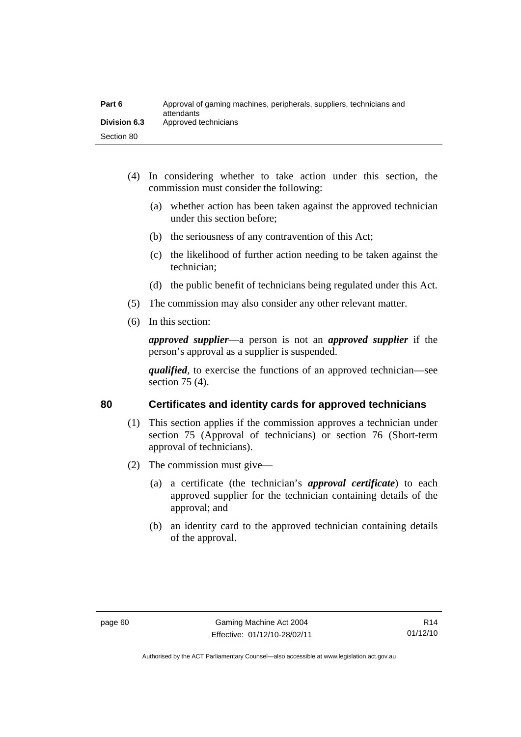| Part 6              | Approval of gaming machines, peripherals, suppliers, technicians and<br>attendants |
|---------------------|------------------------------------------------------------------------------------|
| <b>Division 6.3</b> | Approved technicians                                                               |
| Section 80          |                                                                                    |

- (4) In considering whether to take action under this section, the commission must consider the following:
	- (a) whether action has been taken against the approved technician under this section before;
	- (b) the seriousness of any contravention of this Act;
	- (c) the likelihood of further action needing to be taken against the technician;
	- (d) the public benefit of technicians being regulated under this Act.
- (5) The commission may also consider any other relevant matter.
- (6) In this section:

*approved supplier*—a person is not an *approved supplier* if the person's approval as a supplier is suspended.

*qualified*, to exercise the functions of an approved technician—see section 75 (4).

### **80 Certificates and identity cards for approved technicians**

- (1) This section applies if the commission approves a technician under section 75 (Approval of technicians) or section 76 (Short-term approval of technicians).
- (2) The commission must give—
	- (a) a certificate (the technician's *approval certificate*) to each approved supplier for the technician containing details of the approval; and
	- (b) an identity card to the approved technician containing details of the approval.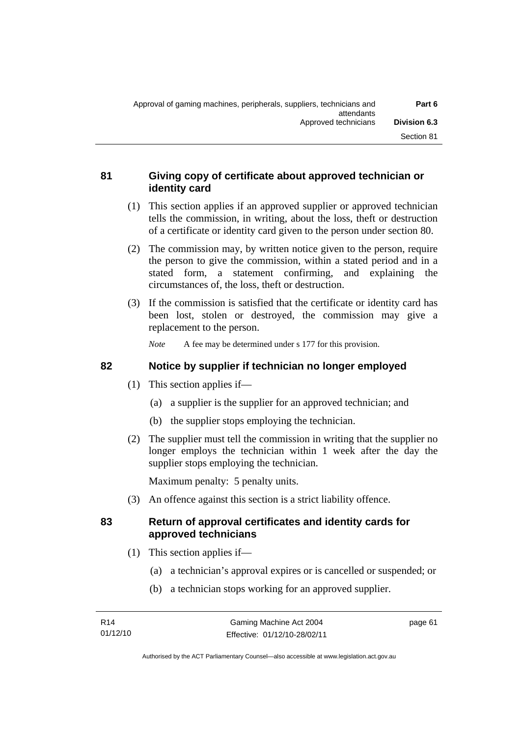# **81 Giving copy of certificate about approved technician or identity card**

- (1) This section applies if an approved supplier or approved technician tells the commission, in writing, about the loss, theft or destruction of a certificate or identity card given to the person under section 80.
- (2) The commission may, by written notice given to the person, require the person to give the commission, within a stated period and in a stated form, a statement confirming, and explaining the circumstances of, the loss, theft or destruction.
- (3) If the commission is satisfied that the certificate or identity card has been lost, stolen or destroyed, the commission may give a replacement to the person.

*Note* A fee may be determined under s 177 for this provision.

# **82 Notice by supplier if technician no longer employed**

- (1) This section applies if—
	- (a) a supplier is the supplier for an approved technician; and
	- (b) the supplier stops employing the technician.
- (2) The supplier must tell the commission in writing that the supplier no longer employs the technician within 1 week after the day the supplier stops employing the technician.

Maximum penalty: 5 penalty units.

(3) An offence against this section is a strict liability offence.

# **83 Return of approval certificates and identity cards for approved technicians**

- (1) This section applies if—
	- (a) a technician's approval expires or is cancelled or suspended; or
	- (b) a technician stops working for an approved supplier.

page 61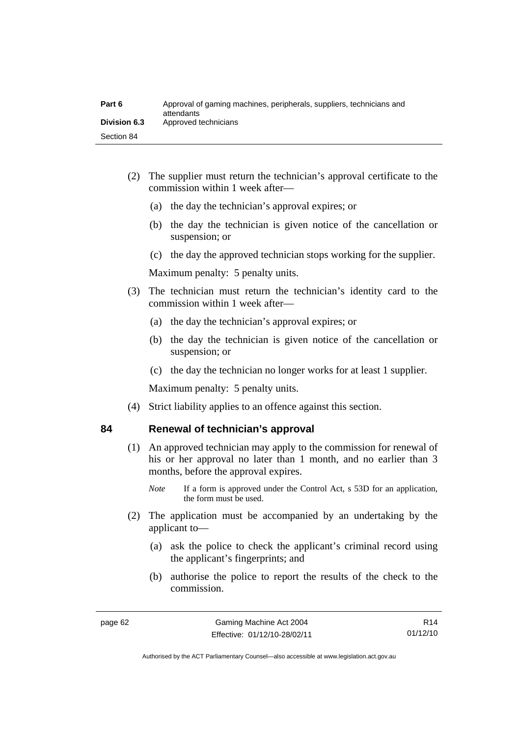| Part 6              | Approval of gaming machines, peripherals, suppliers, technicians and<br>attendants |
|---------------------|------------------------------------------------------------------------------------|
| <b>Division 6.3</b> | Approved technicians                                                               |
| Section 84          |                                                                                    |

- (2) The supplier must return the technician's approval certificate to the commission within 1 week after—
	- (a) the day the technician's approval expires; or
	- (b) the day the technician is given notice of the cancellation or suspension; or
	- (c) the day the approved technician stops working for the supplier.

Maximum penalty: 5 penalty units.

- (3) The technician must return the technician's identity card to the commission within 1 week after—
	- (a) the day the technician's approval expires; or
	- (b) the day the technician is given notice of the cancellation or suspension; or
	- (c) the day the technician no longer works for at least 1 supplier.

Maximum penalty: 5 penalty units.

(4) Strict liability applies to an offence against this section.

#### **84 Renewal of technician's approval**

- (1) An approved technician may apply to the commission for renewal of his or her approval no later than 1 month, and no earlier than 3 months, before the approval expires.
	- *Note* If a form is approved under the Control Act, s 53D for an application, the form must be used.
- (2) The application must be accompanied by an undertaking by the applicant to—
	- (a) ask the police to check the applicant's criminal record using the applicant's fingerprints; and
	- (b) authorise the police to report the results of the check to the commission.

R14 01/12/10

Authorised by the ACT Parliamentary Counsel—also accessible at www.legislation.act.gov.au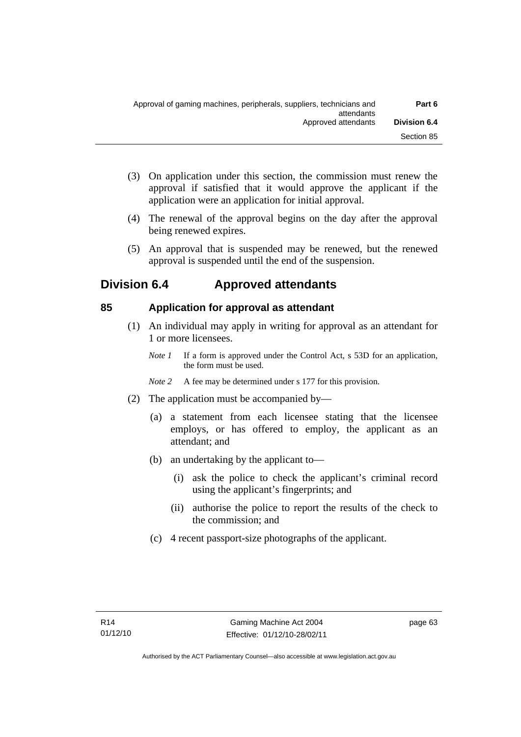- (3) On application under this section, the commission must renew the approval if satisfied that it would approve the applicant if the application were an application for initial approval.
- (4) The renewal of the approval begins on the day after the approval being renewed expires.
- (5) An approval that is suspended may be renewed, but the renewed approval is suspended until the end of the suspension.

# **Division 6.4 Approved attendants**

# **85 Application for approval as attendant**

- (1) An individual may apply in writing for approval as an attendant for 1 or more licensees.
	- *Note 1* If a form is approved under the Control Act, s 53D for an application, the form must be used.
	- *Note 2* A fee may be determined under s 177 for this provision.
- (2) The application must be accompanied by—
	- (a) a statement from each licensee stating that the licensee employs, or has offered to employ, the applicant as an attendant; and
	- (b) an undertaking by the applicant to—
		- (i) ask the police to check the applicant's criminal record using the applicant's fingerprints; and
		- (ii) authorise the police to report the results of the check to the commission; and
	- (c) 4 recent passport-size photographs of the applicant.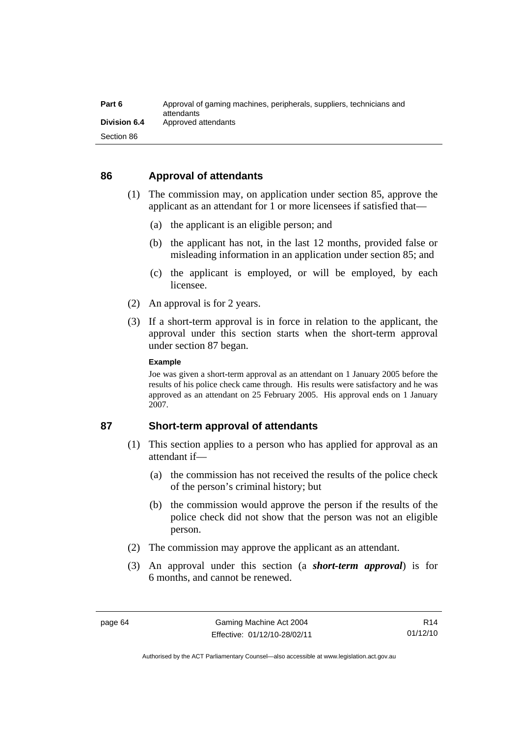| Part 6              | Approval of gaming machines, peripherals, suppliers, technicians and<br>attendants |
|---------------------|------------------------------------------------------------------------------------|
| <b>Division 6.4</b> | Approved attendants                                                                |
| Section 86          |                                                                                    |

#### **86 Approval of attendants**

- (1) The commission may, on application under section 85, approve the applicant as an attendant for 1 or more licensees if satisfied that—
	- (a) the applicant is an eligible person; and
	- (b) the applicant has not, in the last 12 months, provided false or misleading information in an application under section 85; and
	- (c) the applicant is employed, or will be employed, by each licensee.
- (2) An approval is for 2 years.
- (3) If a short-term approval is in force in relation to the applicant, the approval under this section starts when the short-term approval under section 87 began.

#### **Example**

Joe was given a short-term approval as an attendant on 1 January 2005 before the results of his police check came through. His results were satisfactory and he was approved as an attendant on 25 February 2005. His approval ends on 1 January 2007.

#### **87 Short-term approval of attendants**

- (1) This section applies to a person who has applied for approval as an attendant if—
	- (a) the commission has not received the results of the police check of the person's criminal history; but
	- (b) the commission would approve the person if the results of the police check did not show that the person was not an eligible person.
- (2) The commission may approve the applicant as an attendant.
- (3) An approval under this section (a *short-term approval*) is for 6 months, and cannot be renewed.

R14 01/12/10

Authorised by the ACT Parliamentary Counsel—also accessible at www.legislation.act.gov.au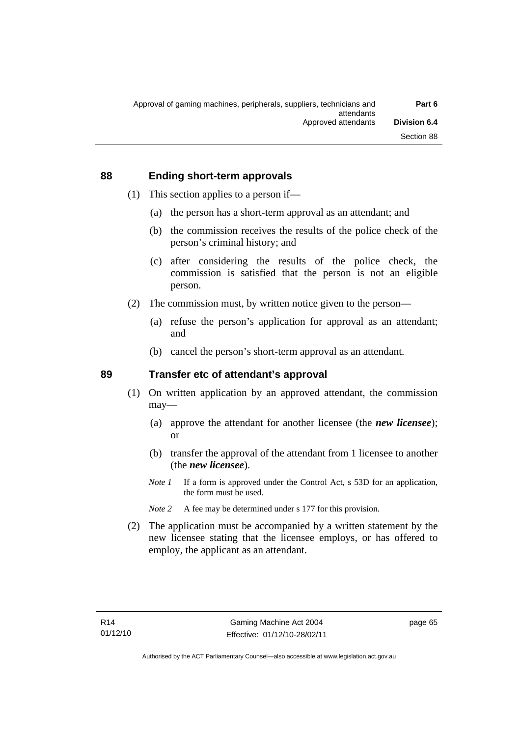#### **88 Ending short-term approvals**

- (1) This section applies to a person if—
	- (a) the person has a short-term approval as an attendant; and
	- (b) the commission receives the results of the police check of the person's criminal history; and
	- (c) after considering the results of the police check, the commission is satisfied that the person is not an eligible person.
- (2) The commission must, by written notice given to the person—
	- (a) refuse the person's application for approval as an attendant; and
	- (b) cancel the person's short-term approval as an attendant.

#### **89 Transfer etc of attendant's approval**

- (1) On written application by an approved attendant, the commission may—
	- (a) approve the attendant for another licensee (the *new licensee*); or
	- (b) transfer the approval of the attendant from 1 licensee to another (the *new licensee*).
	- *Note 1* If a form is approved under the Control Act, s 53D for an application, the form must be used.
	- *Note* 2 A fee may be determined under s 177 for this provision.
- (2) The application must be accompanied by a written statement by the new licensee stating that the licensee employs, or has offered to employ, the applicant as an attendant.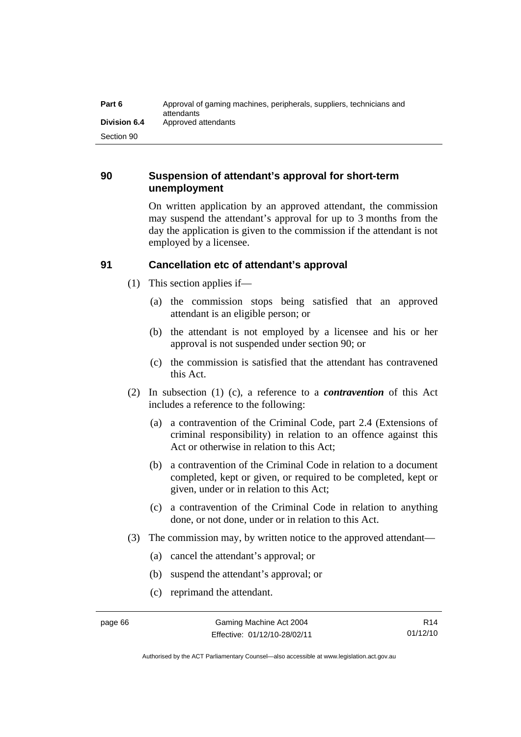| Part 6       | Approval of gaming machines, peripherals, suppliers, technicians and<br>attendants |
|--------------|------------------------------------------------------------------------------------|
| Division 6.4 | Approved attendants                                                                |
| Section 90   |                                                                                    |

## **90 Suspension of attendant's approval for short-term unemployment**

On written application by an approved attendant, the commission may suspend the attendant's approval for up to 3 months from the day the application is given to the commission if the attendant is not employed by a licensee.

# **91 Cancellation etc of attendant's approval**

- (1) This section applies if—
	- (a) the commission stops being satisfied that an approved attendant is an eligible person; or
	- (b) the attendant is not employed by a licensee and his or her approval is not suspended under section 90; or
	- (c) the commission is satisfied that the attendant has contravened this Act.
- (2) In subsection (1) (c), a reference to a *contravention* of this Act includes a reference to the following:
	- (a) a contravention of the Criminal Code, part 2.4 (Extensions of criminal responsibility) in relation to an offence against this Act or otherwise in relation to this Act;
	- (b) a contravention of the Criminal Code in relation to a document completed, kept or given, or required to be completed, kept or given, under or in relation to this Act;
	- (c) a contravention of the Criminal Code in relation to anything done, or not done, under or in relation to this Act.
- (3) The commission may, by written notice to the approved attendant—
	- (a) cancel the attendant's approval; or
	- (b) suspend the attendant's approval; or
	- (c) reprimand the attendant.

Authorised by the ACT Parliamentary Counsel—also accessible at www.legislation.act.gov.au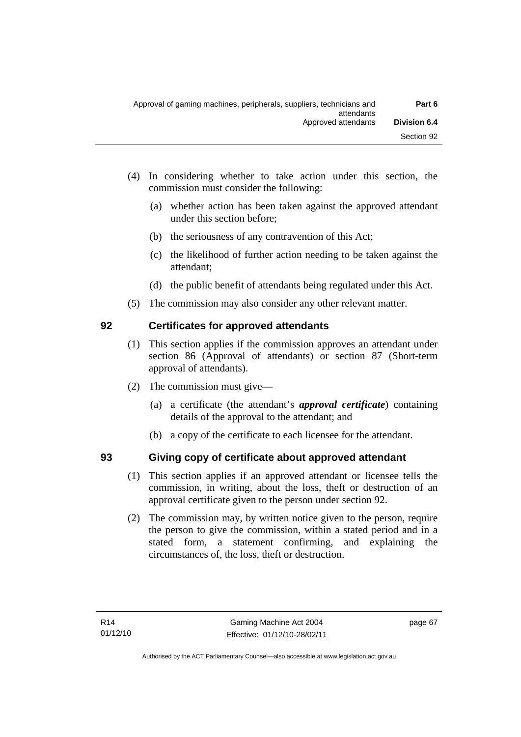- (4) In considering whether to take action under this section, the commission must consider the following:
	- (a) whether action has been taken against the approved attendant under this section before;
	- (b) the seriousness of any contravention of this Act;
	- (c) the likelihood of further action needing to be taken against the attendant;
	- (d) the public benefit of attendants being regulated under this Act.
- (5) The commission may also consider any other relevant matter.

# **92 Certificates for approved attendants**

- (1) This section applies if the commission approves an attendant under section 86 (Approval of attendants) or section 87 (Short-term approval of attendants).
- (2) The commission must give—
	- (a) a certificate (the attendant's *approval certificate*) containing details of the approval to the attendant; and
	- (b) a copy of the certificate to each licensee for the attendant.

# **93 Giving copy of certificate about approved attendant**

- (1) This section applies if an approved attendant or licensee tells the commission, in writing, about the loss, theft or destruction of an approval certificate given to the person under section 92.
- (2) The commission may, by written notice given to the person, require the person to give the commission, within a stated period and in a stated form, a statement confirming, and explaining the circumstances of, the loss, theft or destruction.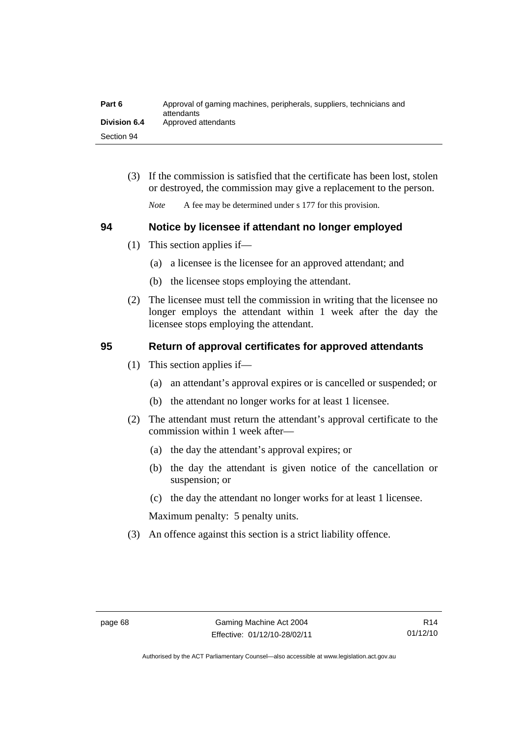| Part 6              | Approval of gaming machines, peripherals, suppliers, technicians and<br>attendants |
|---------------------|------------------------------------------------------------------------------------|
| <b>Division 6.4</b> | Approved attendants                                                                |
| Section 94          |                                                                                    |

 (3) If the commission is satisfied that the certificate has been lost, stolen or destroyed, the commission may give a replacement to the person.

*Note* A fee may be determined under s 177 for this provision.

#### **94 Notice by licensee if attendant no longer employed**

- (1) This section applies if—
	- (a) a licensee is the licensee for an approved attendant; and
	- (b) the licensee stops employing the attendant.
- (2) The licensee must tell the commission in writing that the licensee no longer employs the attendant within 1 week after the day the licensee stops employing the attendant.

# **95 Return of approval certificates for approved attendants**

- (1) This section applies if—
	- (a) an attendant's approval expires or is cancelled or suspended; or
	- (b) the attendant no longer works for at least 1 licensee.
- (2) The attendant must return the attendant's approval certificate to the commission within 1 week after—
	- (a) the day the attendant's approval expires; or
	- (b) the day the attendant is given notice of the cancellation or suspension; or
	- (c) the day the attendant no longer works for at least 1 licensee.

Maximum penalty: 5 penalty units.

(3) An offence against this section is a strict liability offence.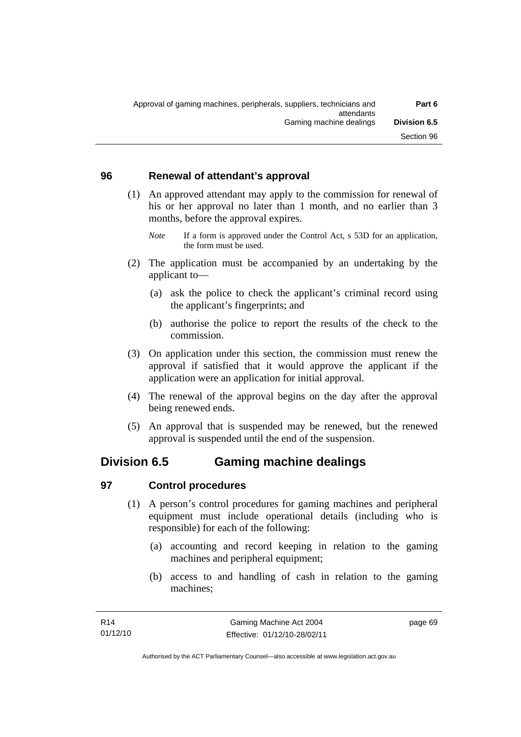#### **96 Renewal of attendant's approval**

- (1) An approved attendant may apply to the commission for renewal of his or her approval no later than 1 month, and no earlier than 3 months, before the approval expires.
	- *Note* If a form is approved under the Control Act, s 53D for an application, the form must be used.
- (2) The application must be accompanied by an undertaking by the applicant to—
	- (a) ask the police to check the applicant's criminal record using the applicant's fingerprints; and
	- (b) authorise the police to report the results of the check to the commission.
- (3) On application under this section, the commission must renew the approval if satisfied that it would approve the applicant if the application were an application for initial approval.
- (4) The renewal of the approval begins on the day after the approval being renewed ends.
- (5) An approval that is suspended may be renewed, but the renewed approval is suspended until the end of the suspension.

# **Division 6.5 Gaming machine dealings**

# **97 Control procedures**

- (1) A person's control procedures for gaming machines and peripheral equipment must include operational details (including who is responsible) for each of the following:
	- (a) accounting and record keeping in relation to the gaming machines and peripheral equipment;
	- (b) access to and handling of cash in relation to the gaming machines;

page 69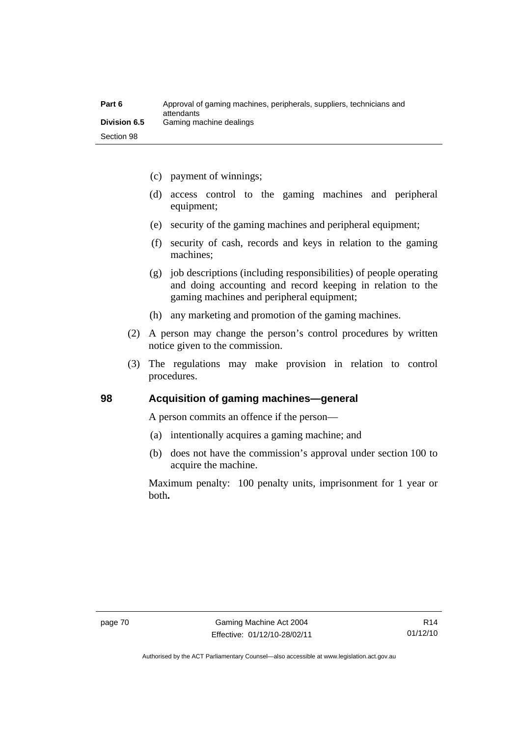| Part 6              | Approval of gaming machines, peripherals, suppliers, technicians and<br>attendants |
|---------------------|------------------------------------------------------------------------------------|
| <b>Division 6.5</b> | Gaming machine dealings                                                            |
| Section 98          |                                                                                    |

- (c) payment of winnings;
- (d) access control to the gaming machines and peripheral equipment;
- (e) security of the gaming machines and peripheral equipment;
- (f) security of cash, records and keys in relation to the gaming machines;
- (g) job descriptions (including responsibilities) of people operating and doing accounting and record keeping in relation to the gaming machines and peripheral equipment;
- (h) any marketing and promotion of the gaming machines.
- (2) A person may change the person's control procedures by written notice given to the commission.
- (3) The regulations may make provision in relation to control procedures.

#### **98 Acquisition of gaming machines—general**

A person commits an offence if the person—

- (a) intentionally acquires a gaming machine; and
- (b) does not have the commission's approval under section 100 to acquire the machine.

Maximum penalty: 100 penalty units, imprisonment for 1 year or both**.**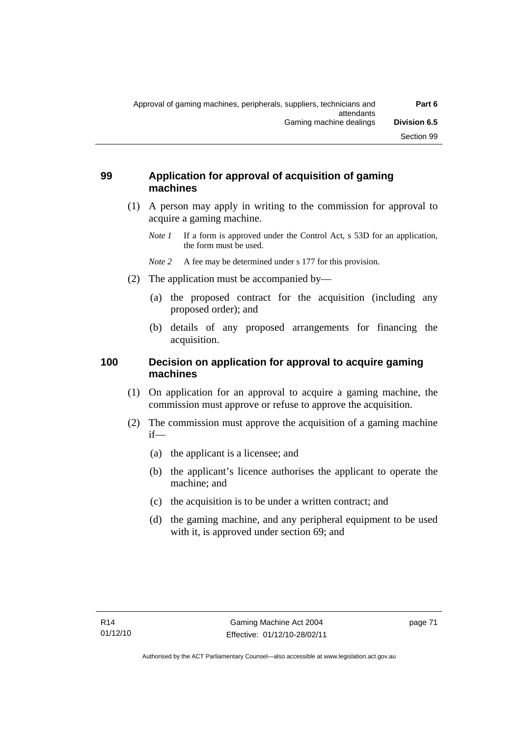## **99 Application for approval of acquisition of gaming machines**

- (1) A person may apply in writing to the commission for approval to acquire a gaming machine.
	- *Note 1* If a form is approved under the Control Act, s 53D for an application, the form must be used.
	- *Note* 2 A fee may be determined under s 177 for this provision.
- (2) The application must be accompanied by—
	- (a) the proposed contract for the acquisition (including any proposed order); and
	- (b) details of any proposed arrangements for financing the acquisition.

# **100 Decision on application for approval to acquire gaming machines**

- (1) On application for an approval to acquire a gaming machine, the commission must approve or refuse to approve the acquisition.
- (2) The commission must approve the acquisition of a gaming machine if—
	- (a) the applicant is a licensee; and
	- (b) the applicant's licence authorises the applicant to operate the machine; and
	- (c) the acquisition is to be under a written contract; and
	- (d) the gaming machine, and any peripheral equipment to be used with it, is approved under section 69; and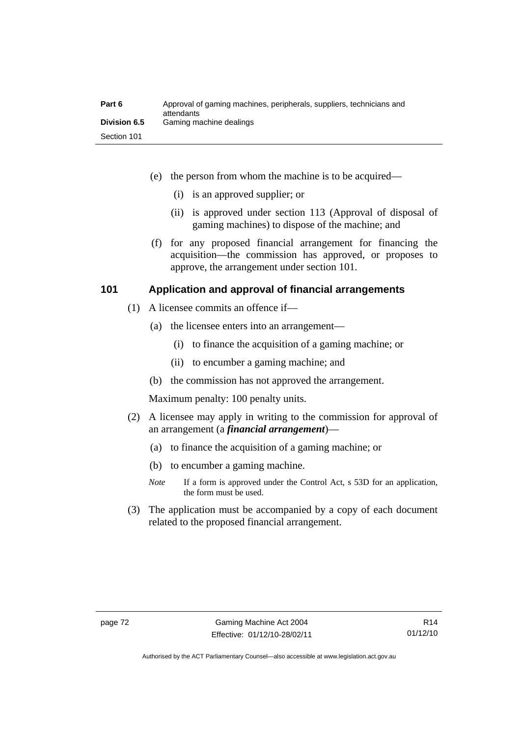| Part 6              | Approval of gaming machines, peripherals, suppliers, technicians and<br>attendants |
|---------------------|------------------------------------------------------------------------------------|
| <b>Division 6.5</b> | Gaming machine dealings                                                            |
| Section 101         |                                                                                    |

- (e) the person from whom the machine is to be acquired—
	- (i) is an approved supplier; or
	- (ii) is approved under section 113 (Approval of disposal of gaming machines) to dispose of the machine; and
- (f) for any proposed financial arrangement for financing the acquisition—the commission has approved, or proposes to approve, the arrangement under section 101.

#### **101 Application and approval of financial arrangements**

- (1) A licensee commits an offence if—
	- (a) the licensee enters into an arrangement—
		- (i) to finance the acquisition of a gaming machine; or
		- (ii) to encumber a gaming machine; and
	- (b) the commission has not approved the arrangement.

Maximum penalty: 100 penalty units.

- (2) A licensee may apply in writing to the commission for approval of an arrangement (a *financial arrangement*)—
	- (a) to finance the acquisition of a gaming machine; or
	- (b) to encumber a gaming machine.
	- *Note* If a form is approved under the Control Act, s 53D for an application, the form must be used.
- (3) The application must be accompanied by a copy of each document related to the proposed financial arrangement.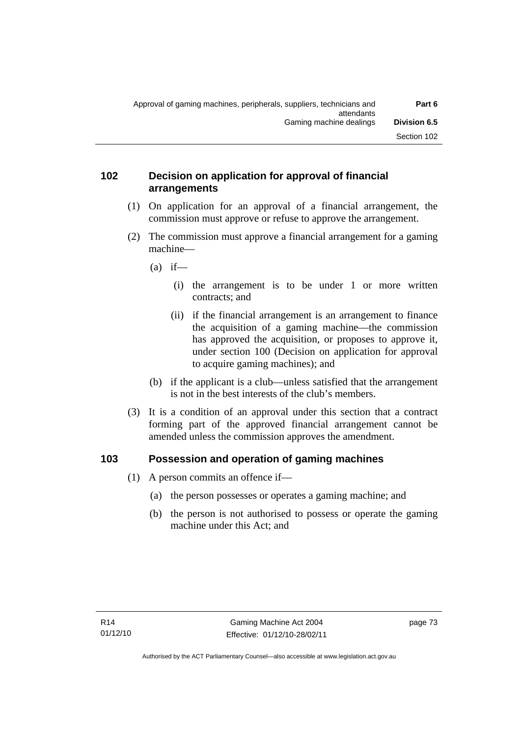#### **102 Decision on application for approval of financial arrangements**

- (1) On application for an approval of a financial arrangement, the commission must approve or refuse to approve the arrangement.
- (2) The commission must approve a financial arrangement for a gaming machine—
	- $(a)$  if—
		- (i) the arrangement is to be under 1 or more written contracts; and
		- (ii) if the financial arrangement is an arrangement to finance the acquisition of a gaming machine—the commission has approved the acquisition, or proposes to approve it, under section 100 (Decision on application for approval to acquire gaming machines); and
	- (b) if the applicant is a club—unless satisfied that the arrangement is not in the best interests of the club's members.
- (3) It is a condition of an approval under this section that a contract forming part of the approved financial arrangement cannot be amended unless the commission approves the amendment.

# **103 Possession and operation of gaming machines**

- (1) A person commits an offence if—
	- (a) the person possesses or operates a gaming machine; and
	- (b) the person is not authorised to possess or operate the gaming machine under this Act; and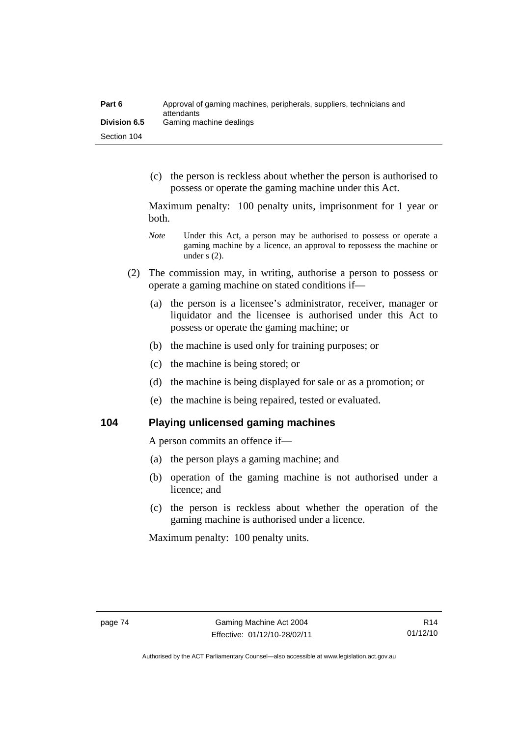| Part 6              | Approval of gaming machines, peripherals, suppliers, technicians and<br>attendants |
|---------------------|------------------------------------------------------------------------------------|
| <b>Division 6.5</b> | Gaming machine dealings                                                            |
| Section 104         |                                                                                    |

 (c) the person is reckless about whether the person is authorised to possess or operate the gaming machine under this Act.

Maximum penalty: 100 penalty units, imprisonment for 1 year or both.

- *Note* **Under this Act, a person may be authorised to possess or operate a** gaming machine by a licence, an approval to repossess the machine or under s (2).
- (2) The commission may, in writing, authorise a person to possess or operate a gaming machine on stated conditions if—
	- (a) the person is a licensee's administrator, receiver, manager or liquidator and the licensee is authorised under this Act to possess or operate the gaming machine; or
	- (b) the machine is used only for training purposes; or
	- (c) the machine is being stored; or
	- (d) the machine is being displayed for sale or as a promotion; or
	- (e) the machine is being repaired, tested or evaluated.

**104 Playing unlicensed gaming machines** 

A person commits an offence if—

- (a) the person plays a gaming machine; and
- (b) operation of the gaming machine is not authorised under a licence; and
- (c) the person is reckless about whether the operation of the gaming machine is authorised under a licence.

Maximum penalty: 100 penalty units.

Authorised by the ACT Parliamentary Counsel—also accessible at www.legislation.act.gov.au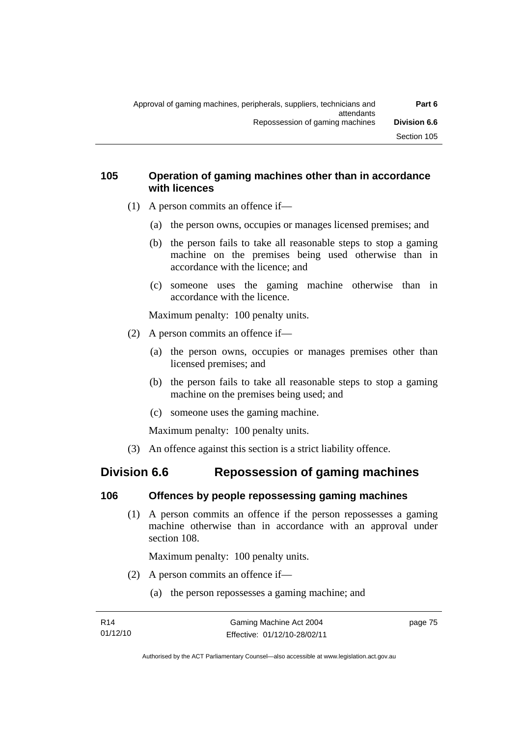## **105 Operation of gaming machines other than in accordance with licences**

- (1) A person commits an offence if—
	- (a) the person owns, occupies or manages licensed premises; and
	- (b) the person fails to take all reasonable steps to stop a gaming machine on the premises being used otherwise than in accordance with the licence; and
	- (c) someone uses the gaming machine otherwise than in accordance with the licence.

Maximum penalty: 100 penalty units.

- (2) A person commits an offence if—
	- (a) the person owns, occupies or manages premises other than licensed premises; and
	- (b) the person fails to take all reasonable steps to stop a gaming machine on the premises being used; and
	- (c) someone uses the gaming machine.

Maximum penalty: 100 penalty units.

(3) An offence against this section is a strict liability offence.

# **Division 6.6 Repossession of gaming machines**

# **106 Offences by people repossessing gaming machines**

 (1) A person commits an offence if the person repossesses a gaming machine otherwise than in accordance with an approval under section 108.

Maximum penalty: 100 penalty units.

- (2) A person commits an offence if—
	- (a) the person repossesses a gaming machine; and

page 75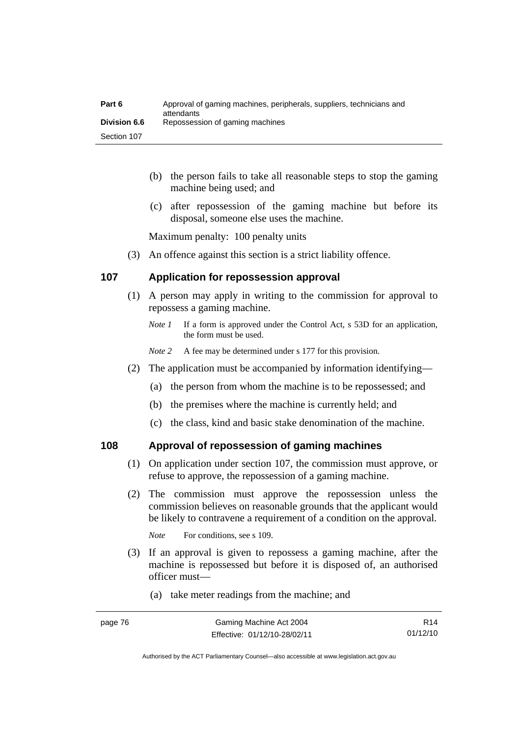| Part 6              | Approval of gaming machines, peripherals, suppliers, technicians and<br>attendants |
|---------------------|------------------------------------------------------------------------------------|
| <b>Division 6.6</b> | Repossession of gaming machines                                                    |
| Section 107         |                                                                                    |

- (b) the person fails to take all reasonable steps to stop the gaming machine being used; and
- (c) after repossession of the gaming machine but before its disposal, someone else uses the machine.

Maximum penalty: 100 penalty units

(3) An offence against this section is a strict liability offence.

#### **107 Application for repossession approval**

- (1) A person may apply in writing to the commission for approval to repossess a gaming machine.
	- *Note 1* If a form is approved under the Control Act, s 53D for an application, the form must be used.
	- *Note 2* A fee may be determined under s 177 for this provision.
- (2) The application must be accompanied by information identifying—
	- (a) the person from whom the machine is to be repossessed; and
	- (b) the premises where the machine is currently held; and
	- (c) the class, kind and basic stake denomination of the machine.

#### **108 Approval of repossession of gaming machines**

- (1) On application under section 107, the commission must approve, or refuse to approve, the repossession of a gaming machine.
- (2) The commission must approve the repossession unless the commission believes on reasonable grounds that the applicant would be likely to contravene a requirement of a condition on the approval.

*Note* For conditions, see s 109.

- (3) If an approval is given to repossess a gaming machine, after the machine is repossessed but before it is disposed of, an authorised officer must—
	- (a) take meter readings from the machine; and

Authorised by the ACT Parliamentary Counsel—also accessible at www.legislation.act.gov.au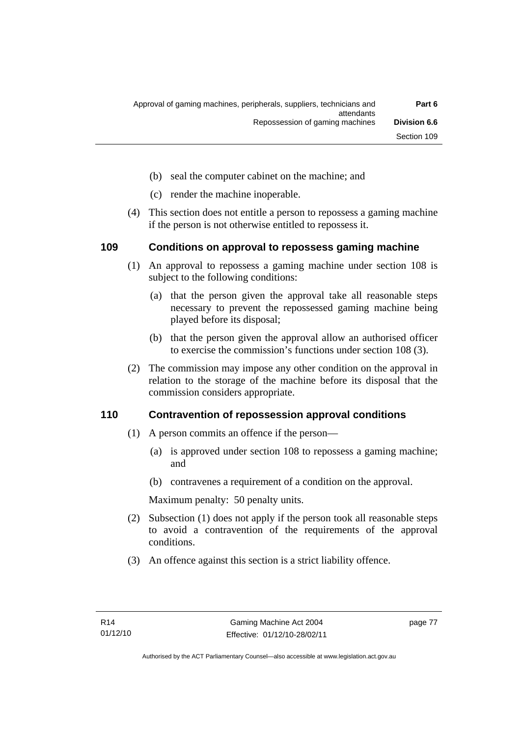- (b) seal the computer cabinet on the machine; and
- (c) render the machine inoperable.
- (4) This section does not entitle a person to repossess a gaming machine if the person is not otherwise entitled to repossess it.

#### **109 Conditions on approval to repossess gaming machine**

- (1) An approval to repossess a gaming machine under section 108 is subject to the following conditions:
	- (a) that the person given the approval take all reasonable steps necessary to prevent the repossessed gaming machine being played before its disposal;
	- (b) that the person given the approval allow an authorised officer to exercise the commission's functions under section 108 (3).
- (2) The commission may impose any other condition on the approval in relation to the storage of the machine before its disposal that the commission considers appropriate.

#### **110 Contravention of repossession approval conditions**

- (1) A person commits an offence if the person—
	- (a) is approved under section 108 to repossess a gaming machine; and
	- (b) contravenes a requirement of a condition on the approval.

Maximum penalty: 50 penalty units.

- (2) Subsection (1) does not apply if the person took all reasonable steps to avoid a contravention of the requirements of the approval conditions.
- (3) An offence against this section is a strict liability offence.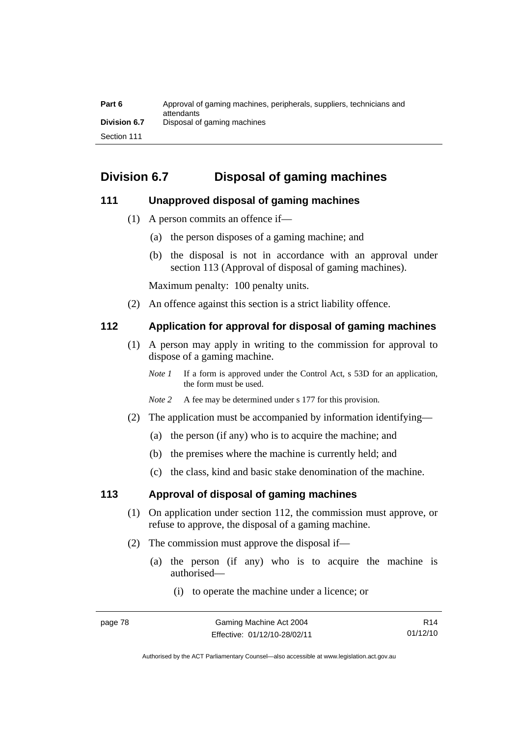| Part 6              | Approval of gaming machines, peripherals, suppliers, technicians and<br>attendants |
|---------------------|------------------------------------------------------------------------------------|
| <b>Division 6.7</b> | Disposal of gaming machines                                                        |
| Section 111         |                                                                                    |

# **Division 6.7 Disposal of gaming machines**

# **111 Unapproved disposal of gaming machines**

- (1) A person commits an offence if—
	- (a) the person disposes of a gaming machine; and
	- (b) the disposal is not in accordance with an approval under section 113 (Approval of disposal of gaming machines).

Maximum penalty: 100 penalty units.

(2) An offence against this section is a strict liability offence.

#### **112 Application for approval for disposal of gaming machines**

- (1) A person may apply in writing to the commission for approval to dispose of a gaming machine.
	- *Note 1* If a form is approved under the Control Act, s 53D for an application, the form must be used.
	- *Note 2* A fee may be determined under s 177 for this provision.
- (2) The application must be accompanied by information identifying—
	- (a) the person (if any) who is to acquire the machine; and
	- (b) the premises where the machine is currently held; and
	- (c) the class, kind and basic stake denomination of the machine.

#### **113 Approval of disposal of gaming machines**

- (1) On application under section 112, the commission must approve, or refuse to approve, the disposal of a gaming machine.
- (2) The commission must approve the disposal if—
	- (a) the person (if any) who is to acquire the machine is authorised—
		- (i) to operate the machine under a licence; or

Authorised by the ACT Parliamentary Counsel—also accessible at www.legislation.act.gov.au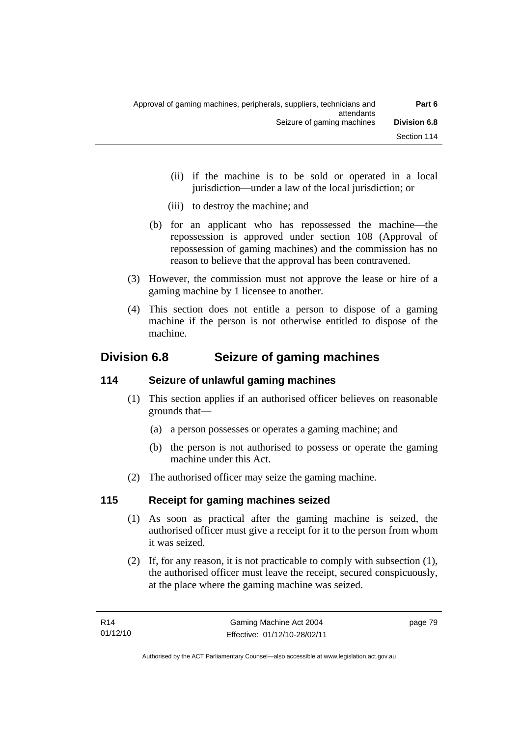- (ii) if the machine is to be sold or operated in a local jurisdiction—under a law of the local jurisdiction; or
- (iii) to destroy the machine; and
- (b) for an applicant who has repossessed the machine—the repossession is approved under section 108 (Approval of repossession of gaming machines) and the commission has no reason to believe that the approval has been contravened.
- (3) However, the commission must not approve the lease or hire of a gaming machine by 1 licensee to another.
- (4) This section does not entitle a person to dispose of a gaming machine if the person is not otherwise entitled to dispose of the machine.

# **Division 6.8 Seizure of gaming machines**

# **114 Seizure of unlawful gaming machines**

- (1) This section applies if an authorised officer believes on reasonable grounds that—
	- (a) a person possesses or operates a gaming machine; and
	- (b) the person is not authorised to possess or operate the gaming machine under this Act.
- (2) The authorised officer may seize the gaming machine.

# **115 Receipt for gaming machines seized**

- (1) As soon as practical after the gaming machine is seized, the authorised officer must give a receipt for it to the person from whom it was seized.
- (2) If, for any reason, it is not practicable to comply with subsection (1), the authorised officer must leave the receipt, secured conspicuously, at the place where the gaming machine was seized.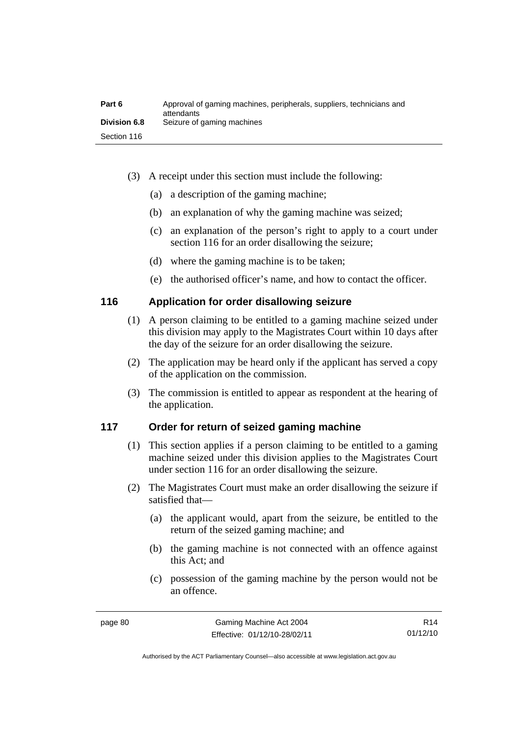| Part 6              | Approval of gaming machines, peripherals, suppliers, technicians and<br>attendants |
|---------------------|------------------------------------------------------------------------------------|
| <b>Division 6.8</b> | Seizure of gaming machines                                                         |
| Section 116         |                                                                                    |

- (3) A receipt under this section must include the following:
	- (a) a description of the gaming machine;
	- (b) an explanation of why the gaming machine was seized;
	- (c) an explanation of the person's right to apply to a court under section 116 for an order disallowing the seizure;
	- (d) where the gaming machine is to be taken;
	- (e) the authorised officer's name, and how to contact the officer.

#### **116 Application for order disallowing seizure**

- (1) A person claiming to be entitled to a gaming machine seized under this division may apply to the Magistrates Court within 10 days after the day of the seizure for an order disallowing the seizure.
- (2) The application may be heard only if the applicant has served a copy of the application on the commission.
- (3) The commission is entitled to appear as respondent at the hearing of the application.

#### **117 Order for return of seized gaming machine**

- (1) This section applies if a person claiming to be entitled to a gaming machine seized under this division applies to the Magistrates Court under section 116 for an order disallowing the seizure.
- (2) The Magistrates Court must make an order disallowing the seizure if satisfied that—
	- (a) the applicant would, apart from the seizure, be entitled to the return of the seized gaming machine; and
	- (b) the gaming machine is not connected with an offence against this Act; and
	- (c) possession of the gaming machine by the person would not be an offence.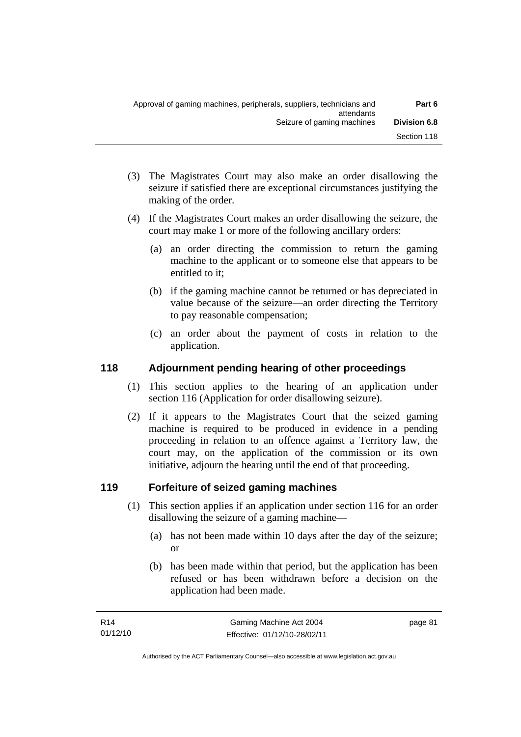- (3) The Magistrates Court may also make an order disallowing the seizure if satisfied there are exceptional circumstances justifying the making of the order.
- (4) If the Magistrates Court makes an order disallowing the seizure, the court may make 1 or more of the following ancillary orders:
	- (a) an order directing the commission to return the gaming machine to the applicant or to someone else that appears to be entitled to it;
	- (b) if the gaming machine cannot be returned or has depreciated in value because of the seizure—an order directing the Territory to pay reasonable compensation;
	- (c) an order about the payment of costs in relation to the application.

# **118 Adjournment pending hearing of other proceedings**

- (1) This section applies to the hearing of an application under section 116 (Application for order disallowing seizure).
- (2) If it appears to the Magistrates Court that the seized gaming machine is required to be produced in evidence in a pending proceeding in relation to an offence against a Territory law, the court may, on the application of the commission or its own initiative, adjourn the hearing until the end of that proceeding.

# **119 Forfeiture of seized gaming machines**

- (1) This section applies if an application under section 116 for an order disallowing the seizure of a gaming machine—
	- (a) has not been made within 10 days after the day of the seizure; or
	- (b) has been made within that period, but the application has been refused or has been withdrawn before a decision on the application had been made.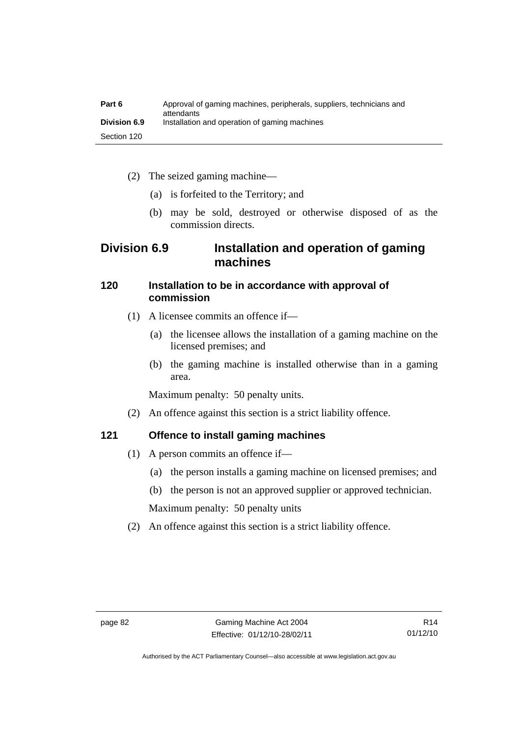| Part 6              | Approval of gaming machines, peripherals, suppliers, technicians and<br>attendants |
|---------------------|------------------------------------------------------------------------------------|
| <b>Division 6.9</b> | Installation and operation of gaming machines                                      |
| Section 120         |                                                                                    |

- (2) The seized gaming machine—
	- (a) is forfeited to the Territory; and
	- (b) may be sold, destroyed or otherwise disposed of as the commission directs.

# **Division 6.9 Installation and operation of gaming machines**

#### **120 Installation to be in accordance with approval of commission**

- (1) A licensee commits an offence if—
	- (a) the licensee allows the installation of a gaming machine on the licensed premises; and
	- (b) the gaming machine is installed otherwise than in a gaming area.

Maximum penalty: 50 penalty units.

(2) An offence against this section is a strict liability offence.

# **121 Offence to install gaming machines**

- (1) A person commits an offence if—
	- (a) the person installs a gaming machine on licensed premises; and
	- (b) the person is not an approved supplier or approved technician.

Maximum penalty: 50 penalty units

(2) An offence against this section is a strict liability offence.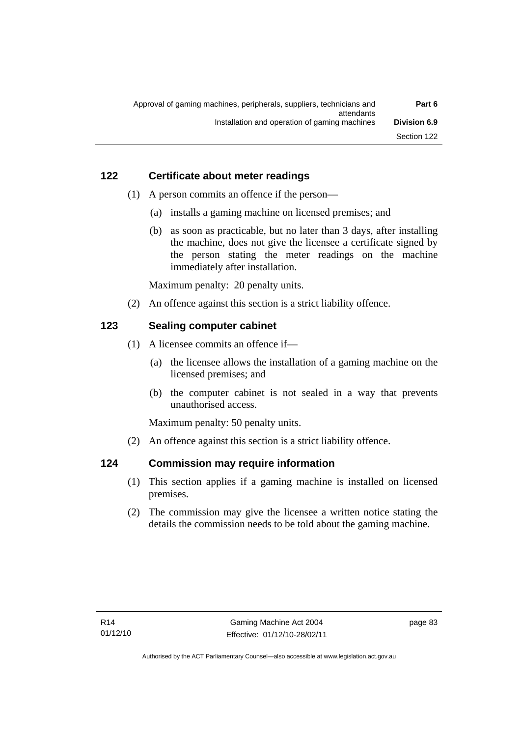# **122 Certificate about meter readings**

- (1) A person commits an offence if the person—
	- (a) installs a gaming machine on licensed premises; and
	- (b) as soon as practicable, but no later than 3 days, after installing the machine, does not give the licensee a certificate signed by the person stating the meter readings on the machine immediately after installation.

Maximum penalty: 20 penalty units.

(2) An offence against this section is a strict liability offence.

# **123 Sealing computer cabinet**

- (1) A licensee commits an offence if—
	- (a) the licensee allows the installation of a gaming machine on the licensed premises; and
	- (b) the computer cabinet is not sealed in a way that prevents unauthorised access.

Maximum penalty: 50 penalty units.

(2) An offence against this section is a strict liability offence.

# **124 Commission may require information**

- (1) This section applies if a gaming machine is installed on licensed premises.
- (2) The commission may give the licensee a written notice stating the details the commission needs to be told about the gaming machine.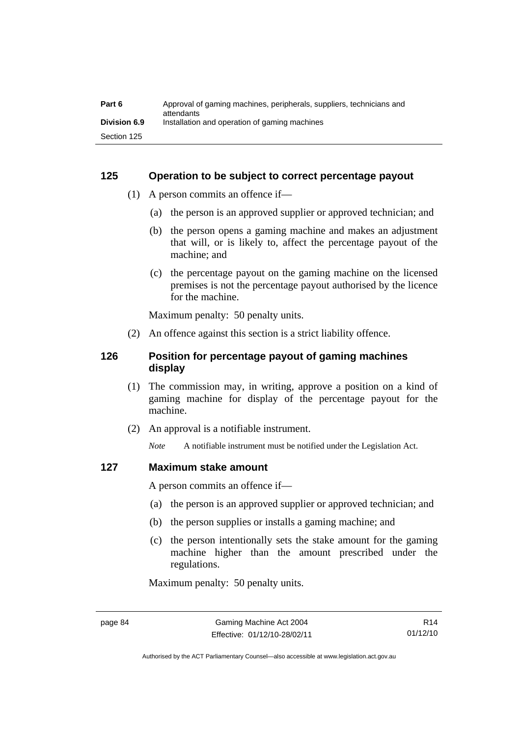| Part 6              | Approval of gaming machines, peripherals, suppliers, technicians and<br>attendants |
|---------------------|------------------------------------------------------------------------------------|
| <b>Division 6.9</b> | Installation and operation of gaming machines                                      |
| Section 125         |                                                                                    |

#### **125 Operation to be subject to correct percentage payout**

- (1) A person commits an offence if—
	- (a) the person is an approved supplier or approved technician; and
	- (b) the person opens a gaming machine and makes an adjustment that will, or is likely to, affect the percentage payout of the machine; and
	- (c) the percentage payout on the gaming machine on the licensed premises is not the percentage payout authorised by the licence for the machine.

Maximum penalty: 50 penalty units.

(2) An offence against this section is a strict liability offence.

## **126 Position for percentage payout of gaming machines display**

- (1) The commission may, in writing, approve a position on a kind of gaming machine for display of the percentage payout for the machine.
- (2) An approval is a notifiable instrument.

*Note* A notifiable instrument must be notified under the Legislation Act.

#### **127 Maximum stake amount**

A person commits an offence if—

- (a) the person is an approved supplier or approved technician; and
- (b) the person supplies or installs a gaming machine; and
- (c) the person intentionally sets the stake amount for the gaming machine higher than the amount prescribed under the regulations.

Maximum penalty: 50 penalty units.

Authorised by the ACT Parliamentary Counsel—also accessible at www.legislation.act.gov.au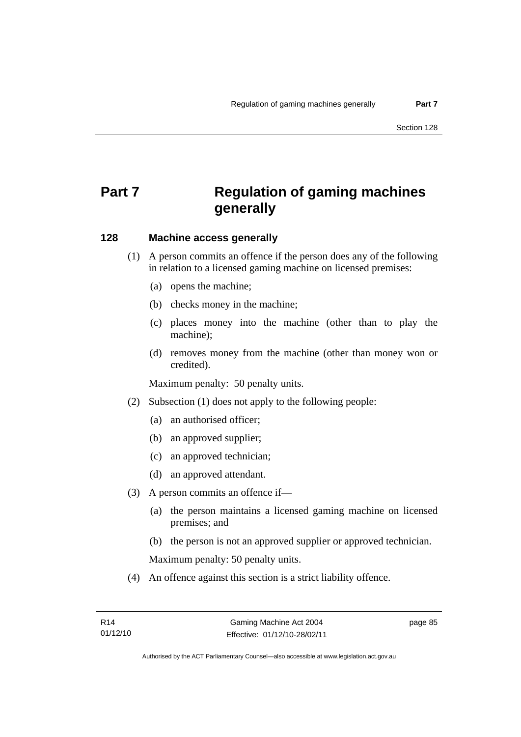# **Part 7 Regulation of gaming machines generally**

#### **128 Machine access generally**

- (1) A person commits an offence if the person does any of the following in relation to a licensed gaming machine on licensed premises:
	- (a) opens the machine;
	- (b) checks money in the machine;
	- (c) places money into the machine (other than to play the machine);
	- (d) removes money from the machine (other than money won or credited).

Maximum penalty: 50 penalty units.

- (2) Subsection (1) does not apply to the following people:
	- (a) an authorised officer;
	- (b) an approved supplier;
	- (c) an approved technician;
	- (d) an approved attendant.
- (3) A person commits an offence if—
	- (a) the person maintains a licensed gaming machine on licensed premises; and
	- (b) the person is not an approved supplier or approved technician.

Maximum penalty: 50 penalty units.

(4) An offence against this section is a strict liability offence.

page 85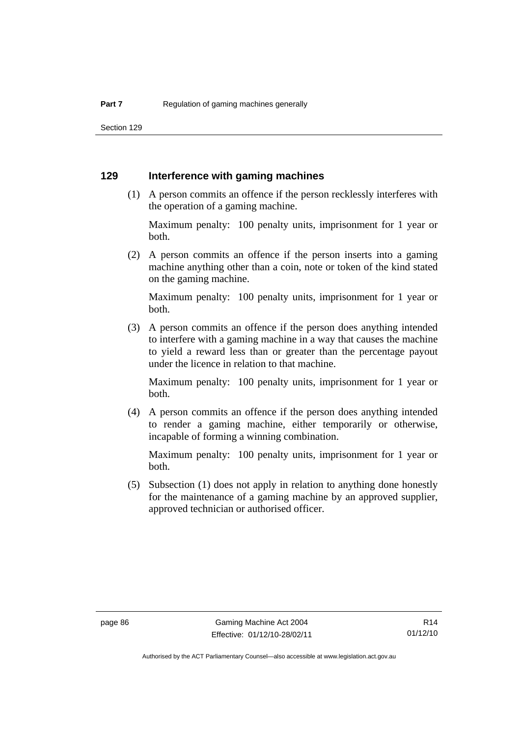Section 129

#### **129 Interference with gaming machines**

 (1) A person commits an offence if the person recklessly interferes with the operation of a gaming machine.

Maximum penalty: 100 penalty units, imprisonment for 1 year or both.

 (2) A person commits an offence if the person inserts into a gaming machine anything other than a coin, note or token of the kind stated on the gaming machine.

Maximum penalty: 100 penalty units, imprisonment for 1 year or both.

 (3) A person commits an offence if the person does anything intended to interfere with a gaming machine in a way that causes the machine to yield a reward less than or greater than the percentage payout under the licence in relation to that machine.

Maximum penalty: 100 penalty units, imprisonment for 1 year or both.

 (4) A person commits an offence if the person does anything intended to render a gaming machine, either temporarily or otherwise, incapable of forming a winning combination.

Maximum penalty: 100 penalty units, imprisonment for 1 year or both.

 (5) Subsection (1) does not apply in relation to anything done honestly for the maintenance of a gaming machine by an approved supplier, approved technician or authorised officer.

Authorised by the ACT Parliamentary Counsel—also accessible at www.legislation.act.gov.au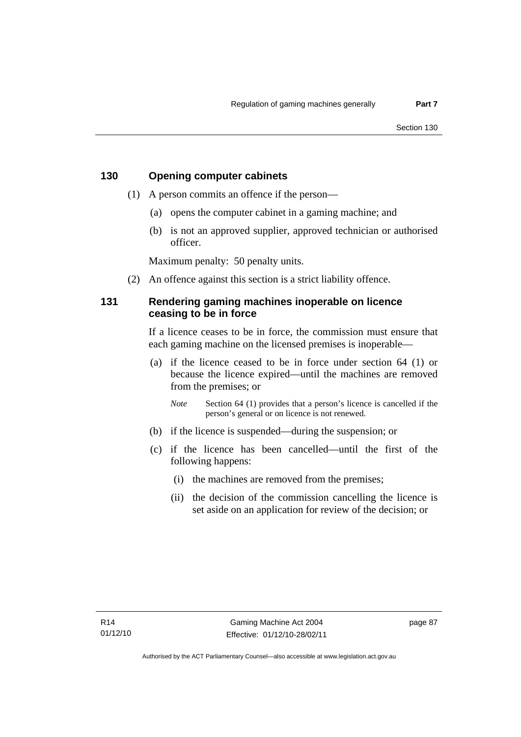## **130 Opening computer cabinets**

- (1) A person commits an offence if the person—
	- (a) opens the computer cabinet in a gaming machine; and
	- (b) is not an approved supplier, approved technician or authorised officer.

Maximum penalty: 50 penalty units.

(2) An offence against this section is a strict liability offence.

#### **131 Rendering gaming machines inoperable on licence ceasing to be in force**

If a licence ceases to be in force, the commission must ensure that each gaming machine on the licensed premises is inoperable—

 (a) if the licence ceased to be in force under section 64 (1) or because the licence expired—until the machines are removed from the premises; or

*Note* Section 64 (1) provides that a person's licence is cancelled if the person's general or on licence is not renewed.

- (b) if the licence is suspended—during the suspension; or
- (c) if the licence has been cancelled—until the first of the following happens:
	- (i) the machines are removed from the premises;
	- (ii) the decision of the commission cancelling the licence is set aside on an application for review of the decision; or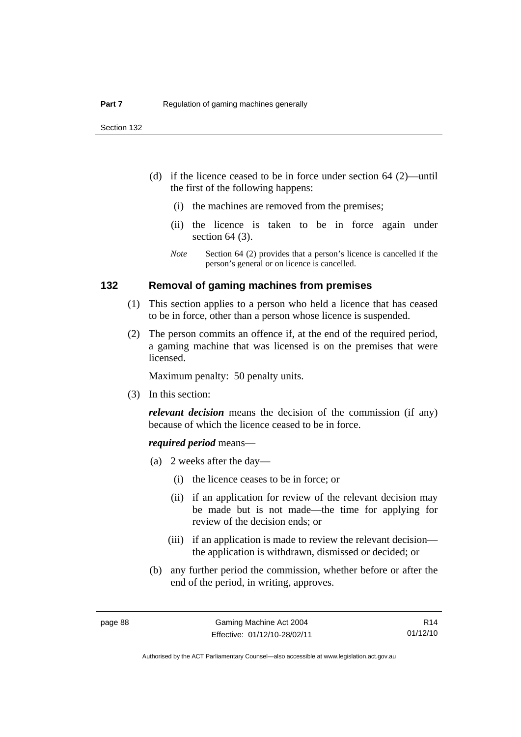- (d) if the licence ceased to be in force under section 64 (2)—until the first of the following happens:
	- (i) the machines are removed from the premises;
	- (ii) the licence is taken to be in force again under section 64 (3).
	- *Note* Section 64 (2) provides that a person's licence is cancelled if the person's general or on licence is cancelled.

#### **132 Removal of gaming machines from premises**

- (1) This section applies to a person who held a licence that has ceased to be in force, other than a person whose licence is suspended.
- (2) The person commits an offence if, at the end of the required period, a gaming machine that was licensed is on the premises that were licensed.

Maximum penalty: 50 penalty units.

(3) In this section:

*relevant decision* means the decision of the commission (if any) because of which the licence ceased to be in force.

#### *required period* means—

- (a) 2 weeks after the day—
	- (i) the licence ceases to be in force; or
	- (ii) if an application for review of the relevant decision may be made but is not made—the time for applying for review of the decision ends; or
	- (iii) if an application is made to review the relevant decision the application is withdrawn, dismissed or decided; or
- (b) any further period the commission, whether before or after the end of the period, in writing, approves.

Authorised by the ACT Parliamentary Counsel—also accessible at www.legislation.act.gov.au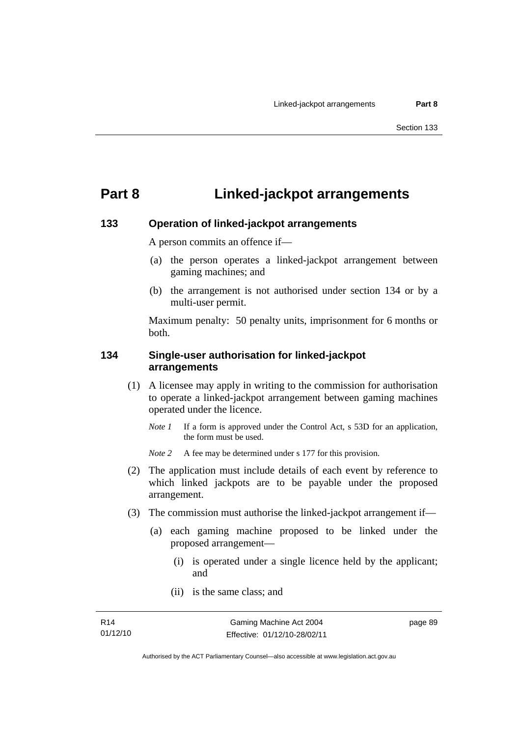# **Part 8 Linked-jackpot arrangements**

#### **133 Operation of linked-jackpot arrangements**

A person commits an offence if—

- (a) the person operates a linked-jackpot arrangement between gaming machines; and
- (b) the arrangement is not authorised under section 134 or by a multi-user permit.

Maximum penalty: 50 penalty units, imprisonment for 6 months or both.

#### **134 Single-user authorisation for linked-jackpot arrangements**

- (1) A licensee may apply in writing to the commission for authorisation to operate a linked-jackpot arrangement between gaming machines operated under the licence.
	- *Note 1* If a form is approved under the Control Act, s 53D for an application, the form must be used.

*Note* 2 A fee may be determined under s 177 for this provision.

- (2) The application must include details of each event by reference to which linked jackpots are to be payable under the proposed arrangement.
- (3) The commission must authorise the linked-jackpot arrangement if—
	- (a) each gaming machine proposed to be linked under the proposed arrangement—
		- (i) is operated under a single licence held by the applicant; and
		- (ii) is the same class; and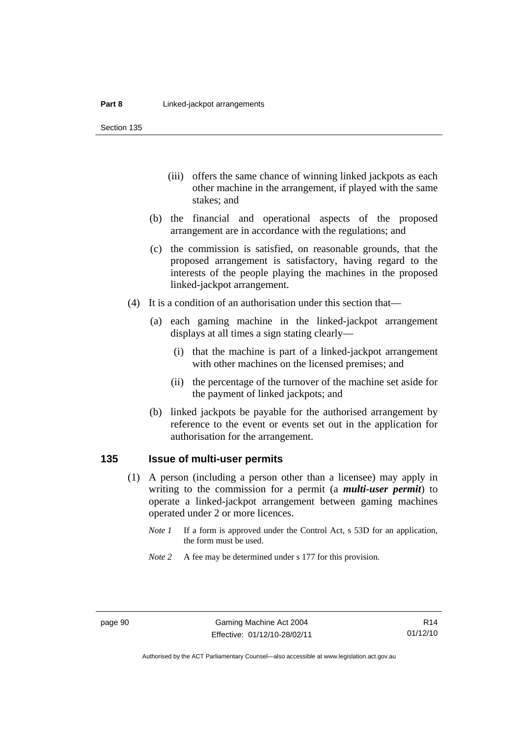Section 135

- (iii) offers the same chance of winning linked jackpots as each other machine in the arrangement, if played with the same stakes; and
- (b) the financial and operational aspects of the proposed arrangement are in accordance with the regulations; and
- (c) the commission is satisfied, on reasonable grounds, that the proposed arrangement is satisfactory, having regard to the interests of the people playing the machines in the proposed linked-jackpot arrangement.
- (4) It is a condition of an authorisation under this section that—
	- (a) each gaming machine in the linked-jackpot arrangement displays at all times a sign stating clearly—
		- (i) that the machine is part of a linked-jackpot arrangement with other machines on the licensed premises; and
		- (ii) the percentage of the turnover of the machine set aside for the payment of linked jackpots; and
	- (b) linked jackpots be payable for the authorised arrangement by reference to the event or events set out in the application for authorisation for the arrangement.

#### **135 Issue of multi-user permits**

- (1) A person (including a person other than a licensee) may apply in writing to the commission for a permit (a *multi-user permit*) to operate a linked-jackpot arrangement between gaming machines operated under 2 or more licences.
	- *Note 1* If a form is approved under the Control Act, s 53D for an application, the form must be used.
	- *Note* 2 A fee may be determined under s 177 for this provision.

Authorised by the ACT Parliamentary Counsel—also accessible at www.legislation.act.gov.au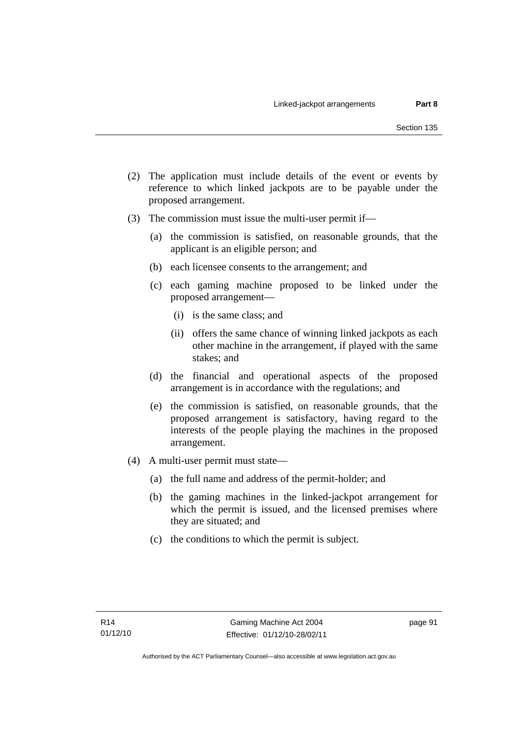- (2) The application must include details of the event or events by reference to which linked jackpots are to be payable under the proposed arrangement.
- (3) The commission must issue the multi-user permit if—
	- (a) the commission is satisfied, on reasonable grounds, that the applicant is an eligible person; and
	- (b) each licensee consents to the arrangement; and
	- (c) each gaming machine proposed to be linked under the proposed arrangement—
		- (i) is the same class; and
		- (ii) offers the same chance of winning linked jackpots as each other machine in the arrangement, if played with the same stakes; and
	- (d) the financial and operational aspects of the proposed arrangement is in accordance with the regulations; and
	- (e) the commission is satisfied, on reasonable grounds, that the proposed arrangement is satisfactory, having regard to the interests of the people playing the machines in the proposed arrangement.
- (4) A multi-user permit must state—
	- (a) the full name and address of the permit-holder; and
	- (b) the gaming machines in the linked-jackpot arrangement for which the permit is issued, and the licensed premises where they are situated; and
	- (c) the conditions to which the permit is subject.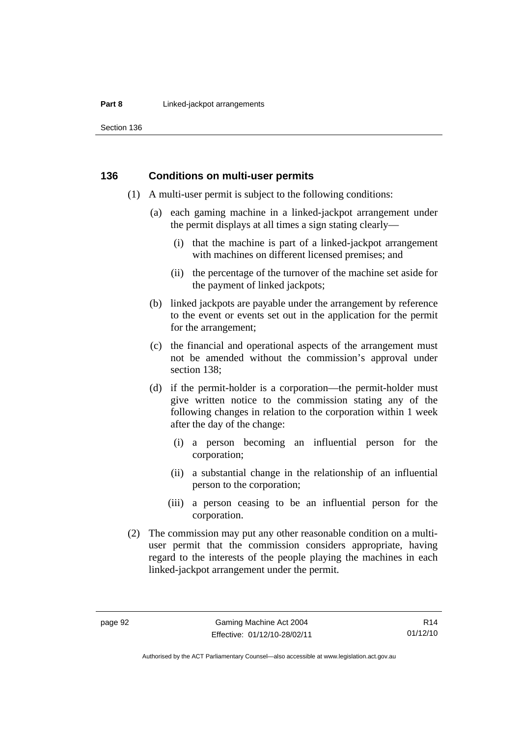#### **Part 8 Linked-jackpot arrangements**

Section 136

#### **136 Conditions on multi-user permits**

- (1) A multi-user permit is subject to the following conditions:
	- (a) each gaming machine in a linked-jackpot arrangement under the permit displays at all times a sign stating clearly—
		- (i) that the machine is part of a linked-jackpot arrangement with machines on different licensed premises; and
		- (ii) the percentage of the turnover of the machine set aside for the payment of linked jackpots;
	- (b) linked jackpots are payable under the arrangement by reference to the event or events set out in the application for the permit for the arrangement;
	- (c) the financial and operational aspects of the arrangement must not be amended without the commission's approval under section 138;
	- (d) if the permit-holder is a corporation—the permit-holder must give written notice to the commission stating any of the following changes in relation to the corporation within 1 week after the day of the change:
		- (i) a person becoming an influential person for the corporation;
		- (ii) a substantial change in the relationship of an influential person to the corporation;
		- (iii) a person ceasing to be an influential person for the corporation.
- (2) The commission may put any other reasonable condition on a multiuser permit that the commission considers appropriate, having regard to the interests of the people playing the machines in each linked-jackpot arrangement under the permit.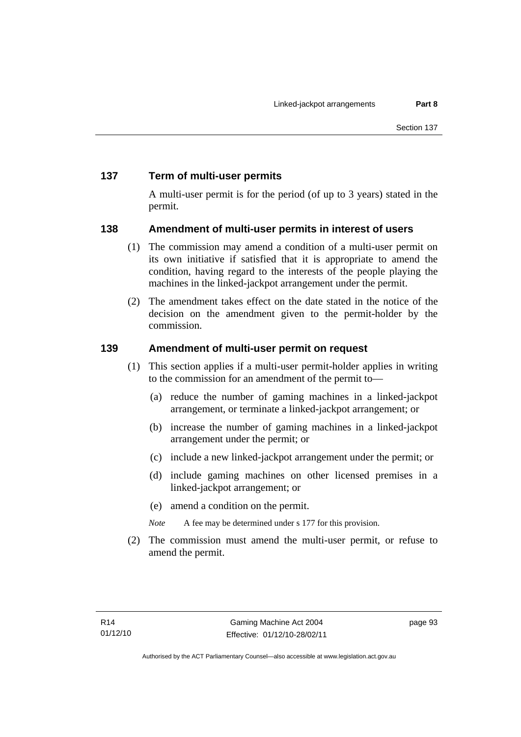# **137 Term of multi-user permits**

A multi-user permit is for the period (of up to 3 years) stated in the permit.

# **138 Amendment of multi-user permits in interest of users**

- (1) The commission may amend a condition of a multi-user permit on its own initiative if satisfied that it is appropriate to amend the condition, having regard to the interests of the people playing the machines in the linked-jackpot arrangement under the permit.
- (2) The amendment takes effect on the date stated in the notice of the decision on the amendment given to the permit-holder by the commission.

# **139 Amendment of multi-user permit on request**

- (1) This section applies if a multi-user permit-holder applies in writing to the commission for an amendment of the permit to—
	- (a) reduce the number of gaming machines in a linked-jackpot arrangement, or terminate a linked-jackpot arrangement; or
	- (b) increase the number of gaming machines in a linked-jackpot arrangement under the permit; or
	- (c) include a new linked-jackpot arrangement under the permit; or
	- (d) include gaming machines on other licensed premises in a linked-jackpot arrangement; or
	- (e) amend a condition on the permit.

*Note* A fee may be determined under s 177 for this provision.

 (2) The commission must amend the multi-user permit, or refuse to amend the permit.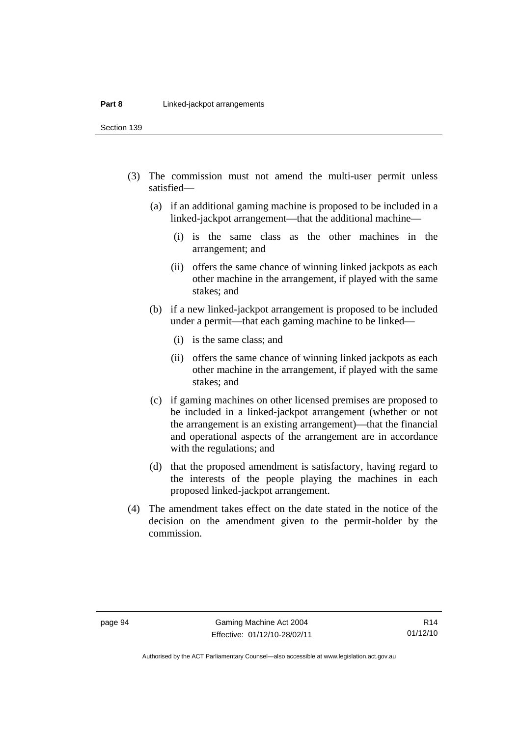Section 139

- (3) The commission must not amend the multi-user permit unless satisfied—
	- (a) if an additional gaming machine is proposed to be included in a linked-jackpot arrangement—that the additional machine—
		- (i) is the same class as the other machines in the arrangement; and
		- (ii) offers the same chance of winning linked jackpots as each other machine in the arrangement, if played with the same stakes; and
	- (b) if a new linked-jackpot arrangement is proposed to be included under a permit—that each gaming machine to be linked—
		- (i) is the same class; and
		- (ii) offers the same chance of winning linked jackpots as each other machine in the arrangement, if played with the same stakes; and
	- (c) if gaming machines on other licensed premises are proposed to be included in a linked-jackpot arrangement (whether or not the arrangement is an existing arrangement)—that the financial and operational aspects of the arrangement are in accordance with the regulations; and
	- (d) that the proposed amendment is satisfactory, having regard to the interests of the people playing the machines in each proposed linked-jackpot arrangement.
- (4) The amendment takes effect on the date stated in the notice of the decision on the amendment given to the permit-holder by the commission.

R14 01/12/10

Authorised by the ACT Parliamentary Counsel—also accessible at www.legislation.act.gov.au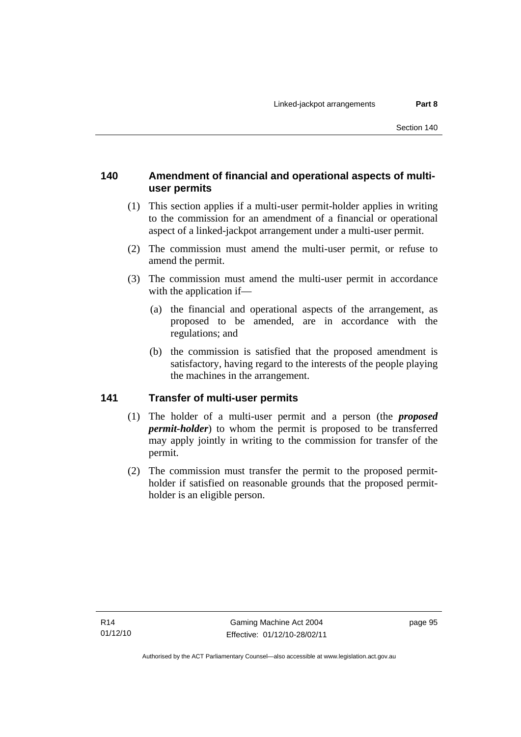## **140 Amendment of financial and operational aspects of multiuser permits**

- (1) This section applies if a multi-user permit-holder applies in writing to the commission for an amendment of a financial or operational aspect of a linked-jackpot arrangement under a multi-user permit.
- (2) The commission must amend the multi-user permit, or refuse to amend the permit.
- (3) The commission must amend the multi-user permit in accordance with the application if—
	- (a) the financial and operational aspects of the arrangement, as proposed to be amended, are in accordance with the regulations; and
	- (b) the commission is satisfied that the proposed amendment is satisfactory, having regard to the interests of the people playing the machines in the arrangement.

## **141 Transfer of multi-user permits**

- (1) The holder of a multi-user permit and a person (the *proposed permit-holder*) to whom the permit is proposed to be transferred may apply jointly in writing to the commission for transfer of the permit.
- (2) The commission must transfer the permit to the proposed permitholder if satisfied on reasonable grounds that the proposed permitholder is an eligible person.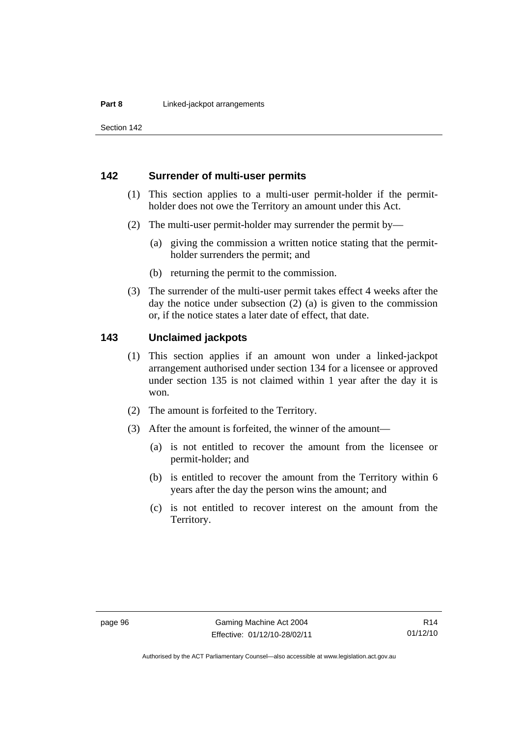Section 142

#### **142 Surrender of multi-user permits**

- (1) This section applies to a multi-user permit-holder if the permitholder does not owe the Territory an amount under this Act.
- (2) The multi-user permit-holder may surrender the permit by—
	- (a) giving the commission a written notice stating that the permitholder surrenders the permit; and
	- (b) returning the permit to the commission.
- (3) The surrender of the multi-user permit takes effect 4 weeks after the day the notice under subsection (2) (a) is given to the commission or, if the notice states a later date of effect, that date.

#### **143 Unclaimed jackpots**

- (1) This section applies if an amount won under a linked-jackpot arrangement authorised under section 134 for a licensee or approved under section 135 is not claimed within 1 year after the day it is won.
- (2) The amount is forfeited to the Territory.
- (3) After the amount is forfeited, the winner of the amount—
	- (a) is not entitled to recover the amount from the licensee or permit-holder; and
	- (b) is entitled to recover the amount from the Territory within 6 years after the day the person wins the amount; and
	- (c) is not entitled to recover interest on the amount from the Territory.

Authorised by the ACT Parliamentary Counsel—also accessible at www.legislation.act.gov.au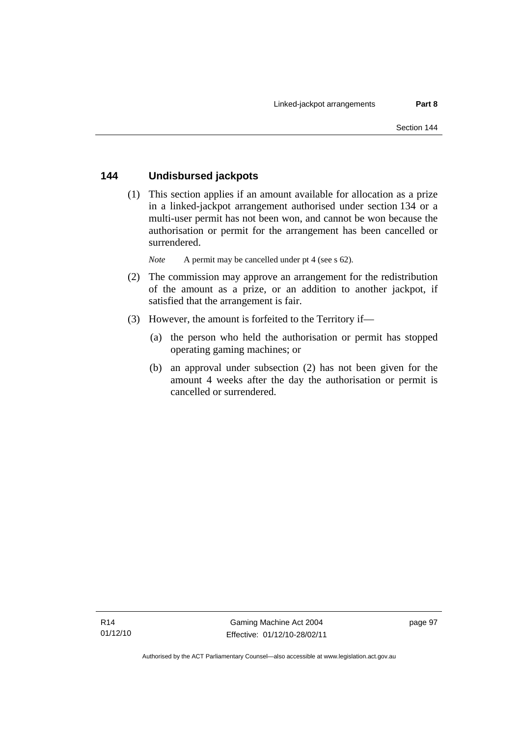## **144 Undisbursed jackpots**

 (1) This section applies if an amount available for allocation as a prize in a linked-jackpot arrangement authorised under section 134 or a multi-user permit has not been won, and cannot be won because the authorisation or permit for the arrangement has been cancelled or surrendered.

*Note* A permit may be cancelled under pt 4 (see s 62).

- (2) The commission may approve an arrangement for the redistribution of the amount as a prize, or an addition to another jackpot, if satisfied that the arrangement is fair.
- (3) However, the amount is forfeited to the Territory if—
	- (a) the person who held the authorisation or permit has stopped operating gaming machines; or
	- (b) an approval under subsection (2) has not been given for the amount 4 weeks after the day the authorisation or permit is cancelled or surrendered.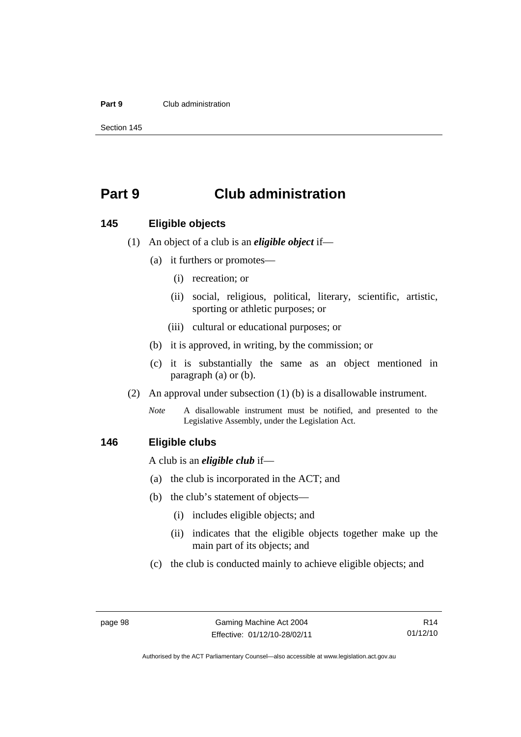#### **Part 9** Club administration

Section 145

# **Part 9 Club administration**

#### **145 Eligible objects**

(1) An object of a club is an *eligible object* if—

- (a) it furthers or promotes—
	- (i) recreation; or
	- (ii) social, religious, political, literary, scientific, artistic, sporting or athletic purposes; or
	- (iii) cultural or educational purposes; or
- (b) it is approved, in writing, by the commission; or
- (c) it is substantially the same as an object mentioned in paragraph (a) or (b).
- (2) An approval under subsection (1) (b) is a disallowable instrument.

*Note* A disallowable instrument must be notified, and presented to the Legislative Assembly, under the Legislation Act.

#### **146 Eligible clubs**

A club is an *eligible club* if—

- (a) the club is incorporated in the ACT; and
- (b) the club's statement of objects—
	- (i) includes eligible objects; and
	- (ii) indicates that the eligible objects together make up the main part of its objects; and
- (c) the club is conducted mainly to achieve eligible objects; and

R14 01/12/10

Authorised by the ACT Parliamentary Counsel—also accessible at www.legislation.act.gov.au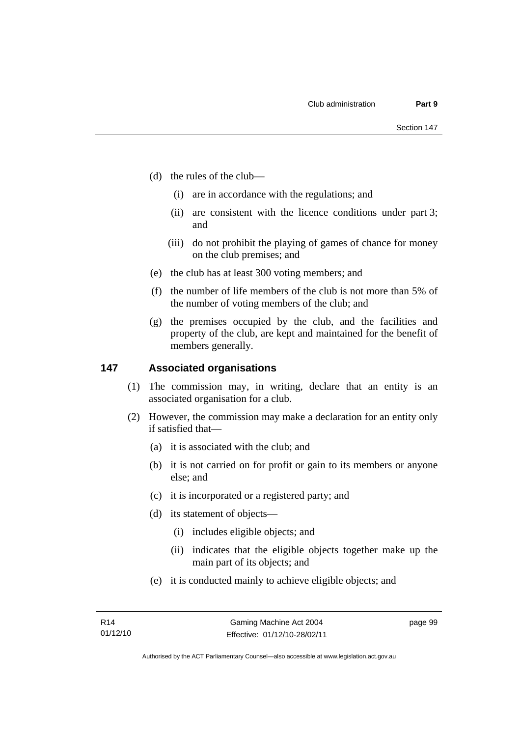- (d) the rules of the club—
	- (i) are in accordance with the regulations; and
	- (ii) are consistent with the licence conditions under part 3; and
	- (iii) do not prohibit the playing of games of chance for money on the club premises; and
- (e) the club has at least 300 voting members; and
- (f) the number of life members of the club is not more than 5% of the number of voting members of the club; and
- (g) the premises occupied by the club, and the facilities and property of the club, are kept and maintained for the benefit of members generally.

### **147 Associated organisations**

- (1) The commission may, in writing, declare that an entity is an associated organisation for a club.
- (2) However, the commission may make a declaration for an entity only if satisfied that—
	- (a) it is associated with the club; and
	- (b) it is not carried on for profit or gain to its members or anyone else; and
	- (c) it is incorporated or a registered party; and
	- (d) its statement of objects—
		- (i) includes eligible objects; and
		- (ii) indicates that the eligible objects together make up the main part of its objects; and
	- (e) it is conducted mainly to achieve eligible objects; and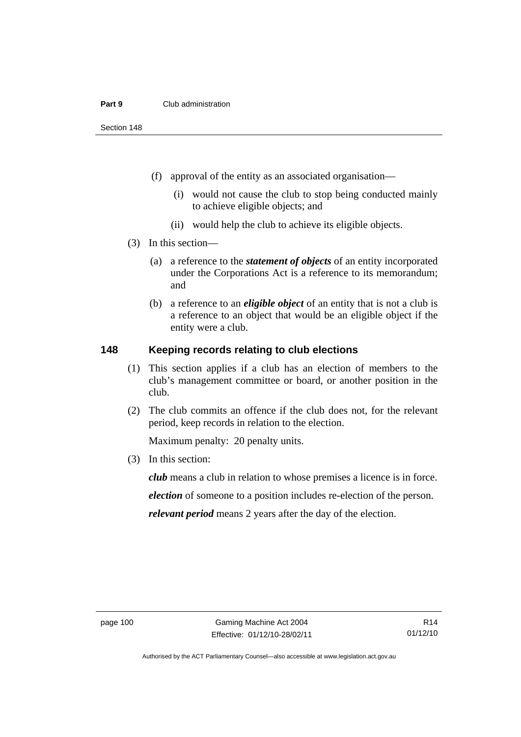#### **Part 9** Club administration

Section 148

- (f) approval of the entity as an associated organisation—
	- (i) would not cause the club to stop being conducted mainly to achieve eligible objects; and
	- (ii) would help the club to achieve its eligible objects.
- (3) In this section—
	- (a) a reference to the *statement of objects* of an entity incorporated under the Corporations Act is a reference to its memorandum; and
	- (b) a reference to an *eligible object* of an entity that is not a club is a reference to an object that would be an eligible object if the entity were a club.

## **148 Keeping records relating to club elections**

- (1) This section applies if a club has an election of members to the club's management committee or board, or another position in the club.
- (2) The club commits an offence if the club does not, for the relevant period, keep records in relation to the election.

Maximum penalty: 20 penalty units.

(3) In this section:

*club* means a club in relation to whose premises a licence is in force. *election* of someone to a position includes re-election of the person. *relevant period* means 2 years after the day of the election.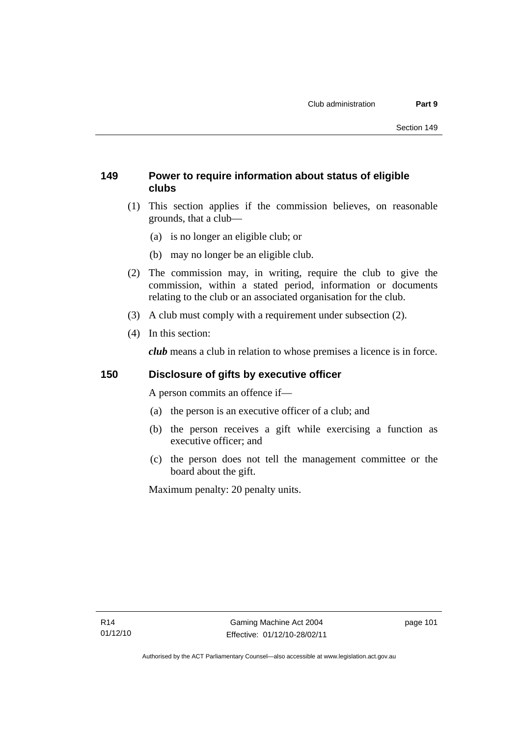# **149 Power to require information about status of eligible clubs**

- (1) This section applies if the commission believes, on reasonable grounds, that a club—
	- (a) is no longer an eligible club; or
	- (b) may no longer be an eligible club.
- (2) The commission may, in writing, require the club to give the commission, within a stated period, information or documents relating to the club or an associated organisation for the club.
- (3) A club must comply with a requirement under subsection (2).
- (4) In this section:

*club* means a club in relation to whose premises a licence is in force.

# **150 Disclosure of gifts by executive officer**

A person commits an offence if—

- (a) the person is an executive officer of a club; and
- (b) the person receives a gift while exercising a function as executive officer; and
- (c) the person does not tell the management committee or the board about the gift.

Maximum penalty: 20 penalty units.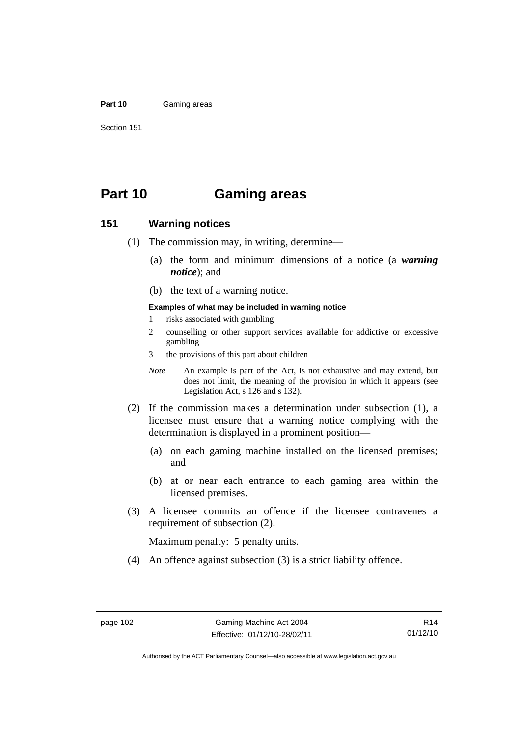#### **Part 10** Gaming areas

Section 151

# **Part 10 Gaming areas**

#### **151 Warning notices**

- (1) The commission may, in writing, determine—
	- (a) the form and minimum dimensions of a notice (a *warning notice*); and
	- (b) the text of a warning notice.

#### **Examples of what may be included in warning notice**

- 1 risks associated with gambling
- 2 counselling or other support services available for addictive or excessive gambling
- 3 the provisions of this part about children
- *Note* An example is part of the Act, is not exhaustive and may extend, but does not limit, the meaning of the provision in which it appears (see Legislation Act, s 126 and s 132).
- (2) If the commission makes a determination under subsection (1), a licensee must ensure that a warning notice complying with the determination is displayed in a prominent position—
	- (a) on each gaming machine installed on the licensed premises; and
	- (b) at or near each entrance to each gaming area within the licensed premises.
- (3) A licensee commits an offence if the licensee contravenes a requirement of subsection (2).

Maximum penalty: 5 penalty units.

(4) An offence against subsection (3) is a strict liability offence.

Authorised by the ACT Parliamentary Counsel—also accessible at www.legislation.act.gov.au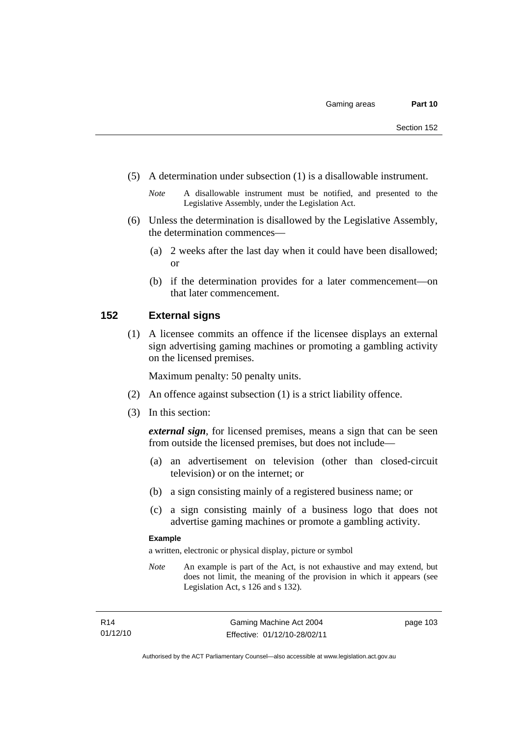(5) A determination under subsection (1) is a disallowable instrument.

- (6) Unless the determination is disallowed by the Legislative Assembly, the determination commences—
	- (a) 2 weeks after the last day when it could have been disallowed; or
	- (b) if the determination provides for a later commencement—on that later commencement.

#### **152 External signs**

 (1) A licensee commits an offence if the licensee displays an external sign advertising gaming machines or promoting a gambling activity on the licensed premises.

Maximum penalty: 50 penalty units.

- (2) An offence against subsection (1) is a strict liability offence.
- (3) In this section:

*external sign*, for licensed premises, means a sign that can be seen from outside the licensed premises, but does not include—

- (a) an advertisement on television (other than closed-circuit television) or on the internet; or
- (b) a sign consisting mainly of a registered business name; or
- (c) a sign consisting mainly of a business logo that does not advertise gaming machines or promote a gambling activity.

#### **Example**

a written, electronic or physical display, picture or symbol

*Note* An example is part of the Act, is not exhaustive and may extend, but does not limit, the meaning of the provision in which it appears (see Legislation Act, s 126 and s 132).

*Note* A disallowable instrument must be notified, and presented to the Legislative Assembly, under the Legislation Act.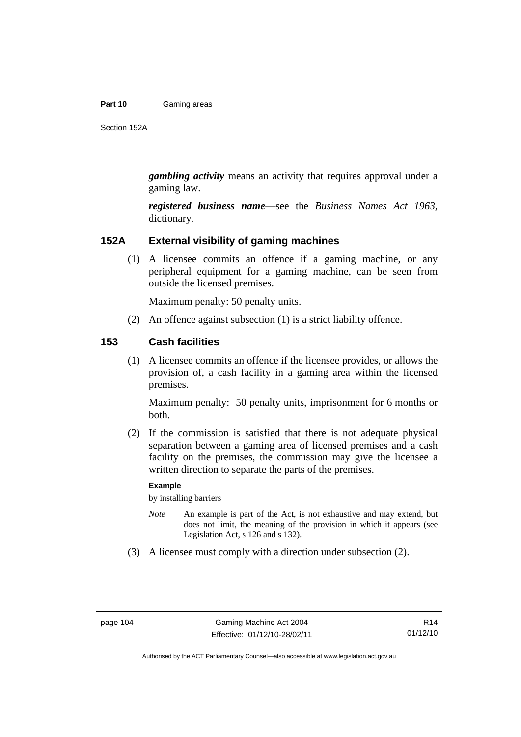#### **Part 10** Gaming areas

Section 152A

*gambling activity* means an activity that requires approval under a gaming law.

*registered business name*—see the *Business Names Act 1963*, dictionary*.*

#### **152A External visibility of gaming machines**

 (1) A licensee commits an offence if a gaming machine, or any peripheral equipment for a gaming machine, can be seen from outside the licensed premises.

Maximum penalty: 50 penalty units.

(2) An offence against subsection (1) is a strict liability offence.

#### **153 Cash facilities**

 (1) A licensee commits an offence if the licensee provides, or allows the provision of, a cash facility in a gaming area within the licensed premises.

Maximum penalty: 50 penalty units, imprisonment for 6 months or both.

 (2) If the commission is satisfied that there is not adequate physical separation between a gaming area of licensed premises and a cash facility on the premises, the commission may give the licensee a written direction to separate the parts of the premises.

#### **Example**

by installing barriers

- *Note* An example is part of the Act, is not exhaustive and may extend, but does not limit, the meaning of the provision in which it appears (see Legislation Act, s 126 and s 132).
- (3) A licensee must comply with a direction under subsection (2).

Authorised by the ACT Parliamentary Counsel—also accessible at www.legislation.act.gov.au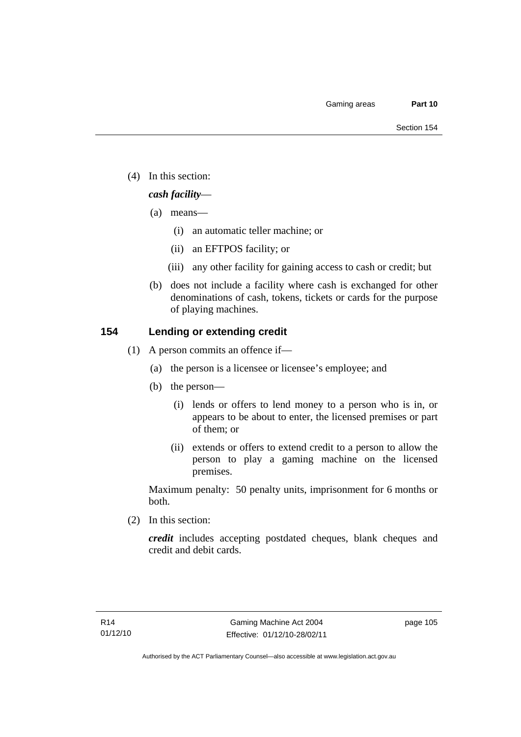(4) In this section:

# *cash facility*—

- (a) means—
	- (i) an automatic teller machine; or
	- (ii) an EFTPOS facility; or
	- (iii) any other facility for gaining access to cash or credit; but
- (b) does not include a facility where cash is exchanged for other denominations of cash, tokens, tickets or cards for the purpose of playing machines.

# **154 Lending or extending credit**

- (1) A person commits an offence if—
	- (a) the person is a licensee or licensee's employee; and
	- (b) the person—
		- (i) lends or offers to lend money to a person who is in, or appears to be about to enter, the licensed premises or part of them; or
		- (ii) extends or offers to extend credit to a person to allow the person to play a gaming machine on the licensed premises.

Maximum penalty: 50 penalty units, imprisonment for 6 months or both.

(2) In this section:

*credit* includes accepting postdated cheques, blank cheques and credit and debit cards.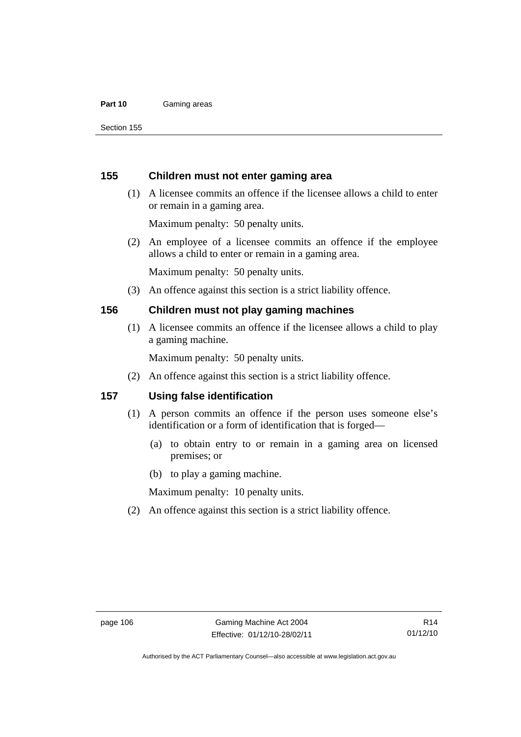#### **Part 10** Gaming areas

Section 155

#### **155 Children must not enter gaming area**

 (1) A licensee commits an offence if the licensee allows a child to enter or remain in a gaming area.

Maximum penalty: 50 penalty units.

 (2) An employee of a licensee commits an offence if the employee allows a child to enter or remain in a gaming area.

Maximum penalty: 50 penalty units.

(3) An offence against this section is a strict liability offence.

#### **156 Children must not play gaming machines**

 (1) A licensee commits an offence if the licensee allows a child to play a gaming machine.

Maximum penalty: 50 penalty units.

(2) An offence against this section is a strict liability offence.

### **157 Using false identification**

- (1) A person commits an offence if the person uses someone else's identification or a form of identification that is forged—
	- (a) to obtain entry to or remain in a gaming area on licensed premises; or
	- (b) to play a gaming machine.

Maximum penalty: 10 penalty units.

(2) An offence against this section is a strict liability offence.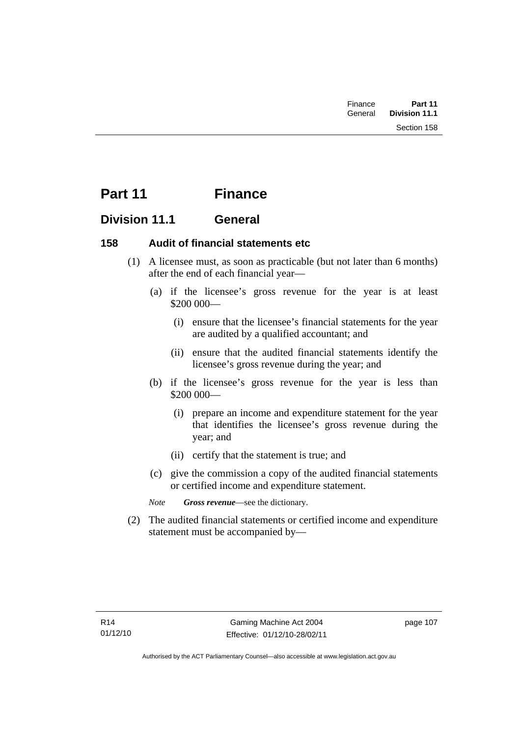| Finance | Part 11              |  |
|---------|----------------------|--|
| General | <b>Division 11.1</b> |  |
|         | Section 158          |  |

# **Part 11 Finance**

# **Division 11.1 General**

# **158 Audit of financial statements etc**

- (1) A licensee must, as soon as practicable (but not later than 6 months) after the end of each financial year—
	- (a) if the licensee's gross revenue for the year is at least \$200 000—
		- (i) ensure that the licensee's financial statements for the year are audited by a qualified accountant; and
		- (ii) ensure that the audited financial statements identify the licensee's gross revenue during the year; and
	- (b) if the licensee's gross revenue for the year is less than \$200 000—
		- (i) prepare an income and expenditure statement for the year that identifies the licensee's gross revenue during the year; and
		- (ii) certify that the statement is true; and
	- (c) give the commission a copy of the audited financial statements or certified income and expenditure statement.
	- *Note Gross revenue*—see the dictionary.
- (2) The audited financial statements or certified income and expenditure statement must be accompanied by—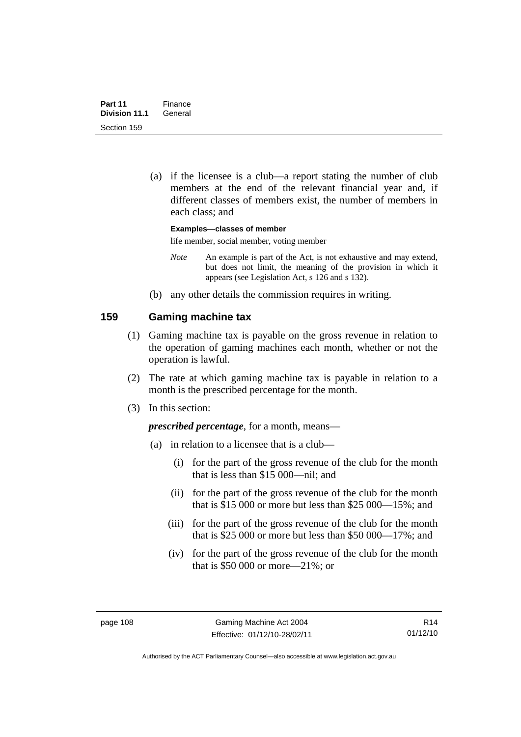(a) if the licensee is a club—a report stating the number of club members at the end of the relevant financial year and, if different classes of members exist, the number of members in each class; and

**Examples—classes of member** 

life member, social member, voting member

- *Note* An example is part of the Act, is not exhaustive and may extend, but does not limit, the meaning of the provision in which it appears (see Legislation Act, s 126 and s 132).
- (b) any other details the commission requires in writing.

### **159 Gaming machine tax**

- (1) Gaming machine tax is payable on the gross revenue in relation to the operation of gaming machines each month, whether or not the operation is lawful.
- (2) The rate at which gaming machine tax is payable in relation to a month is the prescribed percentage for the month.
- (3) In this section:

*prescribed percentage*, for a month, means—

- (a) in relation to a licensee that is a club—
	- (i) for the part of the gross revenue of the club for the month that is less than \$15 000—nil; and
	- (ii) for the part of the gross revenue of the club for the month that is \$15 000 or more but less than \$25 000—15%; and
	- (iii) for the part of the gross revenue of the club for the month that is \$25 000 or more but less than \$50 000—17%; and
	- (iv) for the part of the gross revenue of the club for the month that is \$50 000 or more—21%; or

R14 01/12/10

Authorised by the ACT Parliamentary Counsel—also accessible at www.legislation.act.gov.au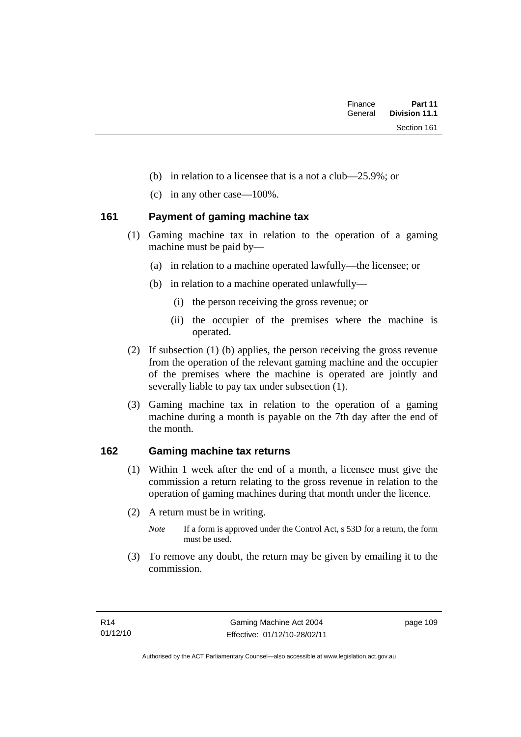- (b) in relation to a licensee that is a not a club—25.9%; or
- (c) in any other case—100%.

### **161 Payment of gaming machine tax**

- (1) Gaming machine tax in relation to the operation of a gaming machine must be paid by—
	- (a) in relation to a machine operated lawfully—the licensee; or
	- (b) in relation to a machine operated unlawfully—
		- (i) the person receiving the gross revenue; or
		- (ii) the occupier of the premises where the machine is operated.
- (2) If subsection (1) (b) applies, the person receiving the gross revenue from the operation of the relevant gaming machine and the occupier of the premises where the machine is operated are jointly and severally liable to pay tax under subsection (1).
- (3) Gaming machine tax in relation to the operation of a gaming machine during a month is payable on the 7th day after the end of the month.

## **162 Gaming machine tax returns**

- (1) Within 1 week after the end of a month, a licensee must give the commission a return relating to the gross revenue in relation to the operation of gaming machines during that month under the licence.
- (2) A return must be in writing.
	- *Note* If a form is approved under the Control Act, s 53D for a return, the form must be used.
- (3) To remove any doubt, the return may be given by emailing it to the commission.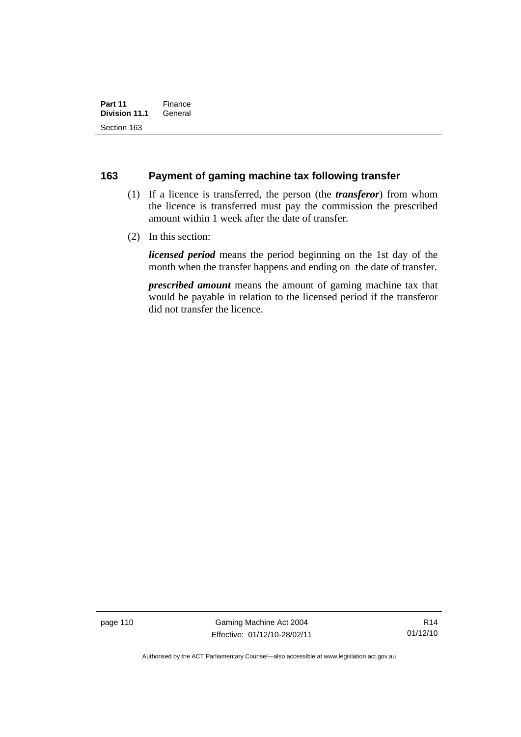#### **163 Payment of gaming machine tax following transfer**

- (1) If a licence is transferred, the person (the *transferor*) from whom the licence is transferred must pay the commission the prescribed amount within 1 week after the date of transfer.
- (2) In this section:

*licensed period* means the period beginning on the 1st day of the month when the transfer happens and ending on the date of transfer.

*prescribed amount* means the amount of gaming machine tax that would be payable in relation to the licensed period if the transferor did not transfer the licence.

page 110 Gaming Machine Act 2004 Effective: 01/12/10-28/02/11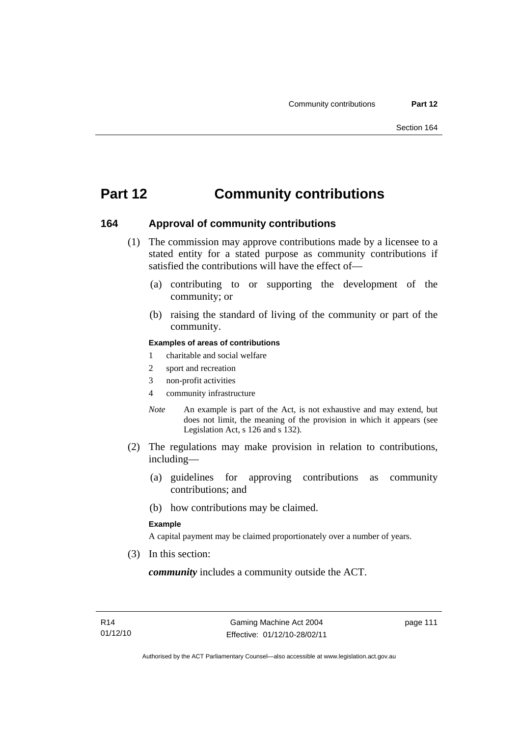# **Part 12 Community contributions**

#### **164 Approval of community contributions**

- (1) The commission may approve contributions made by a licensee to a stated entity for a stated purpose as community contributions if satisfied the contributions will have the effect of—
	- (a) contributing to or supporting the development of the community; or
	- (b) raising the standard of living of the community or part of the community.

#### **Examples of areas of contributions**

- 1 charitable and social welfare
- 2 sport and recreation
- 3 non-profit activities
- 4 community infrastructure
- *Note* An example is part of the Act, is not exhaustive and may extend, but does not limit, the meaning of the provision in which it appears (see Legislation Act, s 126 and s 132).
- (2) The regulations may make provision in relation to contributions, including—
	- (a) guidelines for approving contributions as community contributions; and
	- (b) how contributions may be claimed.

#### **Example**

A capital payment may be claimed proportionately over a number of years.

(3) In this section:

*community* includes a community outside the ACT.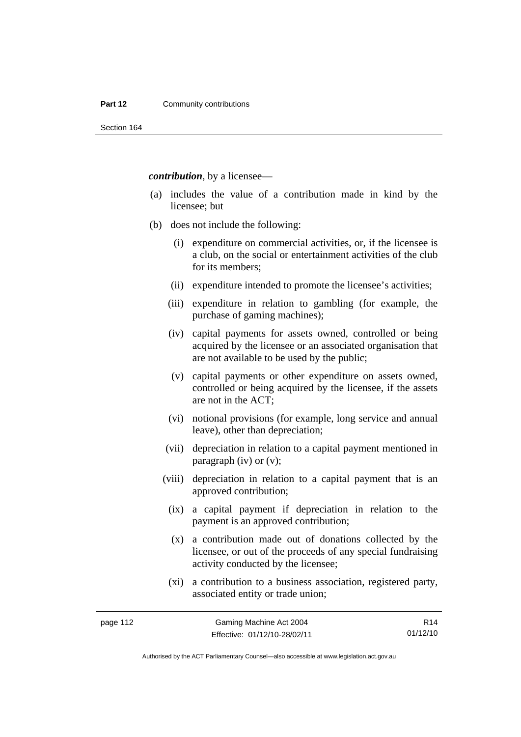#### **Part 12 Community contributions**

Section 164

*contribution*, by a licensee—

- (a) includes the value of a contribution made in kind by the licensee; but
- (b) does not include the following:
	- (i) expenditure on commercial activities, or, if the licensee is a club, on the social or entertainment activities of the club for its members;
	- (ii) expenditure intended to promote the licensee's activities;
	- (iii) expenditure in relation to gambling (for example, the purchase of gaming machines);
	- (iv) capital payments for assets owned, controlled or being acquired by the licensee or an associated organisation that are not available to be used by the public;
	- (v) capital payments or other expenditure on assets owned, controlled or being acquired by the licensee, if the assets are not in the ACT;
	- (vi) notional provisions (for example, long service and annual leave), other than depreciation;
	- (vii) depreciation in relation to a capital payment mentioned in paragraph (iv) or (v);
	- (viii) depreciation in relation to a capital payment that is an approved contribution;
	- (ix) a capital payment if depreciation in relation to the payment is an approved contribution;
	- (x) a contribution made out of donations collected by the licensee, or out of the proceeds of any special fundraising activity conducted by the licensee;
	- (xi) a contribution to a business association, registered party, associated entity or trade union;

R14 01/12/10

Authorised by the ACT Parliamentary Counsel—also accessible at www.legislation.act.gov.au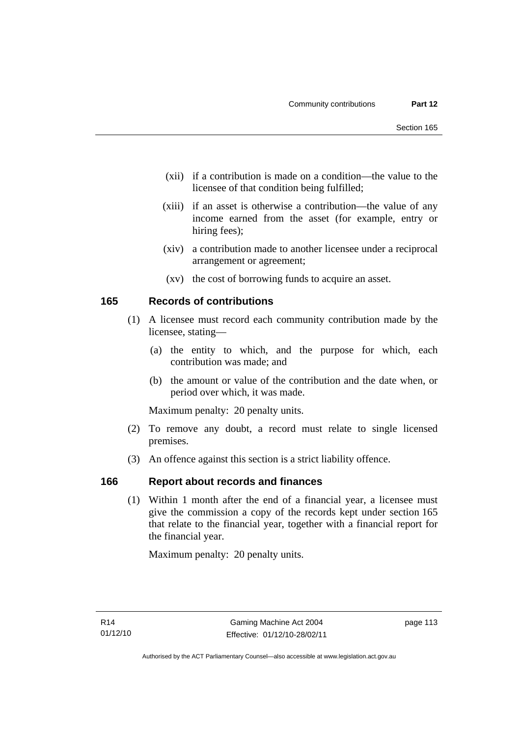- (xii) if a contribution is made on a condition—the value to the licensee of that condition being fulfilled;
- (xiii) if an asset is otherwise a contribution—the value of any income earned from the asset (for example, entry or hiring fees);
- (xiv) a contribution made to another licensee under a reciprocal arrangement or agreement;
- (xv) the cost of borrowing funds to acquire an asset.

### **165 Records of contributions**

- (1) A licensee must record each community contribution made by the licensee, stating—
	- (a) the entity to which, and the purpose for which, each contribution was made; and
	- (b) the amount or value of the contribution and the date when, or period over which, it was made.

Maximum penalty: 20 penalty units.

- (2) To remove any doubt, a record must relate to single licensed premises.
- (3) An offence against this section is a strict liability offence.

## **166 Report about records and finances**

 (1) Within 1 month after the end of a financial year, a licensee must give the commission a copy of the records kept under section 165 that relate to the financial year, together with a financial report for the financial year.

Maximum penalty: 20 penalty units.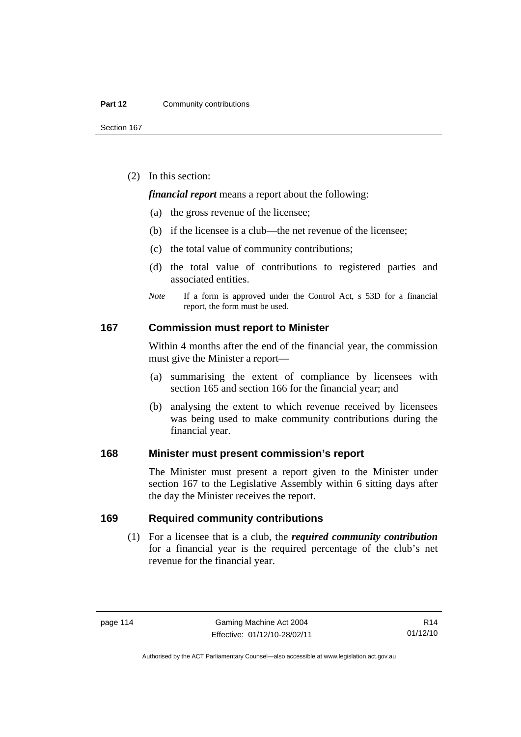Section 167

(2) In this section:

*financial report* means a report about the following:

- (a) the gross revenue of the licensee;
- (b) if the licensee is a club—the net revenue of the licensee;
- (c) the total value of community contributions;
- (d) the total value of contributions to registered parties and associated entities.
- *Note* If a form is approved under the Control Act, s 53D for a financial report, the form must be used.

#### **167 Commission must report to Minister**

Within 4 months after the end of the financial year, the commission must give the Minister a report—

- (a) summarising the extent of compliance by licensees with section 165 and section 166 for the financial year; and
- (b) analysing the extent to which revenue received by licensees was being used to make community contributions during the financial year.

### **168 Minister must present commission's report**

The Minister must present a report given to the Minister under section 167 to the Legislative Assembly within 6 sitting days after the day the Minister receives the report.

#### **169 Required community contributions**

 (1) For a licensee that is a club, the *required community contribution* for a financial year is the required percentage of the club's net revenue for the financial year.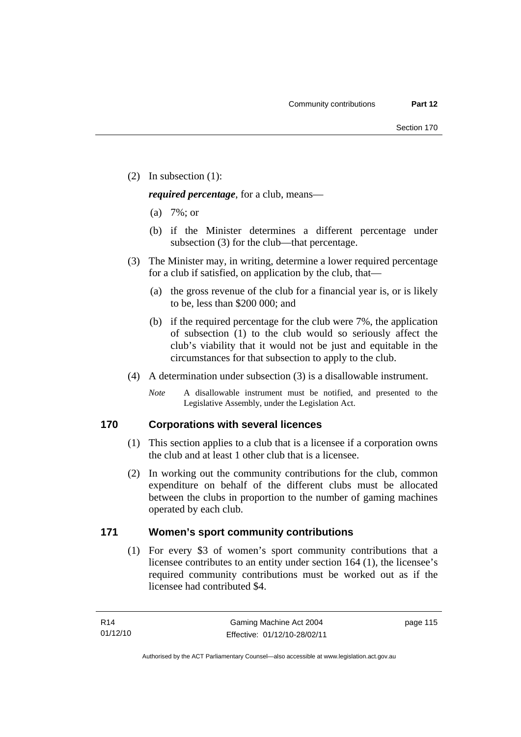(2) In subsection (1):

*required percentage*, for a club, means—

- (a) 7%; or
- (b) if the Minister determines a different percentage under subsection (3) for the club—that percentage.
- (3) The Minister may, in writing, determine a lower required percentage for a club if satisfied, on application by the club, that—
	- (a) the gross revenue of the club for a financial year is, or is likely to be, less than \$200 000; and
	- (b) if the required percentage for the club were 7%, the application of subsection (1) to the club would so seriously affect the club's viability that it would not be just and equitable in the circumstances for that subsection to apply to the club.
- (4) A determination under subsection (3) is a disallowable instrument.
	- *Note* A disallowable instrument must be notified, and presented to the Legislative Assembly, under the Legislation Act.

# **170 Corporations with several licences**

- (1) This section applies to a club that is a licensee if a corporation owns the club and at least 1 other club that is a licensee.
- (2) In working out the community contributions for the club, common expenditure on behalf of the different clubs must be allocated between the clubs in proportion to the number of gaming machines operated by each club.

# **171 Women's sport community contributions**

 (1) For every \$3 of women's sport community contributions that a licensee contributes to an entity under section 164 (1), the licensee's required community contributions must be worked out as if the licensee had contributed \$4.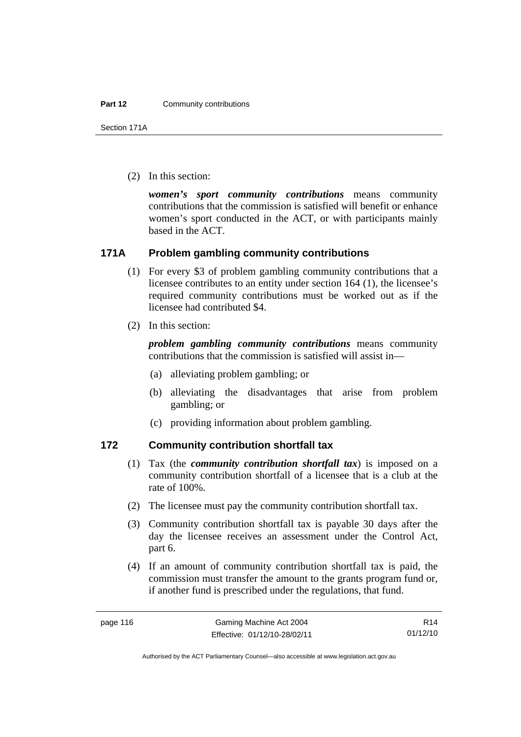Section 171A

(2) In this section:

*women's sport community contributions* means community contributions that the commission is satisfied will benefit or enhance women's sport conducted in the ACT, or with participants mainly based in the ACT.

## **171A Problem gambling community contributions**

- (1) For every \$3 of problem gambling community contributions that a licensee contributes to an entity under section 164 (1), the licensee's required community contributions must be worked out as if the licensee had contributed \$4.
- (2) In this section:

*problem gambling community contributions* means community contributions that the commission is satisfied will assist in—

- (a) alleviating problem gambling; or
- (b) alleviating the disadvantages that arise from problem gambling; or
- (c) providing information about problem gambling.

### **172 Community contribution shortfall tax**

- (1) Tax (the *community contribution shortfall tax*) is imposed on a community contribution shortfall of a licensee that is a club at the rate of 100%.
- (2) The licensee must pay the community contribution shortfall tax.
- (3) Community contribution shortfall tax is payable 30 days after the day the licensee receives an assessment under the Control Act, part 6.
- (4) If an amount of community contribution shortfall tax is paid, the commission must transfer the amount to the grants program fund or, if another fund is prescribed under the regulations, that fund.

Authorised by the ACT Parliamentary Counsel—also accessible at www.legislation.act.gov.au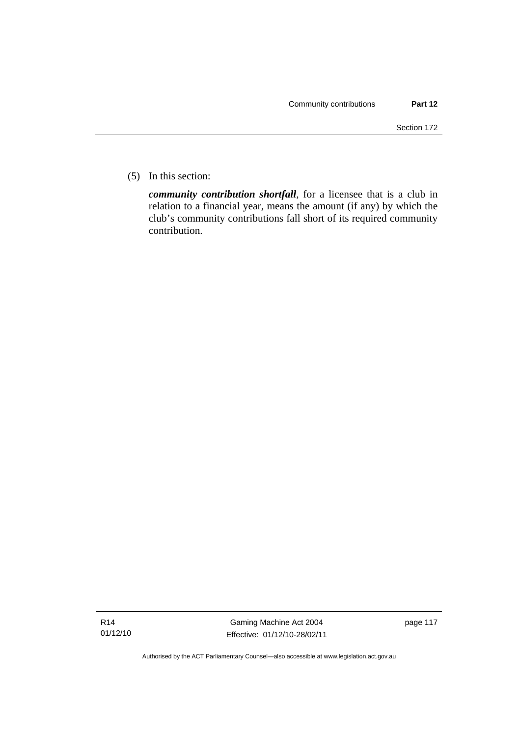(5) In this section:

*community contribution shortfall*, for a licensee that is a club in relation to a financial year, means the amount (if any) by which the club's community contributions fall short of its required community contribution.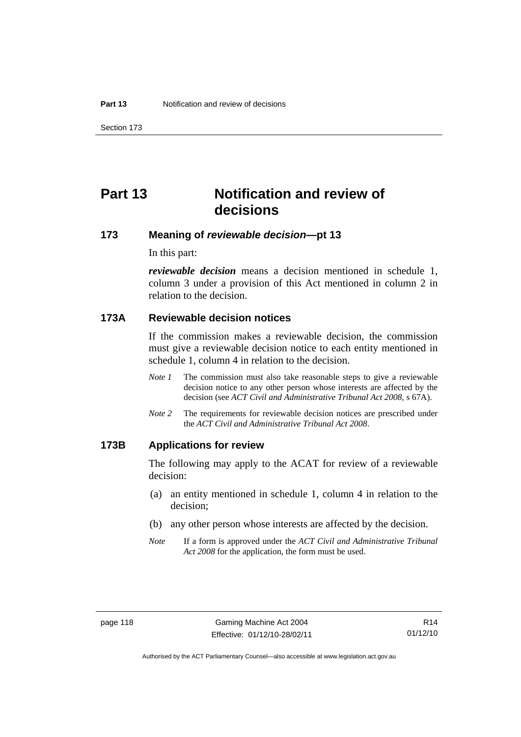Section 173

# **Part 13 Notification and review of decisions**

### **173 Meaning of** *reviewable decision***—pt 13**

In this part:

*reviewable decision* means a decision mentioned in schedule 1, column 3 under a provision of this Act mentioned in column 2 in relation to the decision.

#### **173A Reviewable decision notices**

If the commission makes a reviewable decision, the commission must give a reviewable decision notice to each entity mentioned in schedule 1, column 4 in relation to the decision.

- *Note 1* The commission must also take reasonable steps to give a reviewable decision notice to any other person whose interests are affected by the decision (see *ACT Civil and Administrative Tribunal Act 2008*, s 67A).
- *Note* 2 The requirements for reviewable decision notices are prescribed under the *ACT Civil and Administrative Tribunal Act 2008*.

### **173B Applications for review**

The following may apply to the ACAT for review of a reviewable decision:

- (a) an entity mentioned in schedule 1, column 4 in relation to the decision;
- (b) any other person whose interests are affected by the decision.
- *Note* If a form is approved under the *ACT Civil and Administrative Tribunal Act 2008* for the application, the form must be used.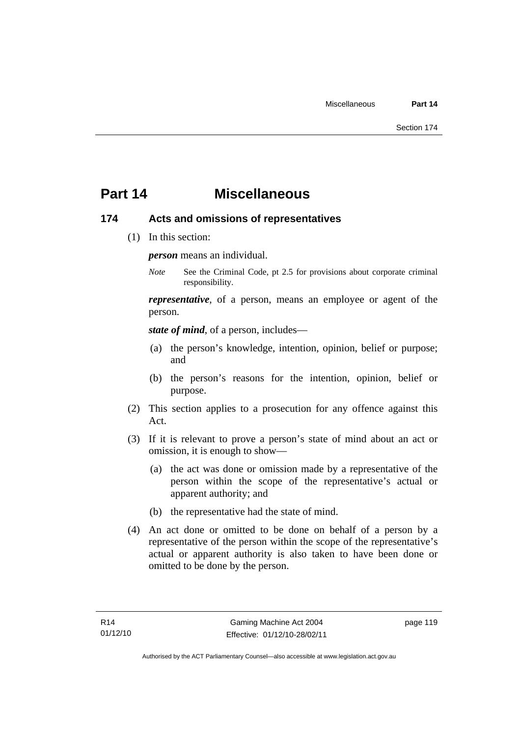# **Part 14 Miscellaneous**

### **174 Acts and omissions of representatives**

(1) In this section:

*person* means an individual.

*Note* See the Criminal Code, pt 2.5 for provisions about corporate criminal responsibility.

*representative*, of a person, means an employee or agent of the person.

*state of mind*, of a person, includes—

- (a) the person's knowledge, intention, opinion, belief or purpose; and
- (b) the person's reasons for the intention, opinion, belief or purpose.
- (2) This section applies to a prosecution for any offence against this Act.
- (3) If it is relevant to prove a person's state of mind about an act or omission, it is enough to show—
	- (a) the act was done or omission made by a representative of the person within the scope of the representative's actual or apparent authority; and
	- (b) the representative had the state of mind.
- (4) An act done or omitted to be done on behalf of a person by a representative of the person within the scope of the representative's actual or apparent authority is also taken to have been done or omitted to be done by the person.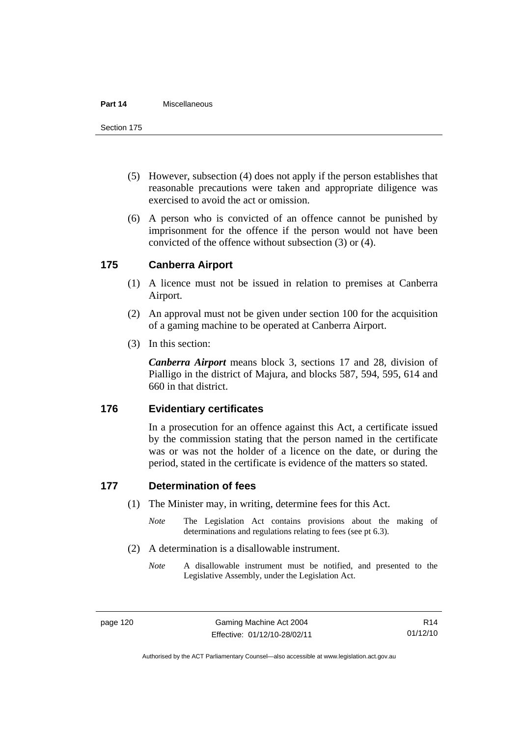#### **Part 14** Miscellaneous

Section 175

- (5) However, subsection (4) does not apply if the person establishes that reasonable precautions were taken and appropriate diligence was exercised to avoid the act or omission.
- (6) A person who is convicted of an offence cannot be punished by imprisonment for the offence if the person would not have been convicted of the offence without subsection (3) or (4).

# **175 Canberra Airport**

- (1) A licence must not be issued in relation to premises at Canberra Airport.
- (2) An approval must not be given under section 100 for the acquisition of a gaming machine to be operated at Canberra Airport.
- (3) In this section:

*Canberra Airport* means block 3, sections 17 and 28, division of Pialligo in the district of Majura, and blocks 587, 594, 595, 614 and 660 in that district.

#### **176 Evidentiary certificates**

In a prosecution for an offence against this Act, a certificate issued by the commission stating that the person named in the certificate was or was not the holder of a licence on the date, or during the period, stated in the certificate is evidence of the matters so stated.

## **177 Determination of fees**

- (1) The Minister may, in writing, determine fees for this Act.
	- *Note* The Legislation Act contains provisions about the making of determinations and regulations relating to fees (see pt 6.3).
- (2) A determination is a disallowable instrument.
	- *Note* A disallowable instrument must be notified, and presented to the Legislative Assembly, under the Legislation Act.

Authorised by the ACT Parliamentary Counsel—also accessible at www.legislation.act.gov.au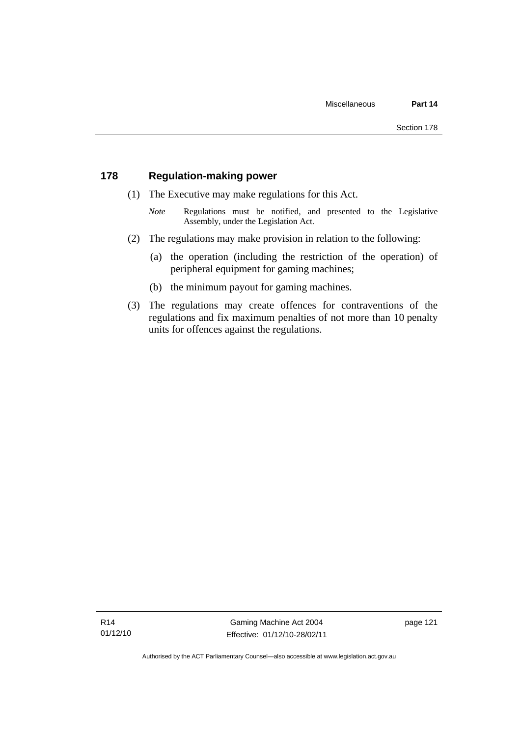### **178 Regulation-making power**

- (1) The Executive may make regulations for this Act.
	- *Note* **Regulations** must be notified, and presented to the Legislative Assembly, under the Legislation Act.
- (2) The regulations may make provision in relation to the following:
	- (a) the operation (including the restriction of the operation) of peripheral equipment for gaming machines;
	- (b) the minimum payout for gaming machines.
- (3) The regulations may create offences for contraventions of the regulations and fix maximum penalties of not more than 10 penalty units for offences against the regulations.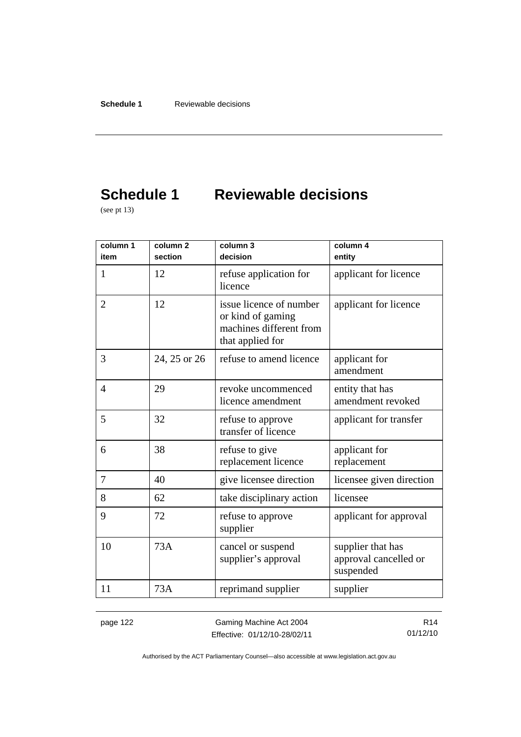# **Schedule 1 Reviewable decisions**

(see pt 13)

| column 1<br>item | column <sub>2</sub><br>section | column 3<br>decision                                                                        | column 4<br>entity                                      |
|------------------|--------------------------------|---------------------------------------------------------------------------------------------|---------------------------------------------------------|
| 1                | 12                             | refuse application for<br>licence                                                           | applicant for licence                                   |
| $\overline{2}$   | 12                             | issue licence of number<br>or kind of gaming<br>machines different from<br>that applied for | applicant for licence                                   |
| 3                | 24, 25 or 26                   | refuse to amend licence                                                                     | applicant for<br>amendment                              |
| $\overline{4}$   | 29                             | revoke uncommenced<br>licence amendment                                                     | entity that has<br>amendment revoked                    |
| 5                | 32                             | refuse to approve<br>transfer of licence                                                    | applicant for transfer                                  |
| 6                | 38                             | refuse to give<br>replacement licence                                                       | applicant for<br>replacement                            |
| 7                | 40                             | give licensee direction                                                                     | licensee given direction                                |
| 8                | 62                             | take disciplinary action                                                                    | licensee                                                |
| 9                | 72                             | refuse to approve<br>supplier                                                               | applicant for approval                                  |
| 10               | 73A                            | cancel or suspend<br>supplier's approval                                                    | supplier that has<br>approval cancelled or<br>suspended |
| 11               | 73A                            | reprimand supplier                                                                          | supplier                                                |

page 122 Gaming Machine Act 2004 Effective: 01/12/10-28/02/11

R14 01/12/10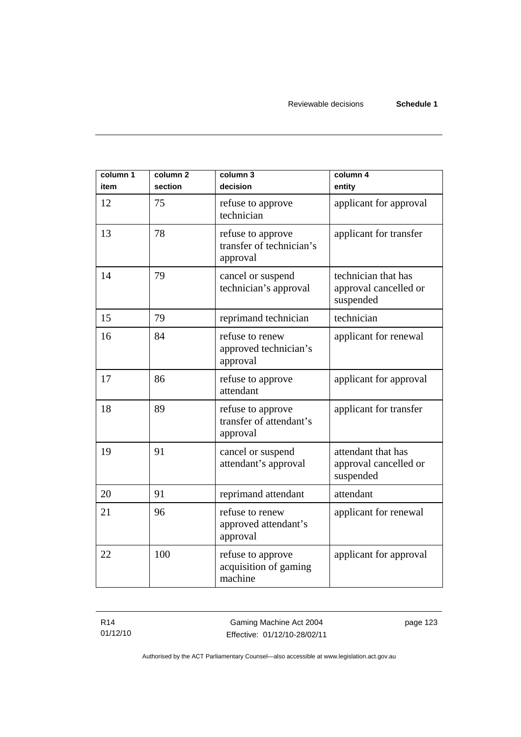| column 1<br>item | column <sub>2</sub><br>section | column 3<br>decision                                      | column 4<br>entity                                        |
|------------------|--------------------------------|-----------------------------------------------------------|-----------------------------------------------------------|
| 12               | 75                             | refuse to approve<br>technician                           | applicant for approval                                    |
| 13               | 78                             | refuse to approve<br>transfer of technician's<br>approval | applicant for transfer                                    |
| 14               | 79                             | cancel or suspend<br>technician's approval                | technician that has<br>approval cancelled or<br>suspended |
| 15               | 79                             | reprimand technician                                      | technician                                                |
| 16               | 84                             | refuse to renew<br>approved technician's<br>approval      | applicant for renewal                                     |
| 17               | 86                             | refuse to approve<br>attendant                            | applicant for approval                                    |
| 18               | 89                             | refuse to approve<br>transfer of attendant's<br>approval  | applicant for transfer                                    |
| 19               | 91                             | cancel or suspend<br>attendant's approval                 | attendant that has<br>approval cancelled or<br>suspended  |
| 20               | 91                             | reprimand attendant                                       | attendant                                                 |
| 21               | 96                             | refuse to renew<br>approved attendant's<br>approval       | applicant for renewal                                     |
| 22               | 100                            | refuse to approve<br>acquisition of gaming<br>machine     | applicant for approval                                    |

R14 01/12/10

Gaming Machine Act 2004 Effective: 01/12/10-28/02/11 page 123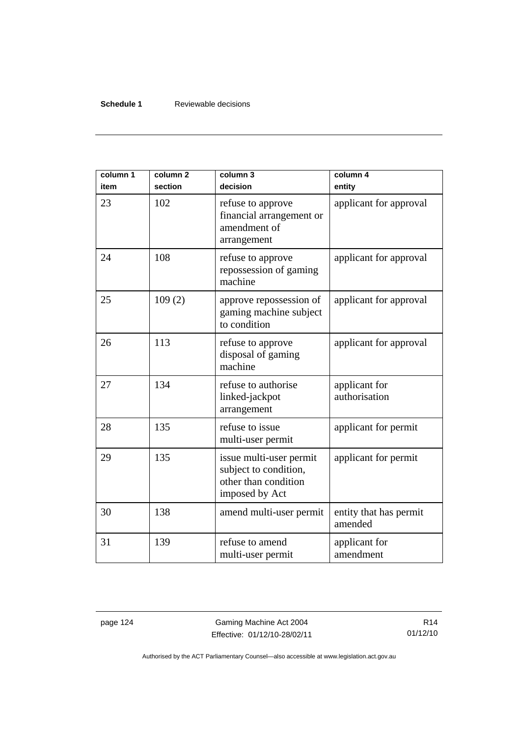#### **Schedule 1** Reviewable decisions

| column 1<br>item | column <sub>2</sub><br>section | column 3<br>decision                                                                       | column 4<br>entity                |
|------------------|--------------------------------|--------------------------------------------------------------------------------------------|-----------------------------------|
| 23               | 102                            | refuse to approve<br>financial arrangement or<br>amendment of<br>arrangement               | applicant for approval            |
| 24               | 108                            | refuse to approve<br>repossession of gaming<br>machine                                     | applicant for approval            |
| 25               | 109(2)                         | approve repossession of<br>gaming machine subject<br>to condition                          | applicant for approval            |
| 26               | 113                            | refuse to approve<br>disposal of gaming<br>machine                                         | applicant for approval            |
| 27               | 134                            | refuse to authorise<br>linked-jackpot<br>arrangement                                       | applicant for<br>authorisation    |
| 28               | 135                            | refuse to issue<br>multi-user permit                                                       | applicant for permit              |
| 29               | 135                            | issue multi-user permit<br>subject to condition,<br>other than condition<br>imposed by Act | applicant for permit              |
| 30               | 138                            | amend multi-user permit                                                                    | entity that has permit<br>amended |
| 31               | 139                            | refuse to amend<br>multi-user permit                                                       | applicant for<br>amendment        |

page 124 Gaming Machine Act 2004 Effective: 01/12/10-28/02/11

R14 01/12/10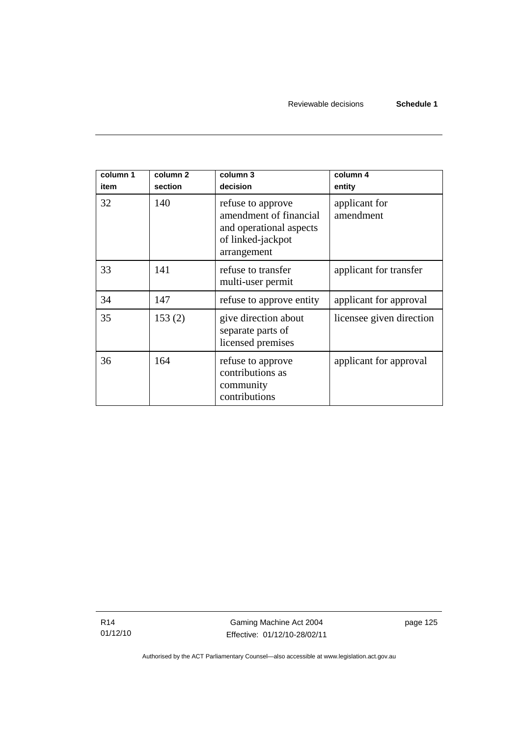| column 1<br>item | column <sub>2</sub><br>section | column 3<br>decision                                                                                       | column 4<br>entity         |
|------------------|--------------------------------|------------------------------------------------------------------------------------------------------------|----------------------------|
| 32               | 140                            | refuse to approve<br>amendment of financial<br>and operational aspects<br>of linked-jackpot<br>arrangement | applicant for<br>amendment |
| 33               | 141                            | refuse to transfer<br>multi-user permit                                                                    | applicant for transfer     |
| 34               | 147                            | refuse to approve entity                                                                                   | applicant for approval     |
| 35               | 153(2)                         | give direction about<br>separate parts of<br>licensed premises                                             | licensee given direction   |
| 36               | 164                            | refuse to approve<br>contributions as<br>community<br>contributions                                        | applicant for approval     |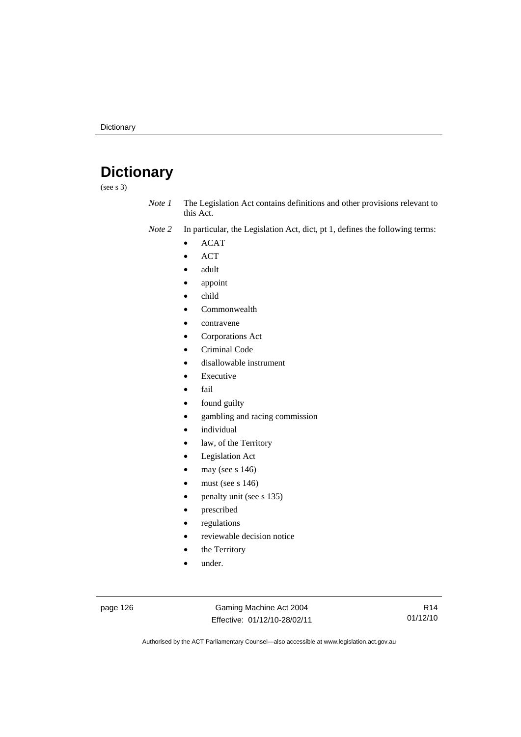# **Dictionary**

(see s 3)

*Note 1* The Legislation Act contains definitions and other provisions relevant to this Act.

*Note 2* In particular, the Legislation Act, dict, pt 1, defines the following terms:

- ACAT
- ACT
- adult
- appoint
- child
- Commonwealth
- contravene
- Corporations Act
- Criminal Code
- disallowable instrument
- **Executive**
- fail
- found guilty
- gambling and racing commission
- *individual*
- law, of the Territory
- Legislation Act
- may (see s 146)
- must (see s  $146$ )
- penalty unit (see s 135)
- prescribed
- regulations
- reviewable decision notice
- the Territory
- under.

page 126 Gaming Machine Act 2004 Effective: 01/12/10-28/02/11

R14 01/12/10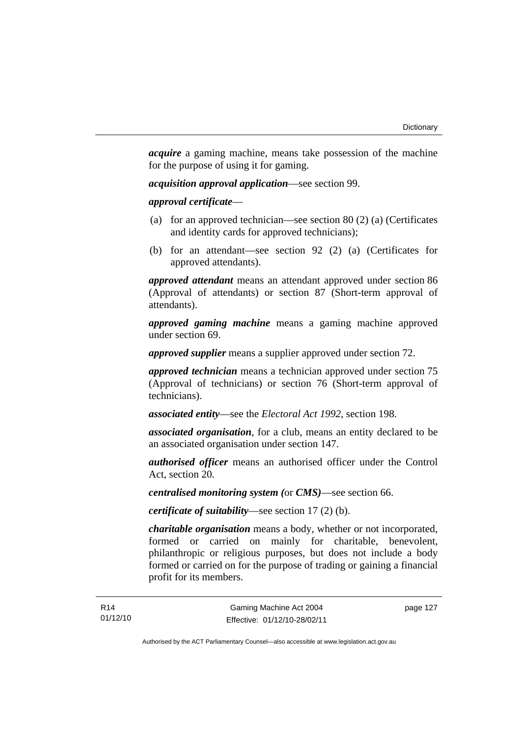*acquire* a gaming machine, means take possession of the machine for the purpose of using it for gaming.

*acquisition approval application*—see section 99.

*approval certificate*—

- (a) for an approved technician—see section 80 (2) (a) (Certificates and identity cards for approved technicians);
- (b) for an attendant—see section 92 (2) (a) (Certificates for approved attendants).

*approved attendant* means an attendant approved under section 86 (Approval of attendants) or section 87 (Short-term approval of attendants).

*approved gaming machine* means a gaming machine approved under section 69.

*approved supplier* means a supplier approved under section 72.

*approved technician* means a technician approved under section 75 (Approval of technicians) or section 76 (Short-term approval of technicians).

*associated entity*—see the *Electoral Act 1992*, section 198.

*associated organisation*, for a club, means an entity declared to be an associated organisation under section 147.

*authorised officer* means an authorised officer under the Control Act, section 20.

*centralised monitoring system (*or *CMS)*—see section 66.

*certificate of suitability*—see section 17 (2) (b).

*charitable organisation* means a body, whether or not incorporated, formed or carried on mainly for charitable, benevolent, philanthropic or religious purposes, but does not include a body formed or carried on for the purpose of trading or gaining a financial profit for its members.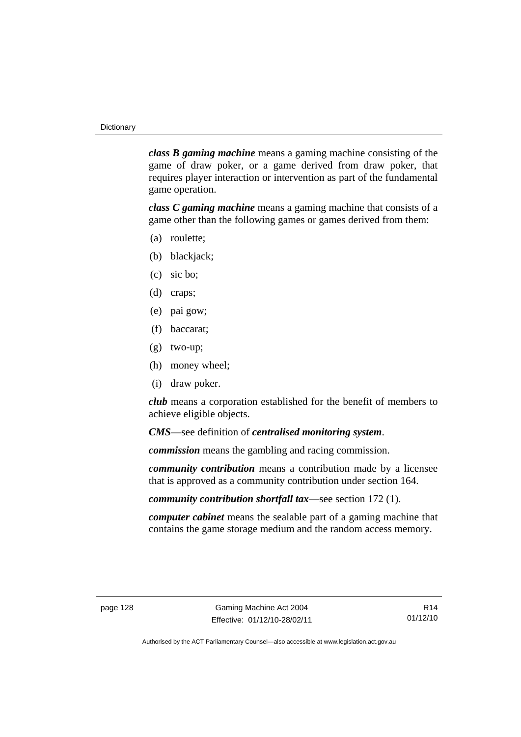*class B gaming machine* means a gaming machine consisting of the game of draw poker, or a game derived from draw poker, that requires player interaction or intervention as part of the fundamental game operation.

*class C gaming machine* means a gaming machine that consists of a game other than the following games or games derived from them:

- (a) roulette;
- (b) blackjack;
- (c) sic bo;
- (d) craps;
- (e) pai gow;
- (f) baccarat;
- (g) two-up;
- (h) money wheel;
- (i) draw poker.

*club* means a corporation established for the benefit of members to achieve eligible objects.

*CMS*—see definition of *centralised monitoring system*.

*commission* means the gambling and racing commission.

*community contribution* means a contribution made by a licensee that is approved as a community contribution under section 164.

*community contribution shortfall tax*—see section 172 (1).

*computer cabinet* means the sealable part of a gaming machine that contains the game storage medium and the random access memory.

R14 01/12/10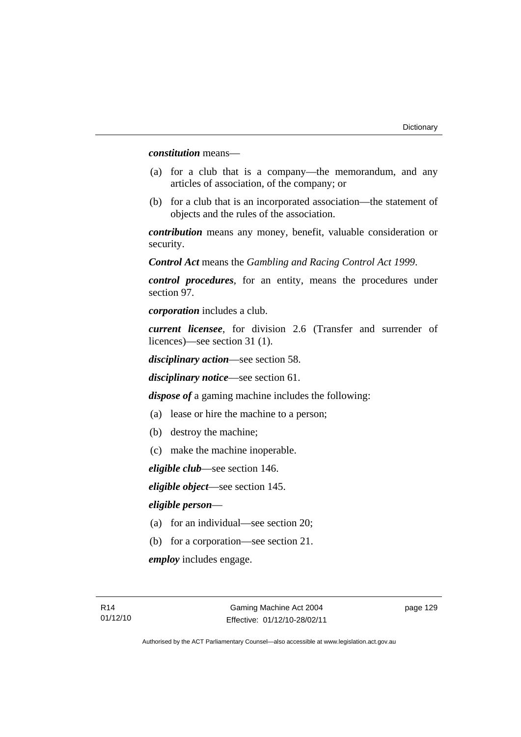*constitution* means—

- (a) for a club that is a company—the memorandum, and any articles of association, of the company; or
- (b) for a club that is an incorporated association—the statement of objects and the rules of the association.

*contribution* means any money, benefit, valuable consideration or security.

*Control Act* means the *Gambling and Racing Control Act 1999*.

*control procedures*, for an entity, means the procedures under section 97.

*corporation* includes a club.

*current licensee*, for division 2.6 (Transfer and surrender of licences)—see section 31 (1).

*disciplinary action*—see section 58.

*disciplinary notice*—see section 61.

*dispose of* a gaming machine includes the following:

- (a) lease or hire the machine to a person;
- (b) destroy the machine;
- (c) make the machine inoperable.

*eligible club*—see section 146.

*eligible object*—see section 145.

#### *eligible person*—

- (a) for an individual—see section 20;
- (b) for a corporation—see section 21.

*employ* includes engage.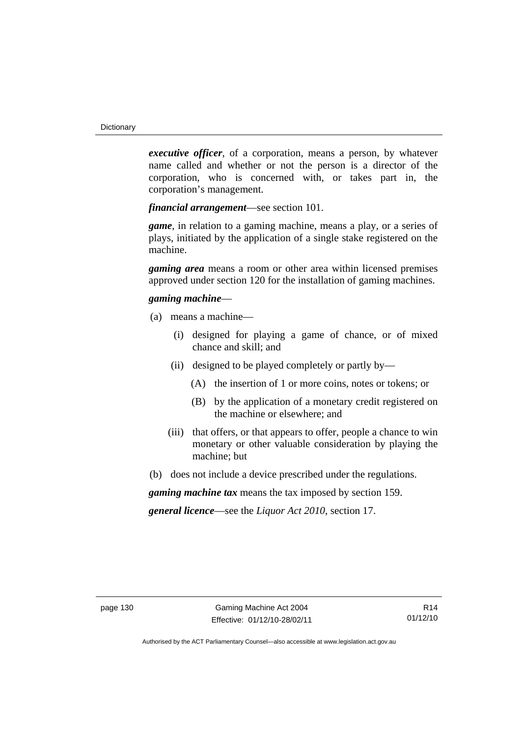*executive officer*, of a corporation, means a person, by whatever name called and whether or not the person is a director of the corporation, who is concerned with, or takes part in, the corporation's management.

*financial arrangement*—see section 101.

*game*, in relation to a gaming machine, means a play, or a series of plays, initiated by the application of a single stake registered on the machine.

*gaming area* means a room or other area within licensed premises approved under section 120 for the installation of gaming machines.

#### *gaming machine*—

- (a) means a machine—
	- (i) designed for playing a game of chance, or of mixed chance and skill; and
	- (ii) designed to be played completely or partly by—
		- (A) the insertion of 1 or more coins, notes or tokens; or
		- (B) by the application of a monetary credit registered on the machine or elsewhere; and
	- (iii) that offers, or that appears to offer, people a chance to win monetary or other valuable consideration by playing the machine; but
- (b) does not include a device prescribed under the regulations.

*gaming machine tax* means the tax imposed by section 159.

*general licence*—see the *Liquor Act 2010*, section 17.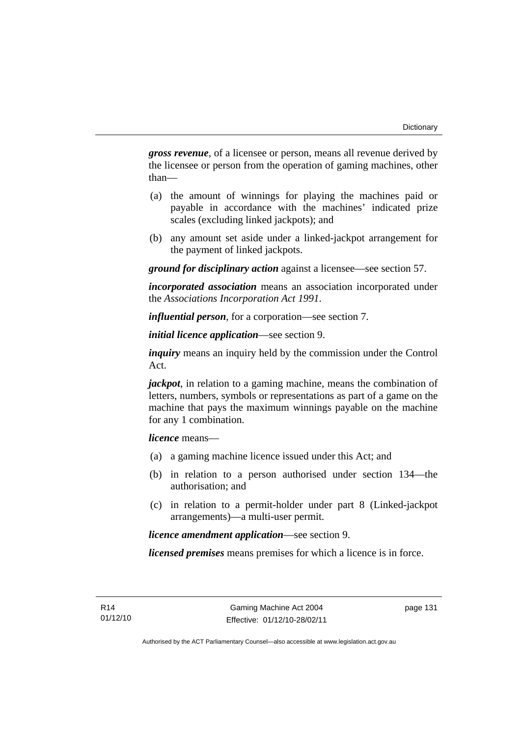*gross revenue*, of a licensee or person, means all revenue derived by the licensee or person from the operation of gaming machines, other than—

- (a) the amount of winnings for playing the machines paid or payable in accordance with the machines' indicated prize scales (excluding linked jackpots); and
- (b) any amount set aside under a linked-jackpot arrangement for the payment of linked jackpots.

*ground for disciplinary action* against a licensee—see section 57.

*incorporated association* means an association incorporated under the *Associations Incorporation Act 1991*.

*influential person*, for a corporation—see section 7.

*initial licence application*—see section 9.

*inquiry* means an inquiry held by the commission under the Control Act.

*jackpot*, in relation to a gaming machine, means the combination of letters, numbers, symbols or representations as part of a game on the machine that pays the maximum winnings payable on the machine for any 1 combination.

*licence* means—

- (a) a gaming machine licence issued under this Act; and
- (b) in relation to a person authorised under section 134—the authorisation; and
- (c) in relation to a permit-holder under part 8 (Linked-jackpot arrangements)—a multi-user permit.

*licence amendment application*—see section 9.

*licensed premises* means premises for which a licence is in force.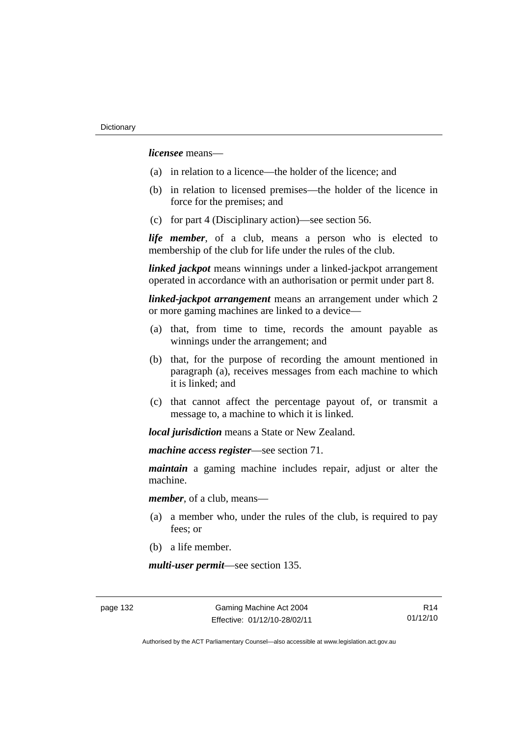*licensee* means—

- (a) in relation to a licence—the holder of the licence; and
- (b) in relation to licensed premises—the holder of the licence in force for the premises; and
- (c) for part 4 (Disciplinary action)—see section 56.

*life member*, of a club, means a person who is elected to membership of the club for life under the rules of the club.

*linked jackpot* means winnings under a linked-jackpot arrangement operated in accordance with an authorisation or permit under part 8.

*linked-jackpot arrangement* means an arrangement under which 2 or more gaming machines are linked to a device—

- (a) that, from time to time, records the amount payable as winnings under the arrangement; and
- (b) that, for the purpose of recording the amount mentioned in paragraph (a), receives messages from each machine to which it is linked; and
- (c) that cannot affect the percentage payout of, or transmit a message to, a machine to which it is linked.

*local jurisdiction* means a State or New Zealand.

*machine access register*—see section 71.

*maintain* a gaming machine includes repair, adjust or alter the machine.

*member*, of a club, means—

- (a) a member who, under the rules of the club, is required to pay fees; or
- (b) a life member.

*multi-user permit*—see section 135.

page 132 Gaming Machine Act 2004 Effective: 01/12/10-28/02/11

R14 01/12/10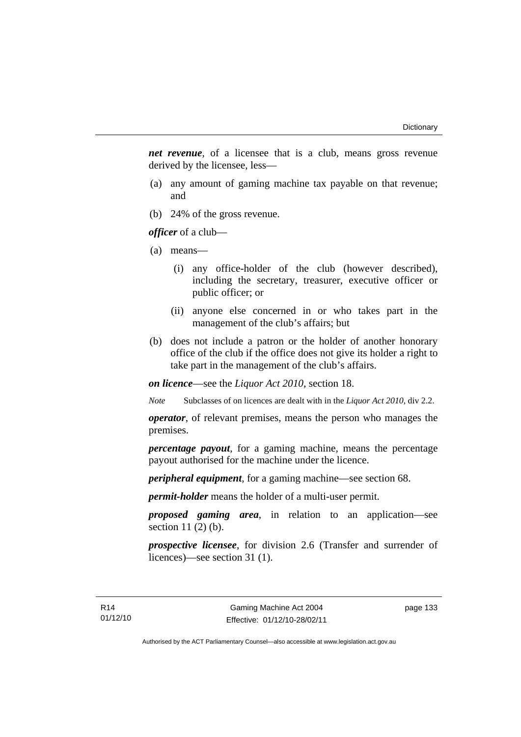*net revenue*, of a licensee that is a club, means gross revenue derived by the licensee, less—

- (a) any amount of gaming machine tax payable on that revenue; and
- (b) 24% of the gross revenue.

*officer* of a club—

- (a) means—
	- (i) any office-holder of the club (however described), including the secretary, treasurer, executive officer or public officer; or
	- (ii) anyone else concerned in or who takes part in the management of the club's affairs; but
- (b) does not include a patron or the holder of another honorary office of the club if the office does not give its holder a right to take part in the management of the club's affairs.

*on licence*—see the *Liquor Act 2010*, section 18.

*Note* Subclasses of on licences are dealt with in the *Liquor Act 2010*, div 2.2.

*operator*, of relevant premises, means the person who manages the premises.

*percentage payout*, for a gaming machine, means the percentage payout authorised for the machine under the licence.

*peripheral equipment*, for a gaming machine—see section 68.

*permit-holder* means the holder of a multi-user permit.

*proposed gaming area*, in relation to an application—see section 11 (2) (b).

*prospective licensee*, for division 2.6 (Transfer and surrender of licences)—see section 31 (1).

page 133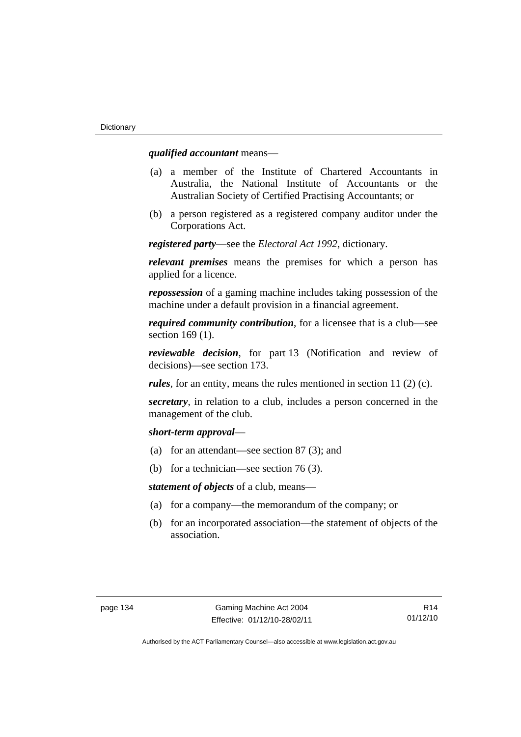## *qualified accountant* means—

- (a) a member of the Institute of Chartered Accountants in Australia, the National Institute of Accountants or the Australian Society of Certified Practising Accountants; or
- (b) a person registered as a registered company auditor under the Corporations Act.

*registered party*—see the *Electoral Act 1992*, dictionary.

*relevant premises* means the premises for which a person has applied for a licence.

*repossession* of a gaming machine includes taking possession of the machine under a default provision in a financial agreement.

*required community contribution*, for a licensee that is a club—see section 169 (1).

*reviewable decision*, for part 13 (Notification and review of decisions)—see section 173.

*rules*, for an entity, means the rules mentioned in section 11 (2) (c).

*secretary*, in relation to a club, includes a person concerned in the management of the club.

#### *short-term approval*—

- (a) for an attendant—see section 87 (3); and
- (b) for a technician—see section 76 (3).

*statement of objects* of a club, means—

- (a) for a company—the memorandum of the company; or
- (b) for an incorporated association—the statement of objects of the association.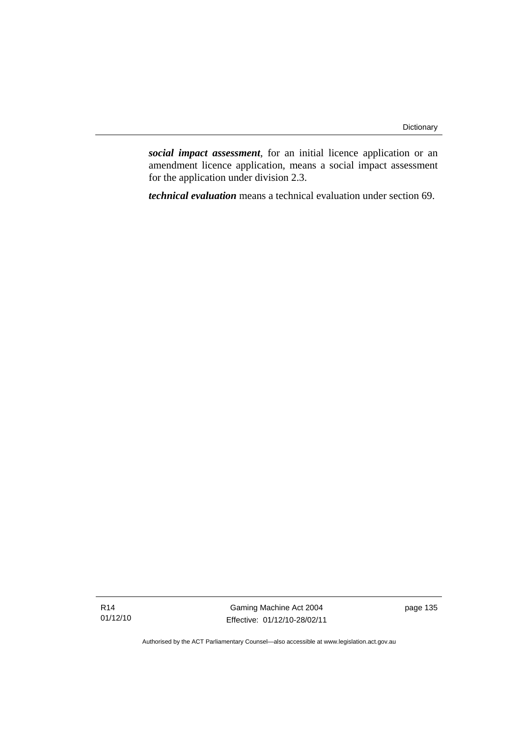*social impact assessment*, for an initial licence application or an amendment licence application, means a social impact assessment for the application under division 2.3.

*technical evaluation* means a technical evaluation under section 69.

Gaming Machine Act 2004 Effective: 01/12/10-28/02/11 page 135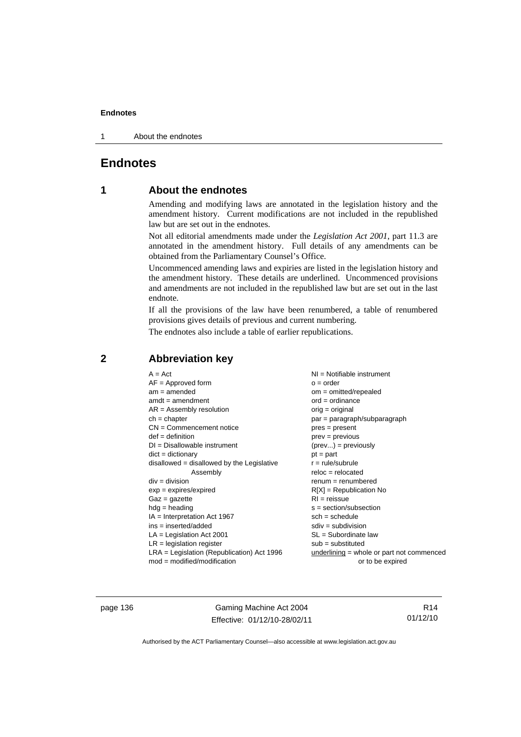1 About the endnotes

# **Endnotes**

# **1 About the endnotes**

Amending and modifying laws are annotated in the legislation history and the amendment history. Current modifications are not included in the republished law but are set out in the endnotes.

Not all editorial amendments made under the *Legislation Act 2001*, part 11.3 are annotated in the amendment history. Full details of any amendments can be obtained from the Parliamentary Counsel's Office.

Uncommenced amending laws and expiries are listed in the legislation history and the amendment history. These details are underlined. Uncommenced provisions and amendments are not included in the republished law but are set out in the last endnote.

If all the provisions of the law have been renumbered, a table of renumbered provisions gives details of previous and current numbering.

The endnotes also include a table of earlier republications.

| $A = Act$                                    | NI = Notifiable instrument                |
|----------------------------------------------|-------------------------------------------|
| $AF =$ Approved form                         | $o = order$                               |
| $am = amended$                               | $om = omitted/report)$                    |
| $amdt = amendment$                           | $ord = ordinance$                         |
| $AR = Assembly resolution$                   | $orig = original$                         |
| $ch = chapter$                               | par = paragraph/subparagraph              |
| $CN =$ Commencement notice                   | $pres = present$                          |
| $def = definition$                           | $prev = previous$                         |
| $DI = Disallowable instrument$               | $(\text{prev}) = \text{previously}$       |
| $dict = dictionary$                          | $pt = part$                               |
| disallowed = disallowed by the Legislative   | $r = rule/subrule$                        |
| Assembly                                     | $reloc = relocated$                       |
| $div = division$                             | $remum = renumbered$                      |
| $exp = expires/expired$                      | $R[X]$ = Republication No                 |
| $Gaz = gazette$                              | $RI = reissue$                            |
| $hdg =$ heading                              | $s = section/subsection$                  |
| $IA = Interpretation Act 1967$               | $sch = schedule$                          |
| $ins = inserted/added$                       | $sdiv = subdivision$                      |
| $LA =$ Legislation Act 2001                  | $SL = Subordinate$ law                    |
| $LR =$ legislation register                  | $sub =$ substituted                       |
| $LRA =$ Legislation (Republication) Act 1996 | underlining = whole or part not commenced |
| $mod = modified/modification$                | or to be expired                          |

# **2 Abbreviation key**

page 136 Gaming Machine Act 2004 Effective: 01/12/10-28/02/11

R14 01/12/10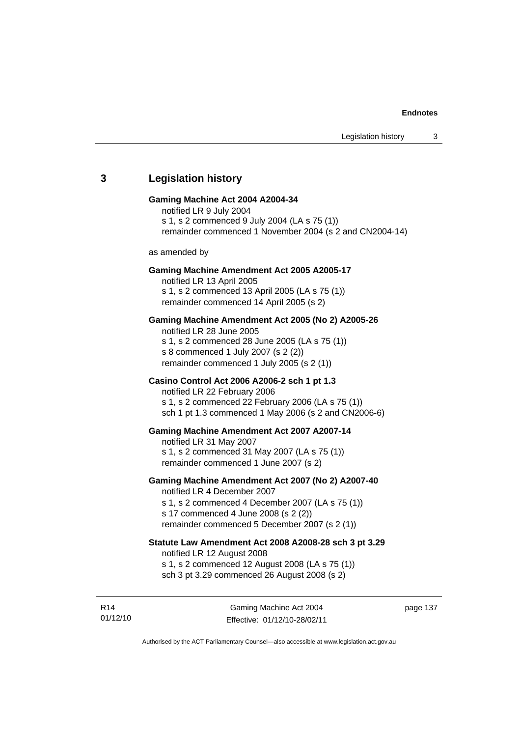## **3 Legislation history**

#### **Gaming Machine Act 2004 A2004-34**

notified LR 9 July 2004 s 1, s 2 commenced 9 July 2004 (LA s 75 (1))

remainder commenced 1 November 2004 (s 2 and CN2004-14)

as amended by

#### **Gaming Machine Amendment Act 2005 A2005-17**

notified LR 13 April 2005 s 1, s 2 commenced 13 April 2005 (LA s 75 (1)) remainder commenced 14 April 2005 (s 2)

#### **Gaming Machine Amendment Act 2005 (No 2) A2005-26**

notified LR 28 June 2005 s 1, s 2 commenced 28 June 2005 (LA s 75 (1)) s 8 commenced 1 July 2007 (s 2 (2)) remainder commenced 1 July 2005 (s 2 (1))

## **Casino Control Act 2006 A2006-2 sch 1 pt 1.3**

notified LR 22 February 2006 s 1, s 2 commenced 22 February 2006 (LA s 75 (1)) sch 1 pt 1.3 commenced 1 May 2006 (s 2 and CN2006-6)

#### **Gaming Machine Amendment Act 2007 A2007-14**

notified LR 31 May 2007 s 1, s 2 commenced 31 May 2007 (LA s 75 (1)) remainder commenced 1 June 2007 (s 2)

#### **Gaming Machine Amendment Act 2007 (No 2) A2007-40**

notified LR 4 December 2007 s 1, s 2 commenced 4 December 2007 (LA s 75 (1)) s 17 commenced 4 June 2008 (s 2 (2)) remainder commenced 5 December 2007 (s 2 (1))

# **Statute Law Amendment Act 2008 A2008-28 sch 3 pt 3.29**

notified LR 12 August 2008

s 1, s 2 commenced 12 August 2008 (LA s 75 (1))

sch 3 pt 3.29 commenced 26 August 2008 (s 2)

R14 01/12/10 page 137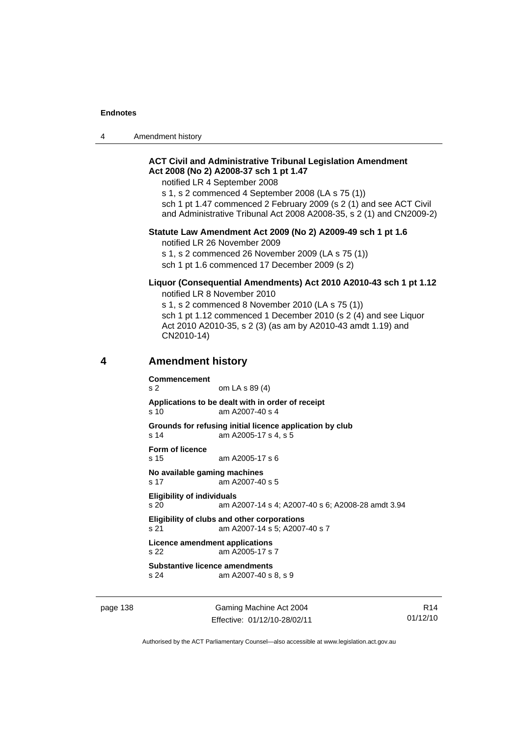4 Amendment history

## **ACT Civil and Administrative Tribunal Legislation Amendment Act 2008 (No 2) A2008-37 sch 1 pt 1.47**

notified LR 4 September 2008

s 1, s 2 commenced 4 September 2008 (LA s 75 (1)) sch 1 pt 1.47 commenced 2 February 2009 (s 2 (1) and see ACT Civil and Administrative Tribunal Act 2008 A2008-35, s 2 (1) and CN2009-2)

#### **Statute Law Amendment Act 2009 (No 2) A2009-49 sch 1 pt 1.6**

notified LR 26 November 2009

s 1, s 2 commenced 26 November 2009 (LA s 75 (1)) sch 1 pt 1.6 commenced 17 December 2009 (s 2)

### **Liquor (Consequential Amendments) Act 2010 A2010-43 sch 1 pt 1.12**  notified LR 8 November 2010

s 1, s 2 commenced 8 November 2010 (LA s 75 (1)) sch 1 pt 1.12 commenced 1 December 2010 (s 2 (4) and see Liquor Act 2010 A2010-35, s 2 (3) (as am by A2010-43 amdt 1.19) and CN2010-14)

### **4 Amendment history**

**Commencement**  s 2 om LA s 89 (4) **Applications to be dealt with in order of receipt**  s 10 am A2007-40 s 4 **Grounds for refusing initial licence application by club**  s 14 am A2005-17 s 4, s 5 **Form of licence**  s 15 am A2005-17 s 6 **No available gaming machines**  s 17 am A2007-40 s 5 **Eligibility of individuals**  s 20 am A2007-14 s 4; A2007-40 s 6; A2008-28 amdt 3.94 **Eligibility of clubs and other corporations**  s 21 am A2007-14 s 5; A2007-40 s 7 **Licence amendment applications**  s 22 am A2005-17 s 7

**Substantive licence amendments**  s 24 am A2007-40 s 8, s 9

page 138 Gaming Machine Act 2004 Effective: 01/12/10-28/02/11

R14 01/12/10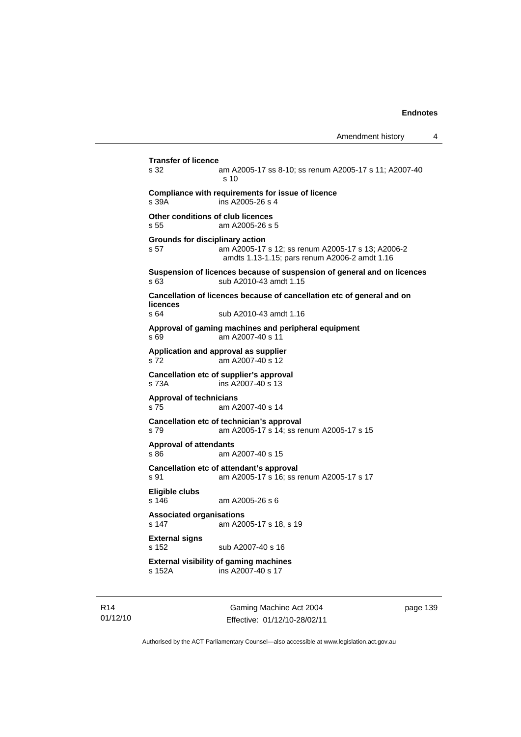```
Amendment history 4
```

```
Transfer of licence 
                am A2005-17 ss 8-10; ss renum A2005-17 s 11; A2007-40
                 s 10 
Compliance with requirements for issue of licence 
s 39A ins A2005-26 s 4 
Other conditions of club licences 
s 55 am A2005-26 s 5 
Grounds for disciplinary action 
s 57 am A2005-17 s 12; ss renum A2005-17 s 13; A2006-2 
                 amdts 1.13-1.15; pars renum A2006-2 amdt 1.16 
Suspension of licences because of suspension of general and on licences 
s 63 sub A2010-43 amdt 1.15 
Cancellation of licences because of cancellation etc of general and on 
licences 
s 64 sub A2010-43 amdt 1.16 
Approval of gaming machines and peripheral equipment 
s 69 am A2007-40 s 11 
Application and approval as supplier 
s 72 am A2007-40 s 12 
Cancellation etc of supplier's approval 
s 73A ins A2007-40 s 13 
Approval of technicians 
s 75 am A2007-40 s 14 
Cancellation etc of technician's approval 
s 79 am A2005-17 s 14; ss renum A2005-17 s 15 
Approval of attendants 
s 86 am A2007-40 s 15 
Cancellation etc of attendant's approval 
s 91 am A2005-17 s 16; ss renum A2005-17 s 17 
Eligible clubs 
s 146 am A2005-26 s 6 
Associated organisations 
s 147 am A2005-17 s 18, s 19 
External signs 
s 152 sub A2007-40 s 16 
External visibility of gaming machines 
                ins A2007-40 s 17
```
R14 01/12/10

Gaming Machine Act 2004 Effective: 01/12/10-28/02/11 page 139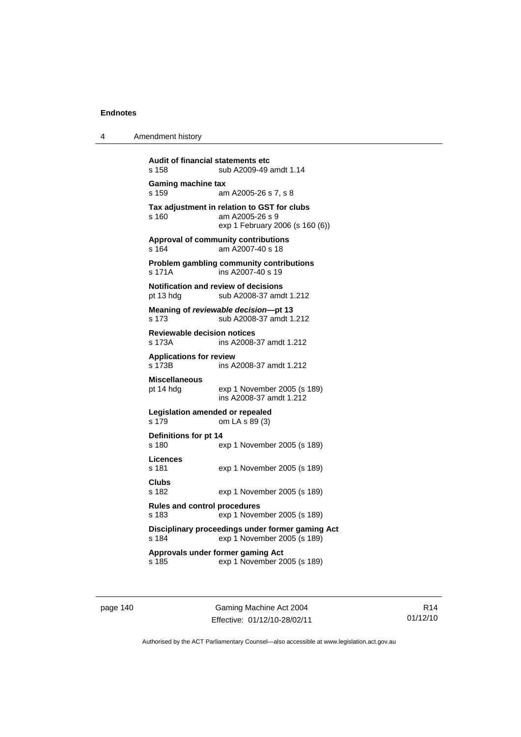| Amendment history<br>4 |  |
|------------------------|--|
|------------------------|--|

**Audit of financial statements etc**  s 158 sub A2009-49 amdt 1.14 **Gaming machine tax**  s 159 am A2005-26 s 7, s 8 **Tax adjustment in relation to GST for clubs**  s 160 am A2005-26 s 9 exp 1 February 2006 (s 160 (6)) **Approval of community contributions**  s 164 am A2007-40 s 18 **Problem gambling community contributions**  s 171A ins A2007-40 s 19 **Notification and review of decisions**  pt 13 hdg sub A2008-37 amdt 1.212 **Meaning of** *reviewable decision***—pt 13**  s 173 sub A2008-37 amdt 1.212 **Reviewable decision notices**  ins A2008-37 amdt 1.212 **Applications for review**  s 173B ins A2008-37 amdt 1.212 **Miscellaneous**  exp 1 November 2005 (s 189) ins A2008-37 amdt 1.212 **Legislation amended or repealed**  s 179 om LA s 89 (3) **Definitions for pt 14**  exp 1 November 2005 (s 189) **Licences**  s 181 exp 1 November 2005 (s 189) **Clubs**  s 182 exp 1 November 2005 (s 189) **Rules and control procedures**  s 183 exp 1 November 2005 (s 189) **Disciplinary proceedings under former gaming Act**  s 184 exp 1 November 2005 (s 189) **Approvals under former gaming Act**  s 185 exp 1 November 2005 (s 189)

page 140 Gaming Machine Act 2004 Effective: 01/12/10-28/02/11

R14 01/12/10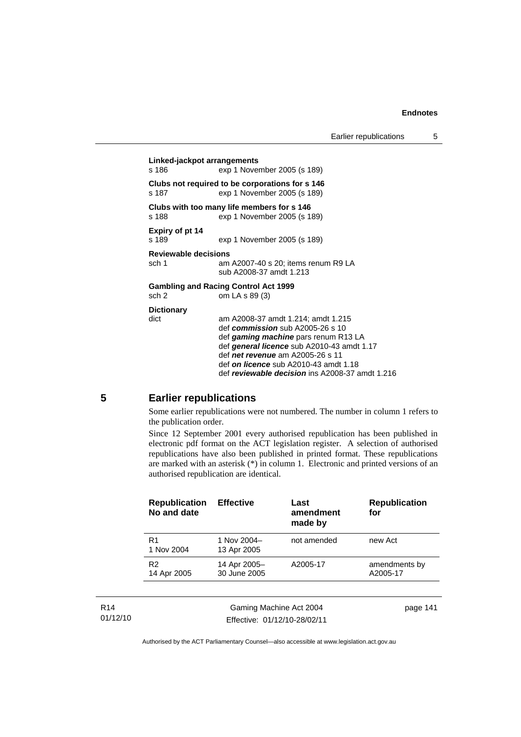**Linked-jackpot arrangements**  s 186 exp 1 November 2005 (s 189) **Clubs not required to be corporations for s 146**  s 187 exp 1 November 2005 (s 189) **Clubs with too many life members for s 146**  s 188 exp 1 November 2005 (s 189) **Expiry of pt 14**  s 189 exp 1 November 2005 (s 189) **Reviewable decisions**  sch 1 am A2007-40 s 20; items renum R9 LA sub A2008-37 amdt 1.213 **Gambling and Racing Control Act 1999**  sch 2 om LA s 89 (3) **Dictionary**  dict am A2008-37 amdt 1.214; amdt 1.215 def *commission* sub A2005-26 s 10 def *gaming machine* pars renum R13 LA def *general licence* sub A2010-43 amdt 1.17 def *net revenue* am A2005-26 s 11 def *on licence* sub A2010-43 amdt 1.18 def *reviewable decision* ins A2008-37 amdt 1.216

## **5 Earlier republications**

Some earlier republications were not numbered. The number in column 1 refers to the publication order.

Since 12 September 2001 every authorised republication has been published in electronic pdf format on the ACT legislation register. A selection of authorised republications have also been published in printed format. These republications are marked with an asterisk (\*) in column 1. Electronic and printed versions of an authorised republication are identical.

| <b>Republication</b><br>No and date | <b>Effective</b>             | Last<br>amendment<br>made by | <b>Republication</b><br>for |
|-------------------------------------|------------------------------|------------------------------|-----------------------------|
| R1<br>1 Nov 2004                    | 1 Nov 2004-<br>13 Apr 2005   | not amended                  | new Act                     |
| R <sub>2</sub><br>14 Apr 2005       | 14 Apr 2005-<br>30 June 2005 | A2005-17                     | amendments by<br>A2005-17   |
|                                     |                              |                              |                             |

| R14      |
|----------|
| 01/12/10 |

Gaming Machine Act 2004 Effective: 01/12/10-28/02/11 page 141